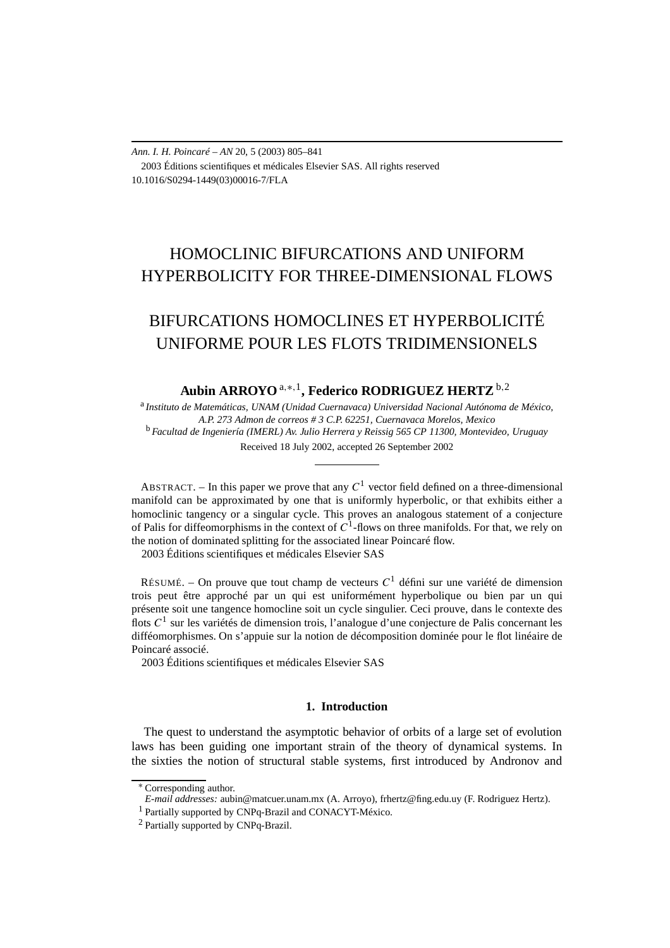*Ann. I. H. Poincaré – AN* 20, 5 (2003) 805–841 2003 Éditions scientifiques et médicales Elsevier SAS. All rights reserved 10.1016/S0294-1449(03)00016-7/FLA

# HOMOCLINIC BIFURCATIONS AND UNIFORM HYPERBOLICITY FOR THREE-DIMENSIONAL FLOWS

# BIFURCATIONS HOMOCLINES ET HYPERBOLICITÉ UNIFORME POUR LES FLOTS TRIDIMENSIONELS

**Aubin ARROYO**a*,*∗*,*1**, Federico RODRIGUEZ HERTZ** <sup>b</sup>*,*<sup>2</sup>

<sup>a</sup> *Instituto de Matemáticas, UNAM (Unidad Cuernavaca) Universidad Nacional Autónoma de México, A.P. 273 Admon de correos # 3 C.P. 62251, Cuernavaca Morelos, Mexico* <sup>b</sup> *Facultad de Ingeniería (IMERL) Av. Julio Herrera y Reissig 565 CP 11300, Montevideo, Uruguay*

Received 18 July 2002, accepted 26 September 2002

ABSTRACT. – In this paper we prove that any  $C<sup>1</sup>$  vector field defined on a three-dimensional manifold can be approximated by one that is uniformly hyperbolic, or that exhibits either a homoclinic tangency or a singular cycle. This proves an analogous statement of a conjecture of Palis for diffeomorphisms in the context of  $C<sup>1</sup>$ -flows on three manifolds. For that, we rely on the notion of dominated splitting for the associated linear Poincaré flow.

2003 Éditions scientifiques et médicales Elsevier SAS

RÉSUMÉ. – On prouve que tout champ de vecteurs  $C<sup>1</sup>$  défini sur une variété de dimension trois peut être approché par un qui est uniformément hyperbolique ou bien par un qui présente soit une tangence homocline soit un cycle singulier. Ceci prouve, dans le contexte des flots *C*<sup>1</sup> sur les variétés de dimension trois, l'analogue d'une conjecture de Palis concernant les difféomorphismes. On s'appuie sur la notion de décomposition dominée pour le flot linéaire de Poincaré associé.

2003 Éditions scientifiques et médicales Elsevier SAS

# **1. Introduction**

The quest to understand the asymptotic behavior of orbits of a large set of evolution laws has been guiding one important strain of the theory of dynamical systems. In the sixties the notion of structural stable systems, first introduced by Andronov and

<sup>∗</sup> Corresponding author.

*E-mail addresses:* aubin@matcuer.unam.mx (A. Arroyo), frhertz@fing.edu.uy (F. Rodriguez Hertz).

<sup>1</sup> Partially supported by CNPq-Brazil and CONACYT-México.

<sup>2</sup> Partially supported by CNPq-Brazil.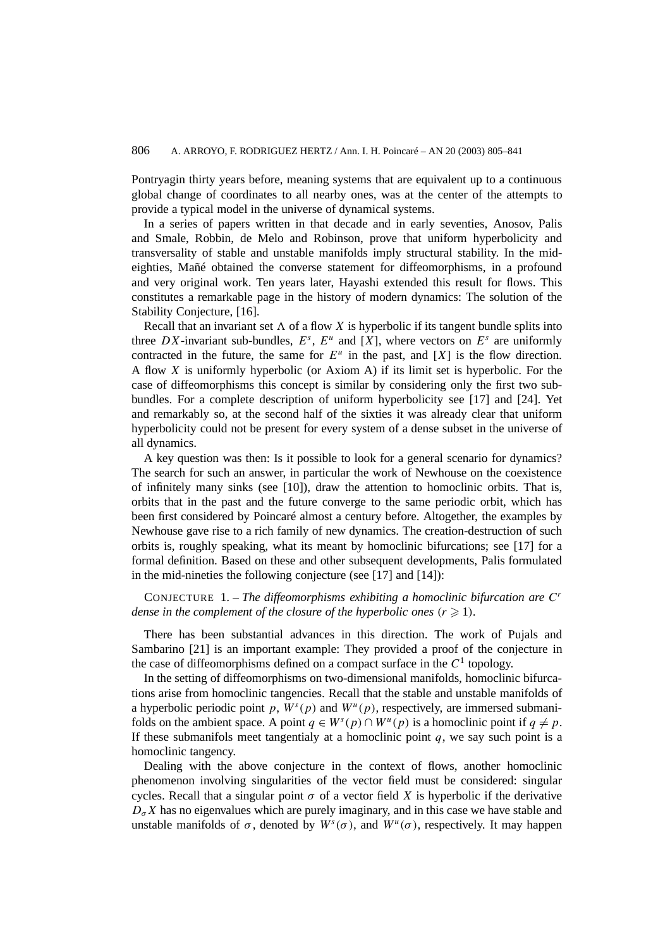Pontryagin thirty years before, meaning systems that are equivalent up to a continuous global change of coordinates to all nearby ones, was at the center of the attempts to provide a typical model in the universe of dynamical systems.

In a series of papers written in that decade and in early seventies, Anosov, Palis and Smale, Robbin, de Melo and Robinson, prove that uniform hyperbolicity and transversality of stable and unstable manifolds imply structural stability. In the mideighties, Mañé obtained the converse statement for diffeomorphisms, in a profound and very original work. Ten years later, Hayashi extended this result for flows. This constitutes a remarkable page in the history of modern dynamics: The solution of the Stability Conjecture, [16].

Recall that an invariant set  $\Lambda$  of a flow X is hyperbolic if its tangent bundle splits into three *DX*-invariant sub-bundles,  $E^s$ ,  $E^u$  and  $[X]$ , where vectors on  $E^s$  are uniformly contracted in the future, the same for  $E^u$  in the past, and  $[X]$  is the flow direction. A flow *X* is uniformly hyperbolic (or Axiom A) if its limit set is hyperbolic. For the case of diffeomorphisms this concept is similar by considering only the first two subbundles. For a complete description of uniform hyperbolicity see [17] and [24]. Yet and remarkably so, at the second half of the sixties it was already clear that uniform hyperbolicity could not be present for every system of a dense subset in the universe of all dynamics.

A key question was then: Is it possible to look for a general scenario for dynamics? The search for such an answer, in particular the work of Newhouse on the coexistence of infinitely many sinks (see [10]), draw the attention to homoclinic orbits. That is, orbits that in the past and the future converge to the same periodic orbit, which has been first considered by Poincaré almost a century before. Altogether, the examples by Newhouse gave rise to a rich family of new dynamics. The creation-destruction of such orbits is, roughly speaking, what its meant by homoclinic bifurcations; see [17] for a formal definition. Based on these and other subsequent developments, Palis formulated in the mid-nineties the following conjecture (see [17] and [14]):

CONJECTURE 1. – *The diffeomorphisms exhibiting a homoclinic bifurcation are C<sup>r</sup> dense in the complement of the closure of the hyperbolic ones*  $(r \geq 1)$ *.* 

There has been substantial advances in this direction. The work of Pujals and Sambarino [21] is an important example: They provided a proof of the conjecture in the case of diffeomorphisms defined on a compact surface in the  $C<sup>1</sup>$  topology.

In the setting of diffeomorphisms on two-dimensional manifolds, homoclinic bifurcations arise from homoclinic tangencies. Recall that the stable and unstable manifolds of a hyperbolic periodic point  $p$ ,  $W<sup>s</sup>(p)$  and  $W<sup>u</sup>(p)$ , respectively, are immersed submanifolds on the ambient space. A point  $q \in W<sup>s</sup>(p) \cap W<sup>u</sup>(p)$  is a homoclinic point if  $q \neq p$ . If these submanifols meet tangentialy at a homoclinic point  $q$ , we say such point is a homoclinic tangency.

Dealing with the above conjecture in the context of flows, another homoclinic phenomenon involving singularities of the vector field must be considered: singular cycles. Recall that a singular point  $\sigma$  of a vector field *X* is hyperbolic if the derivative  $D_{\sigma}X$  has no eigenvalues which are purely imaginary, and in this case we have stable and unstable manifolds of  $\sigma$ , denoted by  $W^s(\sigma)$ , and  $W^u(\sigma)$ , respectively. It may happen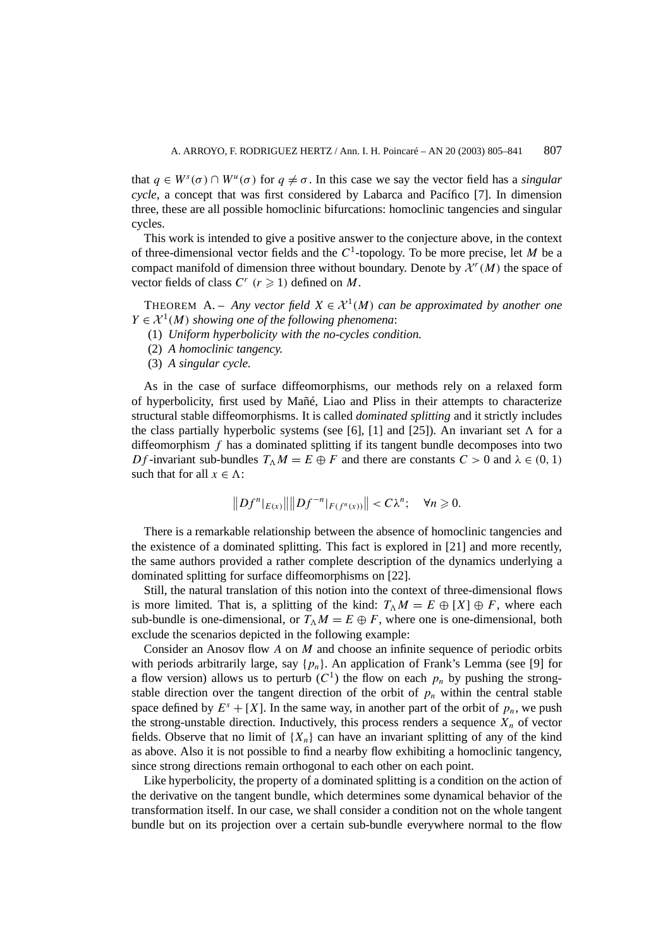that  $q \in W^s(\sigma) \cap W^u(\sigma)$  for  $q \neq \sigma$ . In this case we say the vector field has a *singular cycle*, a concept that was first considered by Labarca and Pacífico [7]. In dimension three, these are all possible homoclinic bifurcations: homoclinic tangencies and singular cycles.

This work is intended to give a positive answer to the conjecture above, in the context of three-dimensional vector fields and the *C*1-topology. To be more precise, let *M* be a compact manifold of dimension three without boundary. Denote by  $\mathcal{X}^r(M)$  the space of vector fields of class  $C^r$  ( $r \ge 1$ ) defined on *M*.

THEOREM A. – Any vector field  $X \in \mathcal{X}^1(M)$  can be approximated by another one  $Y \in \mathcal{X}^1(M)$  *showing one of the following phenomena*:

- (1) *Uniform hyperbolicity with the no-cycles condition.*
- (2) *A homoclinic tangency.*
- (3) *A singular cycle.*

As in the case of surface diffeomorphisms, our methods rely on a relaxed form of hyperbolicity, first used by Mañé, Liao and Pliss in their attempts to characterize structural stable diffeomorphisms. It is called *dominated splitting* and it strictly includes the class partially hyperbolic systems (see [6], [1] and [25]). An invariant set  $\Lambda$  for a diffeomorphism *f* has a dominated splitting if its tangent bundle decomposes into two *Df*-invariant sub-bundles  $T_M M = E \oplus F$  and there are constants  $C > 0$  and  $\lambda \in (0, 1)$ such that for all  $x \in \Lambda$ :

$$
||Df^n|_{E(x)}||||Df^{-n}|_{F(f^n(x))}|| < C\lambda^n; \quad \forall n \geq 0.
$$

There is a remarkable relationship between the absence of homoclinic tangencies and the existence of a dominated splitting. This fact is explored in [21] and more recently, the same authors provided a rather complete description of the dynamics underlying a dominated splitting for surface diffeomorphisms on [22].

Still, the natural translation of this notion into the context of three-dimensional flows is more limited. That is, a splitting of the kind:  $T_A M = E \oplus [X] \oplus F$ , where each sub-bundle is one-dimensional, or  $T_A M = E \oplus F$ , where one is one-dimensional, both exclude the scenarios depicted in the following example:

Consider an Anosov flow *A* on *M* and choose an infinite sequence of periodic orbits with periods arbitrarily large, say  $\{p_n\}$ . An application of Frank's Lemma (see [9] for a flow version) allows us to perturb  $(C<sup>1</sup>)$  the flow on each  $p<sub>n</sub>$  by pushing the strongstable direction over the tangent direction of the orbit of  $p_n$  within the central stable space defined by  $E^s + [X]$ . In the same way, in another part of the orbit of  $p_n$ , we push the strong-unstable direction. Inductively, this process renders a sequence  $X_n$  of vector fields. Observe that no limit of  $\{X_n\}$  can have an invariant splitting of any of the kind as above. Also it is not possible to find a nearby flow exhibiting a homoclinic tangency, since strong directions remain orthogonal to each other on each point.

Like hyperbolicity, the property of a dominated splitting is a condition on the action of the derivative on the tangent bundle, which determines some dynamical behavior of the transformation itself. In our case, we shall consider a condition not on the whole tangent bundle but on its projection over a certain sub-bundle everywhere normal to the flow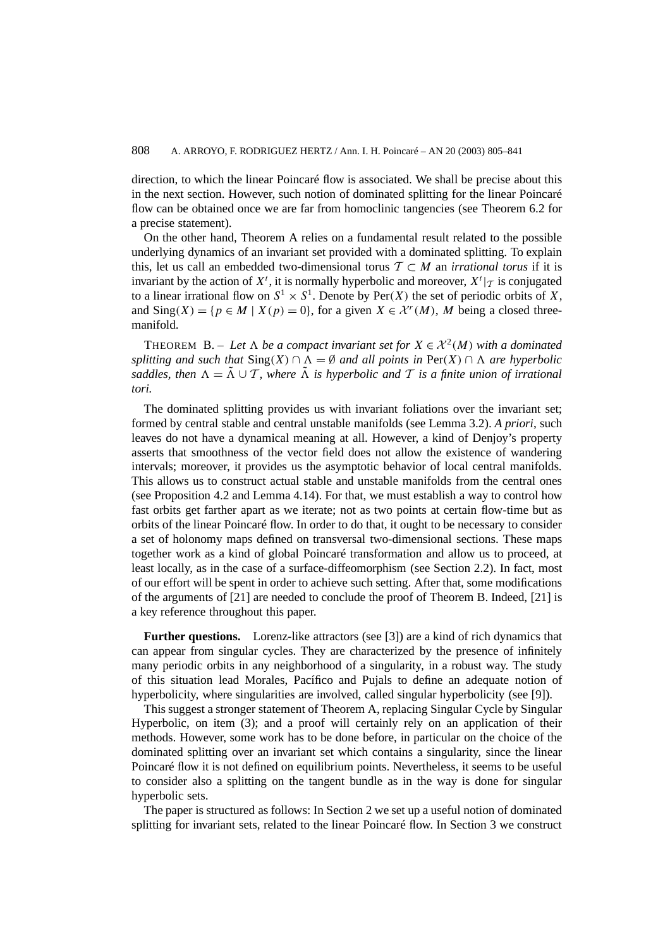direction, to which the linear Poincaré flow is associated. We shall be precise about this in the next section. However, such notion of dominated splitting for the linear Poincaré flow can be obtained once we are far from homoclinic tangencies (see Theorem 6.2 for a precise statement).

On the other hand, Theorem A relies on a fundamental result related to the possible underlying dynamics of an invariant set provided with a dominated splitting. To explain this, let us call an embedded two-dimensional torus  $T \subset M$  an *irrational torus* if it is invariant by the action of  $X^t$ , it is normally hyperbolic and moreover,  $X^t|_{\mathcal{T}}$  is conjugated to a linear irrational flow on  $S^1 \times S^1$ . Denote by Per $(X)$  the set of periodic orbits of *X*, and  $\text{Sing}(X) = \{p \in M \mid X(p) = 0\}$ , for a given  $X \in \mathcal{X}^r(M)$ , M being a closed threemanifold.

THEOREM B. – Let  $\Lambda$  be a compact invariant set for  $X \in \mathcal{X}^2(M)$  with a dominated *splitting and such that*  $Sing(X) \cap \Lambda = \emptyset$  *and all points in*  $Per(X) \cap \Lambda$  *are hyperbolic saddles, then*  $\Lambda = \tilde{\Lambda} \cup \mathcal{T}$ *, where*  $\tilde{\Lambda}$  *is hyperbolic and*  $\mathcal{T}$  *is a finite union of irrational tori.*

The dominated splitting provides us with invariant foliations over the invariant set; formed by central stable and central unstable manifolds (see Lemma 3.2). *A priori*, such leaves do not have a dynamical meaning at all. However, a kind of Denjoy's property asserts that smoothness of the vector field does not allow the existence of wandering intervals; moreover, it provides us the asymptotic behavior of local central manifolds. This allows us to construct actual stable and unstable manifolds from the central ones (see Proposition 4.2 and Lemma 4.14). For that, we must establish a way to control how fast orbits get farther apart as we iterate; not as two points at certain flow-time but as orbits of the linear Poincaré flow. In order to do that, it ought to be necessary to consider a set of holonomy maps defined on transversal two-dimensional sections. These maps together work as a kind of global Poincaré transformation and allow us to proceed, at least locally, as in the case of a surface-diffeomorphism (see Section 2.2). In fact, most of our effort will be spent in order to achieve such setting. After that, some modifications of the arguments of [21] are needed to conclude the proof of Theorem B. Indeed, [21] is a key reference throughout this paper.

**Further questions.** Lorenz-like attractors (see [3]) are a kind of rich dynamics that can appear from singular cycles. They are characterized by the presence of infinitely many periodic orbits in any neighborhood of a singularity, in a robust way. The study of this situation lead Morales, Pacífico and Pujals to define an adequate notion of hyperbolicity, where singularities are involved, called singular hyperbolicity (see [9]).

This suggest a stronger statement of Theorem A, replacing Singular Cycle by Singular Hyperbolic, on item (3); and a proof will certainly rely on an application of their methods. However, some work has to be done before, in particular on the choice of the dominated splitting over an invariant set which contains a singularity, since the linear Poincaré flow it is not defined on equilibrium points. Nevertheless, it seems to be useful to consider also a splitting on the tangent bundle as in the way is done for singular hyperbolic sets.

The paper is structured as follows: In Section 2 we set up a useful notion of dominated splitting for invariant sets, related to the linear Poincaré flow. In Section 3 we construct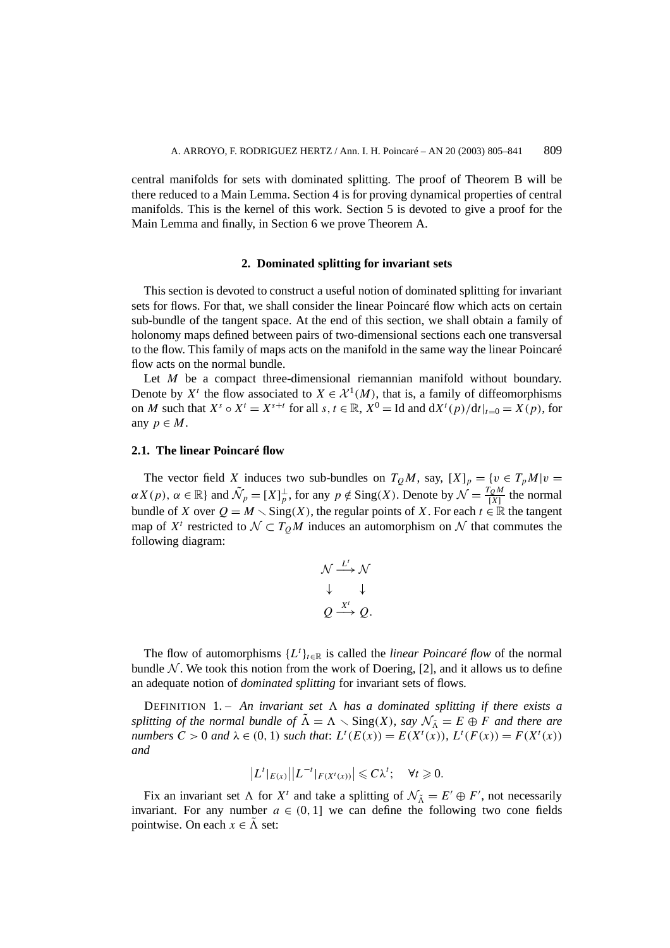central manifolds for sets with dominated splitting. The proof of Theorem B will be there reduced to a Main Lemma. Section 4 is for proving dynamical properties of central manifolds. This is the kernel of this work. Section 5 is devoted to give a proof for the Main Lemma and finally, in Section 6 we prove Theorem A.

#### **2. Dominated splitting for invariant sets**

This section is devoted to construct a useful notion of dominated splitting for invariant sets for flows. For that, we shall consider the linear Poincaré flow which acts on certain sub-bundle of the tangent space. At the end of this section, we shall obtain a family of holonomy maps defined between pairs of two-dimensional sections each one transversal to the flow. This family of maps acts on the manifold in the same way the linear Poincaré flow acts on the normal bundle.

Let *M* be a compact three-dimensional riemannian manifold without boundary. Denote by  $X^t$  the flow associated to  $X \in \mathcal{X}^1(M)$ , that is, a family of diffeomorphisms on *M* such that  $X^s \circ X^t = X^{s+t}$  for all  $s, t \in \mathbb{R}$ ,  $X^0 =$  Id and  $dX^t(p)/dt|_{t=0} = X(p)$ , for any  $p \in M$ .

# **2.1. The linear Poincaré flow**

The vector field *X* induces two sub-bundles on  $T_0M$ , say,  $[X]_p = \{v \in T_pM|v =$  $\alpha X(p)$ ,  $\alpha \in \mathbb{R}$  } and  $\tilde{\mathcal{N}}_p = [X]_p^{\perp}$ , for any  $p \notin \text{Sing}(X)$ . Denote by  $\mathcal{N} = \frac{T_0 M}{[X]}$  the normal bundle of *X* over  $Q = M \setminus Sing(X)$ , the regular points of *X*. For each  $t \in \mathbb{R}$  the tangent map of  $X^t$  restricted to  $\mathcal{N} \subset T_0M$  induces an automorphism on  $\mathcal N$  that commutes the following diagram:

$$
\begin{array}{ccc}\n\mathcal{N} & \xrightarrow{L^t} & \mathcal{N} \\
\downarrow & & \downarrow \\
Q & \xrightarrow{X^t} & Q.\n\end{array}
$$

The flow of automorphisms  $\{L^t\}_{t\in\mathbb{R}}$  is called the *linear Poincaré flow* of the normal bundle  $\mathcal N$ . We took this notion from the work of Doering, [2], and it allows us to define an adequate notion of *dominated splitting* for invariant sets of flows.

DEFINITION 1. - An invariant set  $\Lambda$  has a dominated splitting if there exists a *splitting of the normal bundle of*  $\tilde{\Lambda} = \Lambda \setminus Sing(X)$ *, say*  $\mathcal{N}_{\tilde{\Lambda}} = E \oplus F$  *and there are* numbers  $C > 0$  and  $\lambda \in (0, 1)$  such that:  $L^t(E(x)) = E(X^t(x))$ ,  $L^t(F(x)) = F(X^t(x))$ *and*

$$
\left|L^t|_{E(x)}\right| |L^{-t}|_{F(X^t(x))}| \leqslant C\lambda^t; \quad \forall t \geqslant 0.
$$

Fix an invariant set  $\Lambda$  for  $X^t$  and take a splitting of  $\mathcal{N}_{\tilde{\Lambda}} = E' \oplus F'$ , not necessarily invariant. For any number  $a \in (0, 1]$  we can define the following two cone fields pointwise. On each  $x \in \Lambda$  set: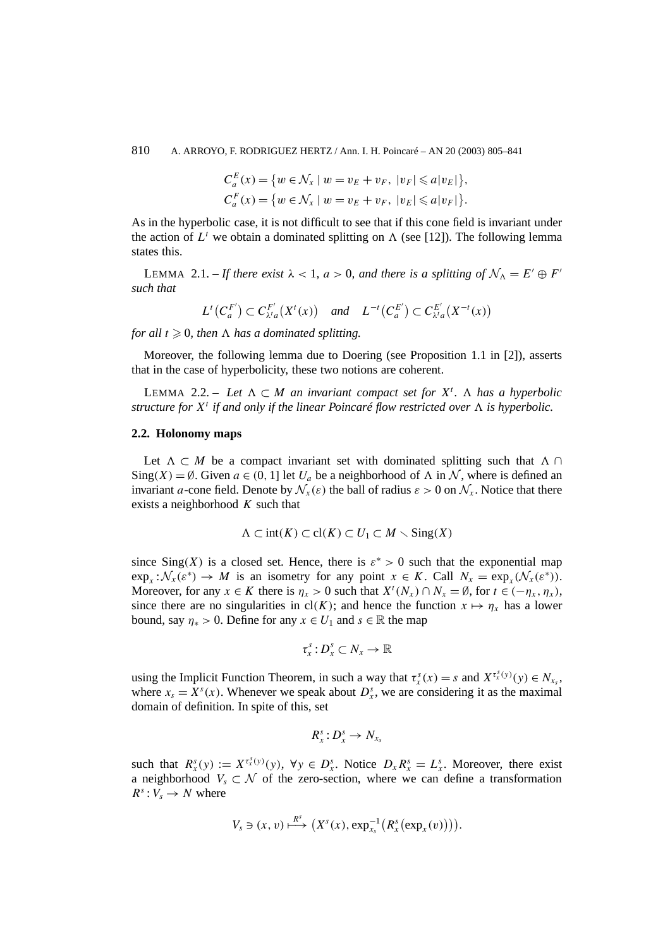810 A. ARROYO, F. RODRIGUEZ HERTZ / Ann. I. H. Poincaré – AN 20 (2003) 805–841

$$
C_a^E(x) = \{ w \in \mathcal{N}_x \mid w = v_E + v_F, \ |v_F| \leq a |v_E| \},
$$
  

$$
C_a^F(x) = \{ w \in \mathcal{N}_x \mid w = v_E + v_F, \ |v_E| \leq a |v_F| \}.
$$

As in the hyperbolic case, it is not difficult to see that if this cone field is invariant under the action of  $L^t$  we obtain a dominated splitting on  $\Lambda$  (see [12]). The following lemma states this.

LEMMA 2.1. – If there exist  $\lambda < 1$ ,  $a > 0$ , and there is a splitting of  $\mathcal{N}_{\Lambda} = E' \oplus F'$ *such that*

$$
L^t(C_a^{F'}) \subset C_{\lambda^t a}^{F'}(X^t(x)) \quad \text{and} \quad L^{-t}(C_a^{E'}) \subset C_{\lambda^t a}^{E'}(X^{-t}(x))
$$

*for all*  $t \geq 0$ *, then*  $\Lambda$  *has a dominated splitting.* 

Moreover, the following lemma due to Doering (see Proposition 1.1 in [2]), asserts that in the case of hyperbolicity, these two notions are coherent.

LEMMA 2.2. − Let  $\Lambda$  ⊂ *M* an invariant compact set for  $X<sup>t</sup>$ .  $\Lambda$  has a hyperbolic *structure for X<sup>t</sup> if and only if the linear Poincaré flow restricted over is hyperbolic.*

## **2.2. Holonomy maps**

Let  $\Lambda \subset M$  be a compact invariant set with dominated splitting such that  $\Lambda \cap$  $\text{Sing}(X) = \emptyset$ . Given  $a \in (0, 1]$  let  $U_a$  be a neighborhood of  $\Lambda$  in  $\mathcal{N}$ , where is defined an invariant *a*-cone field. Denote by  $\mathcal{N}_x(\varepsilon)$  the ball of radius  $\varepsilon > 0$  on  $\mathcal{N}_x$ . Notice that there exists a neighborhood *K* such that

$$
\Lambda \subset \text{int}(K) \subset \text{cl}(K) \subset U_1 \subset M \smallsetminus \text{Sing}(X)
$$

since  $\text{Sing}(X)$  is a closed set. Hence, there is  $\varepsilon^* > 0$  such that the exponential map  $\exp_x : \mathcal{N}_x(\varepsilon^*) \to M$  is an isometry for any point  $x \in K$ . Call  $N_x = \exp_x(\mathcal{N}_x(\varepsilon^*))$ . Moreover, for any  $x \in K$  there is  $\eta_x > 0$  such that  $X^t(N_x) \cap N_x = \emptyset$ , for  $t \in (-\eta_x, \eta_x)$ , since there are no singularities in  $cl(K)$ ; and hence the function  $x \mapsto \eta_x$  has a lower bound, say  $\eta_* > 0$ . Define for any  $x \in U_1$  and  $s \in \mathbb{R}$  the map

$$
\tau_x^s: D_x^s \subset N_x \to \mathbb{R}
$$

using the Implicit Function Theorem, in such a way that  $\tau_x^s(x) = s$  and  $X^{\tau_x^s(y)}(y) \in N_{x_s}$ , where  $x_s = X^s(x)$ . Whenever we speak about  $D_x^s$ , we are considering it as the maximal domain of definition. In spite of this, set

$$
R_x^s: D_x^s \to N_{x_s}
$$

such that  $R_x^s(y) := X^{\tau_x^s(y)}(y)$ ,  $\forall y \in D_x^s$ . Notice  $D_x R_x^s = L_x^s$ . Moreover, there exist a neighborhood  $V_s \subset \mathcal{N}$  of the zero-section, where we can define a transformation  $R^s: V_s \to N$  where

$$
V_s \ni (x, v) \stackrel{R^s}{\longmapsto} \big(X^s(x), \exp_{x_s}^{-1}\big(R_x^s(\exp_x(v))\big)\big).
$$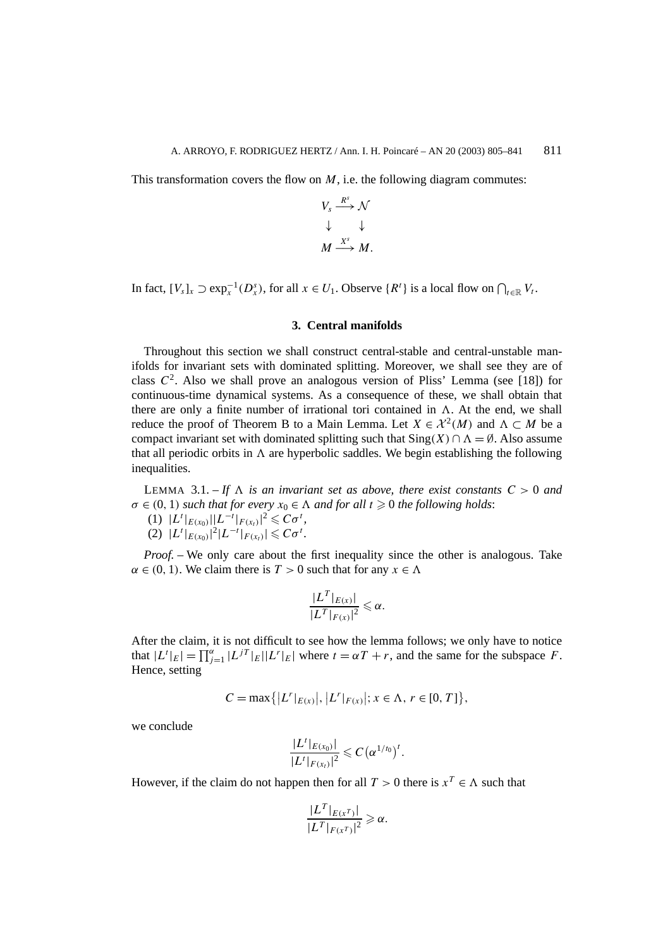This transformation covers the flow on *M*, i.e. the following diagram commutes:

$$
V_s \xrightarrow{R^s} \mathcal{N}
$$
  
\$\downarrow\$   
\$\mathcal{M} \xrightarrow{X^s} M\$.

In fact,  $[V_s]_x \supset \exp_x^{-1}(D_x^s)$ , for all  $x \in U_1$ . Observe  $\{R^t\}$  is a local flow on  $\bigcap_{t \in \mathbb{R}} V_t$ .

#### **3. Central manifolds**

Throughout this section we shall construct central-stable and central-unstable manifolds for invariant sets with dominated splitting. Moreover, we shall see they are of class  $C^2$ . Also we shall prove an analogous version of Pliss' Lemma (see [18]) for continuous-time dynamical systems. As a consequence of these, we shall obtain that there are only a finite number of irrational tori contained in  $\Lambda$ . At the end, we shall reduce the proof of Theorem B to a Main Lemma. Let  $X \in \mathcal{X}^2(M)$  and  $\Lambda \subset M$  be a compact invariant set with dominated splitting such that  $\text{Sing}(X) \cap \Lambda = \emptyset$ . Also assume that all periodic orbits in  $\Lambda$  are hyperbolic saddles. We begin establishing the following inequalities.

LEMMA 3.1.  $-If \Delta$  *is an invariant set as above, there exist constants*  $C > 0$  *and*  $\sigma \in (0, 1)$  *such that for every*  $x_0 \in \Lambda$  *and for all*  $t \ge 0$  *the following holds*:

- $(L^t|_{E(x_0)}||L^{-t}|_{F(x_t)}|^2 \leq C\sigma^t$
- $(|(2) | |L^t|_{E(x_0)}^2|^2 |L^{-t}|_{F(x_t)}^2| \leq C\sigma^t$ .

*Proof. –* We only care about the first inequality since the other is analogous. Take  $\alpha \in (0, 1)$ . We claim there is  $T > 0$  such that for any  $x \in \Lambda$ 

$$
\frac{|L^T|_{E(x)}|}{|L^T|_{F(x)}|^2} \leq \alpha.
$$

After the claim, it is not difficult to see how the lemma follows; we only have to notice that  $|L^t|_E = \prod_{j=1}^{\alpha} |L^{jT}|_E ||L^r|_E$  where  $t = \alpha T + r$ , and the same for the subspace *F*. Hence, setting

$$
C = \max\{|L^r|_{E(x)}|, |L^r|_{F(x)}|; x \in \Lambda, r \in [0, T]\},\
$$

we conclude

$$
\frac{|L^t|_{E(x_0)}|}{|L^t|_{F(x_t)}|^2} \leqslant C (\alpha^{1/t_0})^t.
$$

However, if the claim do not happen then for all  $T > 0$  there is  $x^T \in \Lambda$  such that

$$
\frac{|L^T|_{E(x^T)}|}{|L^T|_{F(x^T)}|^2} \ge \alpha.
$$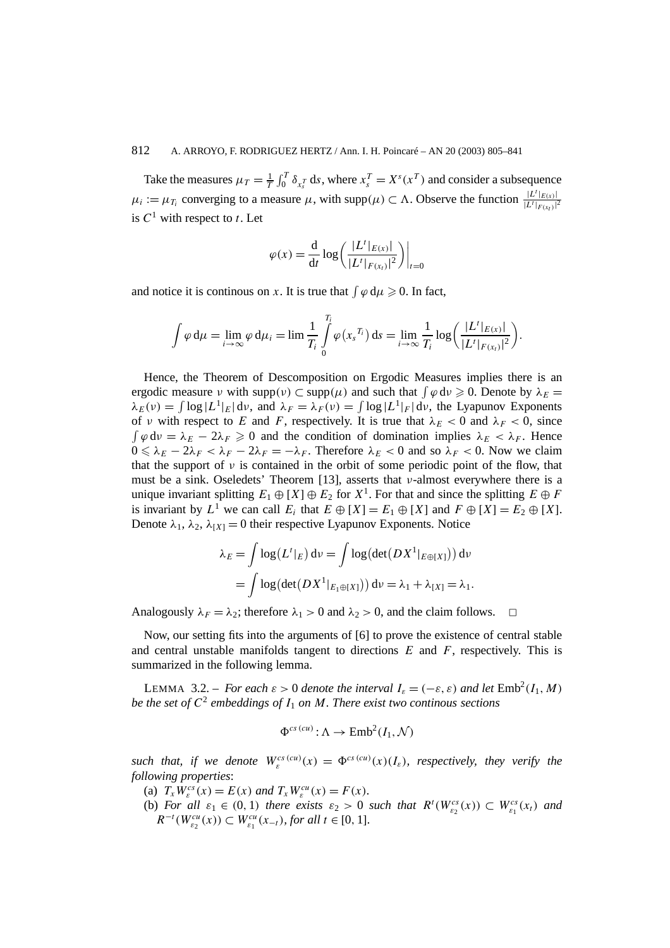Take the measures  $\mu_T = \frac{1}{T} \int_0^T \delta_{x_s} r \, ds$ , where  $x_s^T = X^s(x^T)$  and consider a subsequence  $\mu_i := \mu_{T_i}$  converging to a measure  $\mu$ , with supp $(\mu) \subset \Lambda$ . Observe the function  $\frac{|L^t|_{E(x)}|}{|L^t|_{E(x)}|}$  $|L^t|_{F(x_t)}|^2$ is  $C^1$  with respect to *t*. Let

$$
\varphi(x) = \frac{d}{dt} \log \left( \frac{|L^t|_{E(x)}|}{|L^t|_{F(x_t)}|^2} \right) \Big|_{t=0}
$$

and notice it is continous on *x*. It is true that  $\int \varphi \, d\mu \ge 0$ . In fact,

$$
\int \varphi \, \mathrm{d}\mu = \lim_{i \to \infty} \varphi \, \mathrm{d}\mu_i = \lim \frac{1}{T_i} \int_0^{T_i} \varphi(x_s^{T_i}) \, \mathrm{d}s = \lim_{i \to \infty} \frac{1}{T_i} \log \bigg( \frac{|L^t|_{E(x)}|}{|L^t|_{F(x_t)}|^2} \bigg).
$$

Hence, the Theorem of Descomposition on Ergodic Measures implies there is an ergodic measure *ν* with supp $(\nu) \subset \text{supp}(\mu)$  and such that  $\int \varphi \, d\nu \ge 0$ . Denote by  $\lambda_E =$  $\lambda_E(\nu) = \int \log |L^1|_E d\nu$ , and  $\lambda_F = \lambda_F(\nu) = \int \log |L^1|_F d\nu$ , the Lyapunov Exponents of *ν* with respect to *E* and *F*, respectively. It is true that  $\lambda_E < 0$  and  $\lambda_F < 0$ , since  $\int \varphi \, d\nu = \lambda_E - 2\lambda_F \geq 0$  and the condition of domination implies  $\lambda_E < \lambda_F$ . Hence  $0 \le \lambda_E - 2\lambda_F < \lambda_F - 2\lambda_F = -\lambda_F$ . Therefore  $\lambda_E < 0$  and so  $\lambda_F < 0$ . Now we claim that the support of  $\nu$  is contained in the orbit of some periodic point of the flow, that must be a sink. Oseledets' Theorem [13], asserts that *ν*-almost everywhere there is a unique invariant splitting  $E_1 \oplus [X] \oplus E_2$  for  $X^1$ . For that and since the splitting  $E \oplus F$ is invariant by  $L^1$  we can call  $E_i$  that  $E \oplus [X] = E_1 \oplus [X]$  and  $F \oplus [X] = E_2 \oplus [X]$ . Denote  $\lambda_1, \lambda_2, \lambda_{[X]} = 0$  their respective Lyapunov Exponents. Notice

$$
\lambda_E = \int \log(L^t|_E) \, \mathrm{d}\nu = \int \log(\det(DX^1|_{E \oplus [X]})) \, \mathrm{d}\nu
$$

$$
= \int \log(\det(DX^1|_{E_1 \oplus [X]})) \, \mathrm{d}\nu = \lambda_1 + \lambda_{[X]} = \lambda_1.
$$

Analogously  $\lambda_F = \lambda_2$ ; therefore  $\lambda_1 > 0$  and  $\lambda_2 > 0$ , and the claim follows.  $\Box$ 

Now, our setting fits into the arguments of [6] to prove the existence of central stable and central unstable manifolds tangent to directions *E* and *F*, respectively. This is summarized in the following lemma.

LEMMA 3.2. – *For each*  $\varepsilon > 0$  *denote the interval*  $I_{\varepsilon} = (-\varepsilon, \varepsilon)$  *and let*  $\text{Emb}^2(I_1, M)$ *be the set of*  $C^2$  *embeddings of*  $I_1$  *on*  $M$ *. There exist two continous sections* 

$$
\Phi^{cs\,(cu)}:\Lambda\to\text{Emb}^2(I_1,\mathcal{N})
$$

*such that, if we denote*  $W_{\varepsilon}^{cs \, (cu)}(x) = \Phi^{cs \, (cu)}(x) (I_{\varepsilon})$ *, respectively, they verify the following properties*:

- (a)  $T_x W_c^{cs}(x) = E(x)$  *and*  $T_x W_c^{cu}(x) = F(x)$ *.*
- (b) For all  $\varepsilon_1 \in (0,1)$  there exists  $\varepsilon_2 > 0$  such that  $R^t(W_{\varepsilon_2}^{cs}(x)) \subset W_{\varepsilon_1}^{cs}(x_t)$  and  $R^{-t}(W_{\varepsilon_2}^{cu}(x)) \subset W_{\varepsilon_1}^{cu}(x_{-t}),$  *for all*  $t \in [0, 1]$ *.*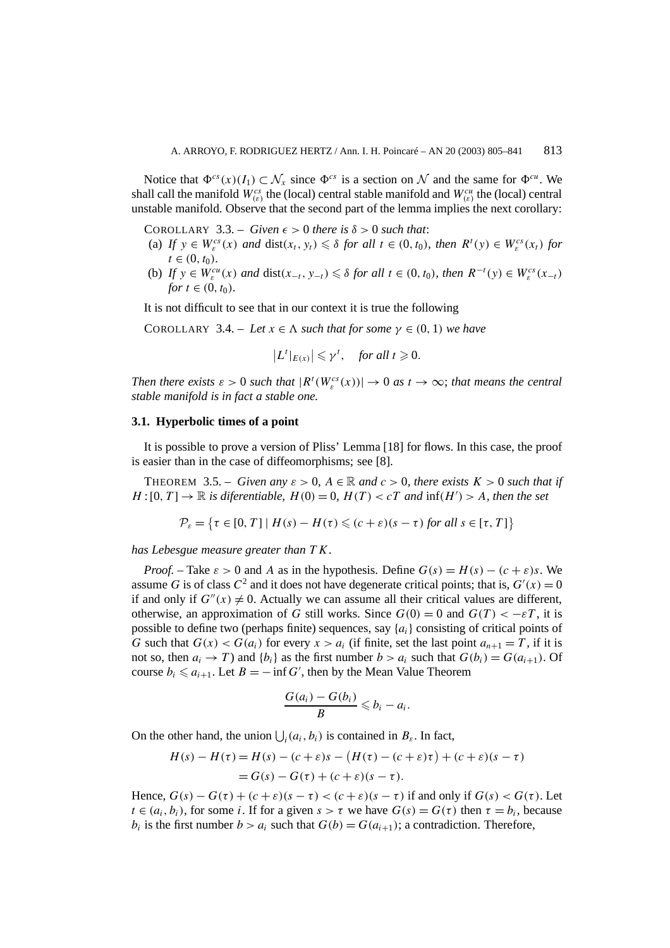Notice that  $\Phi^{cs}(x)(I_1) \subset \mathcal{N}_x$  since  $\Phi^{cs}$  is a section on N and the same for  $\Phi^{cu}$ . We shall call the manifold  $W_{(\varepsilon)}^{cs}$  the (local) central stable manifold and  $W_{(\varepsilon)}^{cu}$  the (local) central unstable manifold. Observe that the second part of the lemma implies the next corollary:

COROLLARY 3.3. – *Given*  $\epsilon > 0$  *there is*  $\delta > 0$  *such that*:

- (a) If  $y \in W_{\varepsilon}^{cs}(x)$  and  $dist(x_t, y_t) \leq \delta$  for all  $t \in (0, t_0)$ , then  $R^t(y) \in W_{\varepsilon}^{cs}(x_t)$  for  $t \in (0, t_0)$ *.*
- (b) If  $y \in W^{cu}_{\varepsilon}(x)$  and  $dist(x_{-t}, y_{-t}) \leq \delta$  for all  $t \in (0, t_0)$ , then  $R^{-t}(y) \in W^{cs}_{\varepsilon}(x_{-t})$ *for*  $t \in (0, t_0)$ *.*

It is not difficult to see that in our context it is true the following

COROLLARY 3.4. – Let  $x \in \Lambda$  such that for some  $\gamma \in (0, 1)$  we have

$$
\left|L^t|_{E(x)}\right| \leqslant \gamma^t, \quad \text{for all } t \geqslant 0.
$$

*Then there exists*  $\varepsilon > 0$  *such that*  $|R^t(W^{cs}_{\varepsilon}(x))| \to 0$  *as*  $t \to \infty$ ; *that means the central stable manifold is in fact a stable one.*

#### **3.1. Hyperbolic times of a point**

It is possible to prove a version of Pliss' Lemma [18] for flows. In this case, the proof is easier than in the case of diffeomorphisms; see [8].

**THEOREM** 3.5. – *Given any*  $\varepsilon > 0$ ,  $A \in \mathbb{R}$  and  $c > 0$ , there exists  $K > 0$  such that if  $H:[0, T] \to \mathbb{R}$  *is diferentiable,*  $H(0) = 0$ ,  $H(T) < cT$  *and*  $\inf(H') > A$ *, then the set* 

$$
\mathcal{P}_{\varepsilon} = \{ \tau \in [0, T] \mid H(s) - H(\tau) \leqslant (c + \varepsilon)(s - \tau) \text{ for all } s \in [\tau, T] \}
$$

*has Lebesgue measure greater than T K.*

*Proof.* – Take  $\varepsilon > 0$  and A as in the hypothesis. Define  $G(s) = H(s) - (c + \varepsilon)s$ . We assume *G* is of class  $C^2$  and it does not have degenerate critical points; that is,  $G'(x) = 0$ if and only if  $G''(x) \neq 0$ . Actually we can assume all their critical values are different, otherwise, an approximation of *G* still works. Since  $G(0) = 0$  and  $G(T) < -\varepsilon T$ , it is possible to define two (perhaps finite) sequences, say  $\{a_i\}$  consisting of critical points of *G* such that  $G(x) < G(a_i)$  for every  $x > a_i$  (if finite, set the last point  $a_{n+1} = T$ , if it is not so, then  $a_i \rightarrow T$  and  $\{b_i\}$  as the first number  $b > a_i$  such that  $G(b_i) = G(a_{i+1})$ . Of course  $b_i \leq a_{i+1}$ . Let  $B = -\inf G'$ , then by the Mean Value Theorem

$$
\frac{G(a_i)-G(b_i)}{B}\leqslant b_i-a_i.
$$

On the other hand, the union  $\bigcup_i (a_i, b_i)$  is contained in  $B_{\varepsilon}$ . In fact,

$$
H(s) - H(\tau) = H(s) - (c + \varepsilon)s - (H(\tau) - (c + \varepsilon)\tau) + (c + \varepsilon)(s - \tau)
$$
  
=  $G(s) - G(\tau) + (c + \varepsilon)(s - \tau)$ .

Hence,  $G(s) - G(\tau) + (c + \varepsilon)(s - \tau) < (c + \varepsilon)(s - \tau)$  if and only if  $G(s) < G(\tau)$ . Let  $t \in (a_i, b_i)$ , for some *i*. If for a given  $s > \tau$  we have  $G(s) = G(\tau)$  then  $\tau = b_i$ , because  $b_i$  is the first number  $b > a_i$  such that  $G(b) = G(a_{i+1})$ ; a contradiction. Therefore,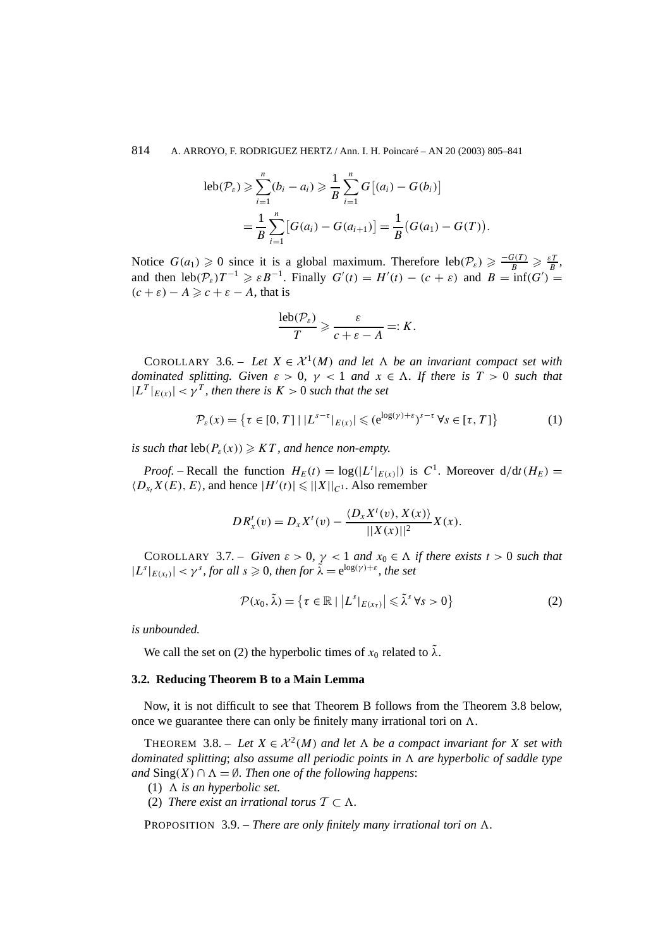814 A. ARROYO, F. RODRIGUEZ HERTZ / Ann. I. H. Poincaré – AN 20 (2003) 805–841

$$
\begin{aligned} \operatorname{leb}(\mathcal{P}_{\varepsilon}) &\geq \sum_{i=1}^{n} (b_i - a_i) \geq \frac{1}{B} \sum_{i=1}^{n} G\big[(a_i) - G(b_i)\big] \\ &= \frac{1}{B} \sum_{i=1}^{n} \big[G(a_i) - G(a_{i+1})\big] = \frac{1}{B} \big(G(a_1) - G(T)\big). \end{aligned}
$$

Notice  $G(a_1) \ge 0$  since it is a global maximum. Therefore  $\text{leb}(\mathcal{P}_{\varepsilon}) \ge \frac{-G(T)}{B} \ge \frac{\varepsilon T}{B}$ , and then  $\text{leb}(\mathcal{P}_{\varepsilon})T^{-1} \geq \varepsilon B^{-1}$ . Finally  $G'(t) = H'(t) - (c + \varepsilon)$  and  $B = \text{inf}(G') =$  $(c + \varepsilon) - A \geqslant c + \varepsilon - A$ , that is

$$
\frac{\text{leb}(\mathcal{P}_{\varepsilon})}{T} \geqslant \frac{\varepsilon}{c+\varepsilon-A}=:K.
$$

COROLLARY 3.6. – Let  $X \in \mathcal{X}^1(M)$  and let  $\Lambda$  be an invariant compact set with *dominated splitting. Given*  $\varepsilon > 0$ ,  $\gamma < 1$  *and*  $x \in \Lambda$ . If there is  $T > 0$  *such that*  $|L^T|_{E(x)}| < \gamma^T$ , then there is  $K > 0$  such that the set

$$
\mathcal{P}_{\varepsilon}(x) = \left\{ \tau \in [0, T] \mid |L^{s-\tau}|_{E(x)}| \leq (e^{\log(\gamma) + \varepsilon})^{s-\tau} \,\forall s \in [\tau, T] \right\} \tag{1}
$$

*is such that*  $\text{leb}(P_{\varepsilon}(x)) \geq KT$ , and hence non-empty.

*Proof.* – Recall the function  $H_E(t) = \log(|L^t|_{E(x)}|)$  is  $C^1$ . Moreover  $d/dt(H_E) =$  $\langle D_{x_t} X(E), E \rangle$ , and hence  $|H'(t)| \leq |X||_{C^1}$ . Also remember

$$
DR_x^t(v) = D_xX^t(v) - \frac{\langle D_xX^t(v), X(x) \rangle}{\|X(x)\|^2}X(x).
$$

COROLLARY 3.7. – *Given*  $\varepsilon > 0$ ,  $\gamma < 1$  *and*  $x_0 \in \Lambda$  *if there exists*  $t > 0$  *such that*  $|L^s|_{E(x_t)}| < \gamma^s$ , for all  $s \ge 0$ , then for  $\tilde{\lambda} = e^{\log(\gamma) + \varepsilon}$ , the set

$$
\mathcal{P}(x_0, \tilde{\lambda}) = \{ \tau \in \mathbb{R} \mid \left| L^s|_{E(x_\tau)} \right| \leqslant \tilde{\lambda}^s \, \forall s > 0 \}
$$
\n(2)

*is unbounded.*

We call the set on (2) the hyperbolic times of  $x_0$  related to  $\tilde{\lambda}$ .

## **3.2. Reducing Theorem B to a Main Lemma**

Now, it is not difficult to see that Theorem B follows from the Theorem 3.8 below, once we guarantee there can only be finitely many irrational tori on  $\Lambda$ .

THEOREM 3.8. – Let  $X \in \mathcal{X}^2(M)$  and let  $\Lambda$  be a compact invariant for X set with *dominated splitting*; *also assume all periodic points in*  $\Lambda$  *are hyperbolic of saddle type and*  $\text{Sing}(X) \cap \Lambda = ∅$ *. Then one of the following happens:* 

(1)  $\Lambda$  *is an hyperbolic set.* 

(2) *There exist an irrational torus*  $\mathcal{T} \subset \Lambda$ .

PROPOSITION 3.9. – *There are only finitely many irrational tori on*  $\Lambda$ .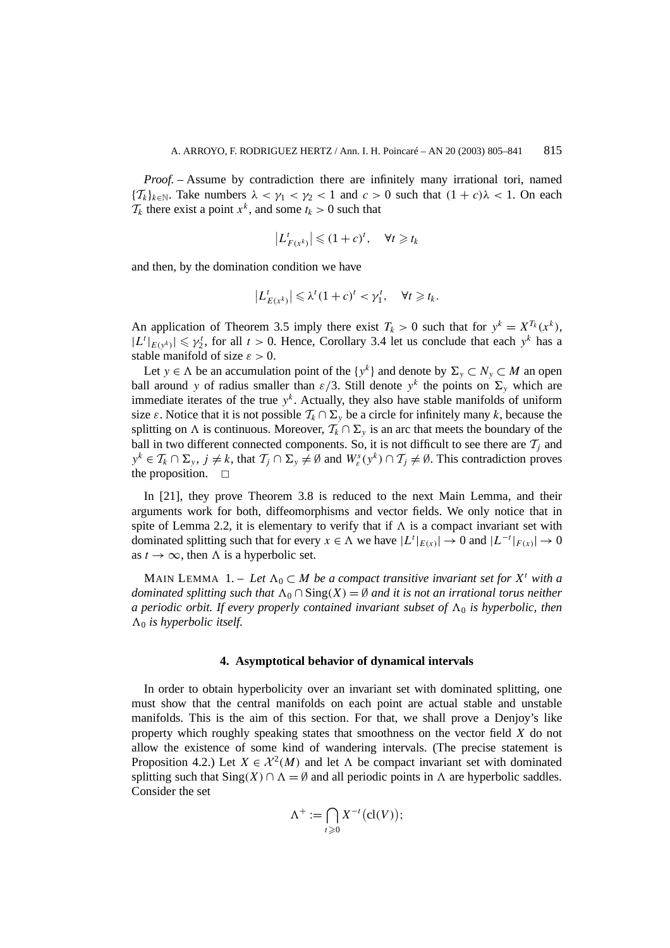*Proof. –* Assume by contradiction there are infinitely many irrational tori, named  $\{T_k\}_{k \in \mathbb{N}}$ . Take numbers  $\lambda < \gamma_1 < \gamma_2 < 1$  and  $c > 0$  such that  $(1 + c)\lambda < 1$ . On each  $\mathcal{T}_k$  there exist a point  $x^k$ , and some  $t_k > 0$  such that

$$
\left| L_{F(x^k)}^t \right| \leqslant (1+c)^t, \quad \forall t \geqslant t_k
$$

and then, by the domination condition we have

$$
\left|L_{E(x^k)}^t\right| \leq \lambda^t (1+c)^t < \gamma_1^t, \quad \forall t \geq t_k.
$$

An application of Theorem 3.5 imply there exist  $T_k > 0$  such that for  $y^k = X^{T_k}(x^k)$ ,  $|L^t|_{E(y^k)}| \leq \gamma_2^t$ , for all  $t > 0$ . Hence, Corollary 3.4 let us conclude that each  $y^k$  has a stable manifold of size *ε >* 0.

Let *y*  $\in \Lambda$  be an accumulation point of the {*y<sup>k</sup>*} and denote by  $\Sigma_{\nu} \subset N_{\nu} \subset M$  an open ball around *y* of radius smaller than  $\varepsilon/3$ . Still denote  $y^k$  the points on  $\Sigma_y$  which are immediate iterates of the true  $y<sup>k</sup>$ . Actually, they also have stable manifolds of uniform size  $\varepsilon$ . Notice that it is not possible  $\mathcal{T}_k \cap \Sigma_{\nu}$  be a circle for infinitely many *k*, because the splitting on  $\Lambda$  is continuous. Moreover,  $\mathcal{T}_k \cap \Sigma_{\nu}$  is an arc that meets the boundary of the ball in two different connected components. So, it is not difficult to see there are  $\mathcal{T}_i$  and  $y^k \in \mathcal{T}_k \cap \Sigma_y$ ,  $j \neq k$ , that  $\mathcal{T}_j \cap \Sigma_y \neq \emptyset$  and  $W^s_{\varepsilon}(y^k) \cap \mathcal{T}_j \neq \emptyset$ . This contradiction proves the proposition.  $\square$ 

In [21], they prove Theorem 3.8 is reduced to the next Main Lemma, and their arguments work for both, diffeomorphisms and vector fields. We only notice that in spite of Lemma 2.2, it is elementary to verify that if  $\Lambda$  is a compact invariant set with dominated splitting such that for every  $x \in \Lambda$  we have  $|L^t|_{E(x)}| \to 0$  and  $|L^{-t}|_{F(x)}| \to 0$ as  $t \to \infty$ , then  $\Lambda$  is a hyperbolic set.

MAIN LEMMA 1. – Let  $\Lambda_0 \subset M$  be a compact transitive invariant set for  $X^t$  with a *dominated splitting such that*  $\Lambda_0 \cap \text{Sing}(X) = \emptyset$  *and it is not an irrational torus neither a periodic orbit. If every properly contained invariant subset of*  $\Lambda_0$  *is hyperbolic, then*  $\Lambda_0$  *is hyperbolic itself.* 

#### **4. Asymptotical behavior of dynamical intervals**

In order to obtain hyperbolicity over an invariant set with dominated splitting, one must show that the central manifolds on each point are actual stable and unstable manifolds. This is the aim of this section. For that, we shall prove a Denjoy's like property which roughly speaking states that smoothness on the vector field *X* do not allow the existence of some kind of wandering intervals. (The precise statement is Proposition 4.2.) Let  $X \in \mathcal{X}^2(M)$  and let  $\Lambda$  be compact invariant set with dominated splitting such that  $\text{Sing}(X) \cap \Lambda = \emptyset$  and all periodic points in  $\Lambda$  are hyperbolic saddles. Consider the set

$$
\Lambda^+ := \bigcap_{t \geq 0} X^{-t} (\mathrm{cl}(V));
$$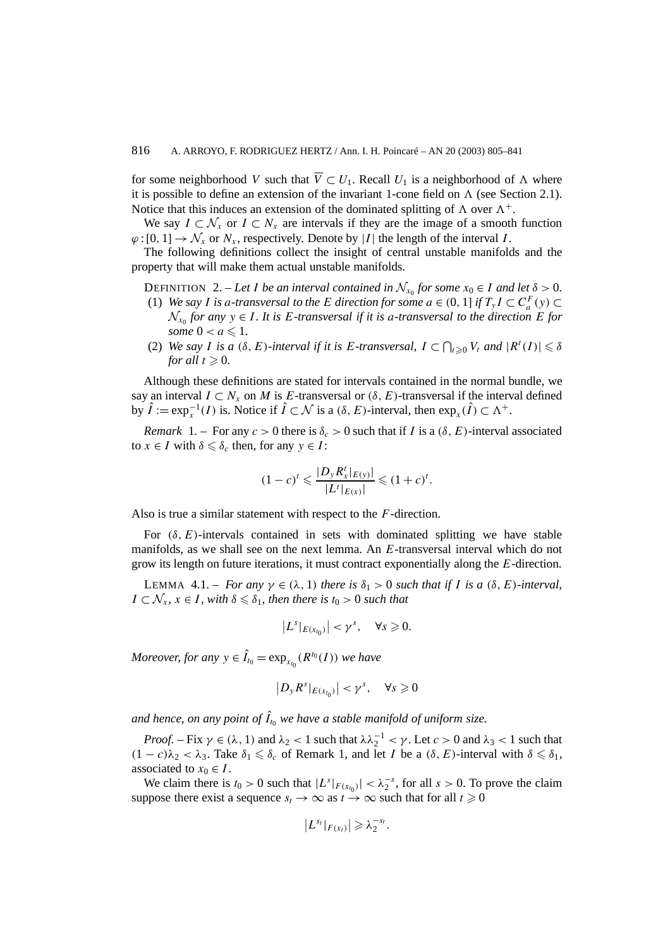for some neighborhood *V* such that  $\overline{V} \subset U_1$ . Recall  $U_1$  is a neighborhood of  $\Lambda$  where it is possible to define an extension of the invariant 1-cone field on  $\Lambda$  (see Section 2.1). Notice that this induces an extension of the dominated splitting of  $\Lambda$  over  $\Lambda^+$ .

We say  $I \subset \mathcal{N}_{x}$  or  $I \subset N_{x}$  are intervals if they are the image of a smooth function  $\varphi$ : [0, 1]  $\rightarrow$   $\mathcal{N}_x$  or  $\mathcal{N}_x$ , respectively. Denote by |*I*| the length of the interval *I*.

The following definitions collect the insight of central unstable manifolds and the property that will make them actual unstable manifolds.

DEFINITION 2. – Let *I* be an interval contained in  $\mathcal{N}_{x_0}$  for some  $x_0 \in I$  and let  $\delta > 0$ .

- (1) *We say I is a-transversal to the E direction for some*  $a \in (0, 1]$  *<i>if*  $T_y I \subset C_a^F(y) \subset$  $\mathcal{N}_{x_0}$  *for any*  $y \in I$ . It is *E*-transversal if it is a-transversal to the direction *E for*  $some\ 0 < a \leqslant 1.$
- (2) We say *I* is a  $(\delta, E)$ -interval if it is E-transversal,  $I \subset \bigcap_{t \geq 0} V_t$  and  $|R^t(I)| \leq \delta$ *for all*  $t \ge 0$ *.*

Although these definitions are stated for intervals contained in the normal bundle, we say an interval  $I \subset N_x$  on *M* is *E*-transversal or  $(\delta, E)$ -transversal if the interval defined by  $\hat{I} := \exp_{x}^{-1}(I)$  is. Notice if  $\hat{I} \subset \mathcal{N}$  is a  $(\delta, E)$ -interval, then  $\exp_{x}(\hat{I}) \subset \Lambda^{+}$ .

*Remark* 1. – For any  $c > 0$  there is  $\delta_c > 0$  such that if *I* is a  $(\delta, E)$ -interval associated to  $x \in I$  with  $\delta \leq \delta_c$  then, for any  $y \in I$ :

$$
(1-c)^{t} \leq \frac{|D_{y}R_{x}^{t}|_{E(y)}|}{|L^{t}|_{E(x)}|} \leq (1+c)^{t}.
$$

Also is true a similar statement with respect to the *F*-direction.

For  $(\delta, E)$ -intervals contained in sets with dominated splitting we have stable manifolds, as we shall see on the next lemma. An *E*-transversal interval which do not grow its length on future iterations, it must contract exponentially along the *E*-direction.

LEMMA 4.1. − *For any*  $γ ∈ (λ, 1)$  *there is*  $δ₁ > 0$  *such that if I is a*  $(δ, E)$ *-interval,*  $I \subset \mathcal{N}_x$ ,  $x \in I$ , with  $\delta \leq \delta_1$ , then there is  $t_0 > 0$  such that

$$
\left|L^{s}|_{E(x_{t_0})}\right| < \gamma^s, \quad \forall s \geq 0.
$$

*Moreover, for any*  $y \in \hat{I}_{t_0} = \exp_{x_{t_0}}(R^{t_0}(I))$  we have

$$
\left|D_{y}R^{s}|_{E(x_{t_0})}\right| < \gamma^{s}, \quad \forall s \geqslant 0
$$

*and hence, on any point of*  $\hat{I}_{t_0}$  *we have a stable manifold of uniform size.* 

*Proof.* – Fix  $\gamma \in (\lambda, 1)$  and  $\lambda_2 < 1$  such that  $\lambda \lambda_2^{-1} < \gamma$ . Let  $c > 0$  and  $\lambda_3 < 1$  such that  $(1 - c)\lambda_2 < \lambda_3$ . Take  $\delta_1 \leq \delta_c$  of Remark 1, and let *I* be a  $(\delta, E)$ -interval with  $\delta \leq \delta_1$ , associated to  $x_0 \in I$ .

We claim there is  $t_0 > 0$  such that  $|L^s|_{F(x_{t_0})}| < \lambda_2^{-s}$ , for all  $s > 0$ . To prove the claim suppose there exist a sequence  $s_t \to \infty$  as  $t \to \infty$  such that for all  $t \ge 0$ 

$$
\left|L^{s_t}|_{F(x_t)}\right| \geqslant \lambda_2^{-s_t}.
$$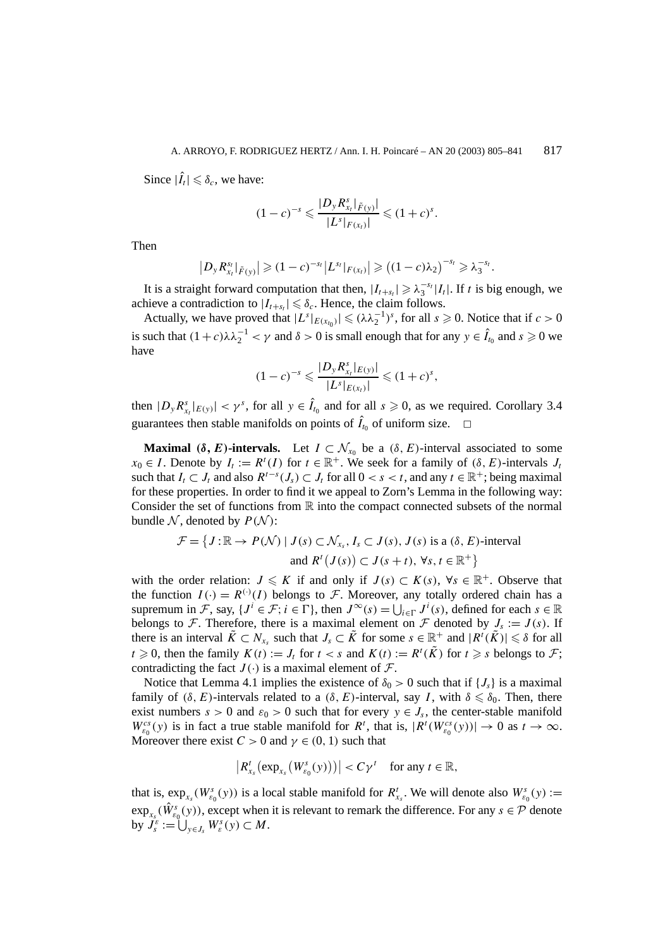Since  $|\hat{I}_t| \leq \delta_c$ , we have:

$$
(1-c)^{-s} \leqslant \frac{|D_{y}R_{x_{t}}^{s}|_{\tilde{F}(y)}|}{|L^{s}|_{F(x_{t})}|} \leqslant (1+c)^{s}.
$$

Then

$$
\left|D_{y} R_{x_{t}}^{s_{t}}|_{\tilde{F}(y)}\right| \geqslant (1-c)^{-s_{t}}\left|L^{s_{t}}|_{F(x_{t})}\right| \geqslant \left((1-c)\lambda_{2}\right)^{-s_{t}} \geqslant \lambda_{3}^{-s_{t}}.
$$

It is a straight forward computation that then,  $|I_{t+s_t}| \geq \lambda_3^{-s_t} |I_t|$ . If *t* is big enough, we achieve a contradiction to  $|I_{t+s_t}| \leq \delta_c$ . Hence, the claim follows.

Actually, we have proved that  $|L^s|_{E(x_{t_0})}| \le (\lambda \lambda_2^{-1})^s$ , for all  $s \ge 0$ . Notice that if  $c > 0$ is such that  $(1 + c)\lambda \lambda_2^{-1} < \gamma$  and  $\delta > 0$  is small enough that for any  $y \in \hat{I}_{t_0}$  and  $s \ge 0$  we have

$$
(1-c)^{-s} \leq \frac{|D_{y}R_{x_t}^{s}|_{E(y)}|}{|L^{s}|_{E(x_t)}|} \leq (1+c)^{s},
$$

then  $|D_y R_{x_t}^s|_{E(y)}| < \gamma^s$ , for all  $y \in \hat{I}_{t_0}$  and for all  $s \ge 0$ , as we required. Corollary 3.4 guarantees then stable manifolds on points of  $\hat{I}_{t_0}$  of uniform size.  $\Box$ 

**Maximal**  $(\delta, E)$ **-intervals.** Let  $I \subset \mathcal{N}_{x_0}$  be a  $(\delta, E)$ -interval associated to some  $x_0 \in I$ . Denote by  $I_t := R^t(I)$  for  $t \in \mathbb{R}^+$ . We seek for a family of  $(\delta, E)$ -intervals  $J_t$ such that  $I_t \subset J_t$  and also  $R^{t-s}(J_s) \subset J_t$  for all  $0 < s < t$ , and any  $t \in \mathbb{R}^+$ ; being maximal for these properties. In order to find it we appeal to Zorn's Lemma in the following way: Consider the set of functions from  $\mathbb R$  into the compact connected subsets of the normal bundle N, denoted by  $P(N)$ :

$$
\mathcal{F} = \{ J : \mathbb{R} \to P(\mathcal{N}) \mid J(s) \subset \mathcal{N}_{x_s}, I_s \subset J(s), J(s) \text{ is a } (\delta, E)\text{-interval}
$$
  
and  $R^t(J(s)) \subset J(s+t), \forall s, t \in \mathbb{R}^+\}$ 

with the order relation:  $J \leq K$  if and only if  $J(s) \subset K(s)$ ,  $\forall s \in \mathbb{R}^+$ . Observe that the function  $I(\cdot) = R^{(\cdot)}(I)$  belongs to F. Moreover, any totally ordered chain has a supremum in F, say,  $\{J^i \in \mathcal{F} : i \in \Gamma\}$ , then  $J^\infty(s) = \bigcup_{i \in \Gamma} J^i(s)$ , defined for each  $s \in \mathbb{R}$ belongs to F. Therefore, there is a maximal element on F denoted by  $J_s := J(s)$ . If there is an interval  $\tilde{K} \subset N_{x_s}$  such that  $J_s \subset \tilde{K}$  for some  $s \in \mathbb{R}^+$  and  $|R^t(\tilde{K})| \leq \delta$  for all  $t \geq 0$ , then the family  $K(t) := J_t$  for  $t < s$  and  $K(t) := R^t(\tilde{K})$  for  $t \geq s$  belongs to  $\mathcal{F}$ ; contradicting the fact  $J(\cdot)$  is a maximal element of  $\mathcal{F}$ .

Notice that Lemma 4.1 implies the existence of  $\delta_0 > 0$  such that if  $\{J_s\}$  is a maximal family of  $(\delta, E)$ -intervals related to a  $(\delta, E)$ -interval, say *I*, with  $\delta \leq \delta_0$ . Then, there exist numbers  $s > 0$  and  $\varepsilon_0 > 0$  such that for every  $y \in J_s$ , the center-stable manifold  $W_{\varepsilon_0}^{cs}(y)$  is in fact a true stable manifold for *R<sup>t</sup>*, that is,  $|R^t(W_{\varepsilon_0}^{cs}(y))| \to 0$  as  $t \to \infty$ . Moreover there exist  $C > 0$  and  $\gamma \in (0, 1)$  such that

$$
\left|R_{x_s}^t(\exp_{x_s}\left(W_{\varepsilon_0}^s(y)\right)\right)| < C\gamma^t \quad \text{for any } t \in \mathbb{R},
$$

that is,  $\exp_{x_s}(W_{\varepsilon_0}^s(y))$  is a local stable manifold for  $R_{x_s}^t$ . We will denote also  $W_{\varepsilon_0}^s(y) :=$  $\exp_{x_s}(\hat{W}_{\varepsilon_0}^s(y))$ , except when it is relevant to remark the difference. For any  $s \in \mathcal{P}$  denote  $\bigcup_{y \in J_s} W^s_{\varepsilon}(y) \subset M$ .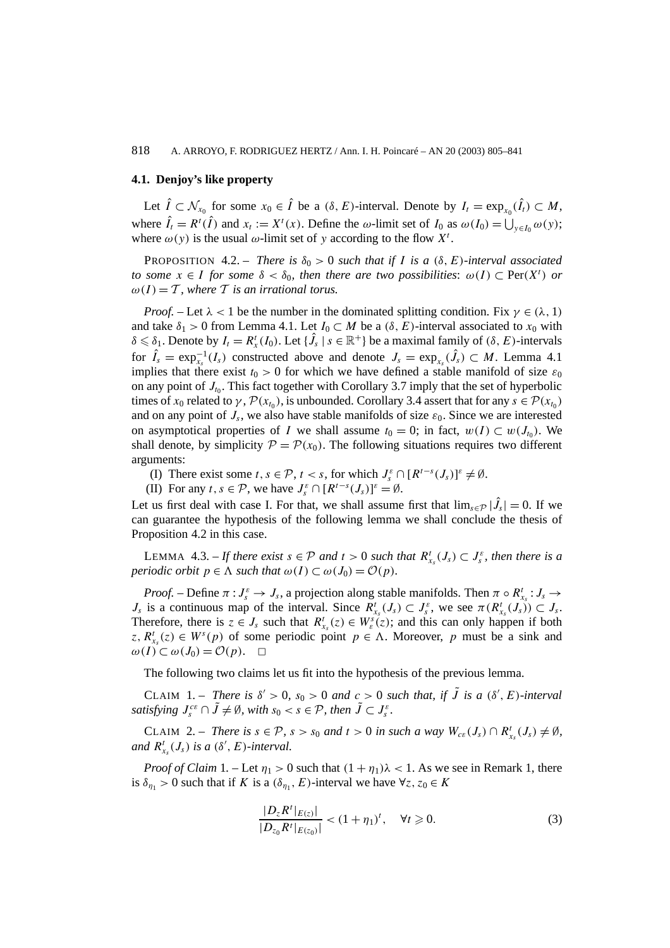# **4.1. Denjoy's like property**

Let  $\hat{I} \subset \mathcal{N}_{x_0}$  for some  $x_0 \in \hat{I}$  be a  $(\delta, E)$ -interval. Denote by  $I_t = \exp_{x_0}(\hat{I}_t) \subset M$ , where  $\hat{I}_t = R^t(\hat{I})$  and  $x_t := X^t(x)$ . Define the *ω*-limit set of  $I_0$  as  $\omega(I_0) = \bigcup_{y \in I_0} \omega(y)$ ; where  $\omega(y)$  is the usual  $\omega$ -limit set of y according to the flow  $X^t$ .

**PROPOSITION** 4.2. – *There is*  $\delta_0 > 0$  *such that if I is a*  $(\delta, E)$ *-interval associated to some*  $x \in I$  *for some*  $\delta < \delta_0$ *, then there are two possibilities:*  $\omega(I) \subset Per(X^t)$  *or*  $\omega(I) = T$ , where T is an irrational torus.

*Proof.* – Let  $\lambda$  < 1 be the number in the dominated splitting condition. Fix  $\gamma \in (\lambda, 1)$ and take  $\delta_1 > 0$  from Lemma 4.1. Let  $I_0 \subset M$  be a  $(\delta, E)$ -interval associated to  $x_0$  with  $\delta \leq \delta_1$ . Denote by  $I_t = R^t_x(I_0)$ . Let  $\{\hat{J}_s \mid s \in \mathbb{R}^+\}$  be a maximal family of  $(\delta, E)$ -intervals for  $\hat{I}_s = \exp_{x_s}^{-1}(I_s)$  constructed above and denote  $J_s = \exp_{x_s}(\hat{J}_s) \subset M$ . Lemma 4.1 implies that there exist  $t_0 > 0$  for which we have defined a stable manifold of size  $\varepsilon_0$ on any point of  $J<sub>to</sub>$ . This fact together with Corollary 3.7 imply that the set of hyperbolic times of  $x_0$  related to  $\gamma$ ,  $\mathcal{P}(x_{t_0})$ , is unbounded. Corollary 3.4 assert that for any  $s \in \mathcal{P}(x_{t_0})$ and on any point of  $J_s$ , we also have stable manifolds of size  $\varepsilon_0$ . Since we are interested on asymptotical properties of *I* we shall assume  $t_0 = 0$ ; in fact,  $w(I) \subset w(J_{t_0})$ . We shall denote, by simplicity  $\mathcal{P} = \mathcal{P}(x_0)$ . The following situations requires two different arguments:

- (I) There exist some  $t, s \in \mathcal{P}, t < s$ , for which  $J_s^{\varepsilon} \cap [R^{t-s}(J_s)]^{\varepsilon} \neq \emptyset$ .
- (II) For any  $t, s \in \mathcal{P}$ , we have  $J_s^{\varepsilon} \cap [R^{t-s}(J_s)]^{\varepsilon} = \emptyset$ .

Let us first deal with case I. For that, we shall assume first that  $\lim_{s \in \mathcal{P}} |\hat{J}_s| = 0$ . If we can guarantee the hypothesis of the following lemma we shall conclude the thesis of Proposition 4.2 in this case.

LEMMA 4.3. – If there exist  $s \in \mathcal{P}$  and  $t > 0$  such that  $R^t_{x_s}(J_s) \subset J^{\varepsilon}_s$ , then there is a *periodic orbit*  $p \in \Lambda$  *such that*  $\omega(I) \subset \omega(J_0) = \mathcal{O}(p)$ *.* 

*Proof.* – Define  $\pi : J_s^{\varepsilon} \to J_s$ , a projection along stable manifolds. Then  $\pi \circ R_{x_s}^t : J_s \to$ *J<sub>s</sub>* is a continuous map of the interval. Since  $R^t_{x_s}(J_s) \subset J^{\varepsilon}_s$ , we see  $\pi(R^t_{x_s}(J_s)) \subset J_s$ . Therefore, there is  $z \in J_s$  such that  $R^t_{x_s}(z) \in W^s_{\varepsilon}(z)$ ; and this can only happen if both  $z, R^t_{x_s}(z) \in W^s(p)$  of some periodic point  $p \in \Lambda$ . Moreover, *p* must be a sink and  $\omega(I) \subset \omega(J_0) = \mathcal{O}(p)$ .  $\Box$ 

The following two claims let us fit into the hypothesis of the previous lemma.

CLAIM 1. – *There is*  $\delta' > 0$ ,  $s_0 > 0$  *and*  $c > 0$  *such that, if*  $\tilde{J}$  *is a*  $(\delta', E)$ *-interval satisfying*  $J_s^{cs} \cap \tilde{J} \neq \emptyset$ , with  $s_0 < s \in \mathcal{P}$ , then  $\tilde{J} \subset J_s^{\varepsilon}$ .

CLAIM 2. – *There is*  $s \in \mathcal{P}$ ,  $s > s_0$  *and*  $t > 0$  *in such a way*  $W_{cs}(J_s) \cap R_{x_s}^t(J_s) \neq \emptyset$ , *and*  $R_{x_s}^t(J_s)$  *is a* ( $\delta$ ', E)*-interval.* 

*Proof of Claim* 1. – Let  $\eta_1 > 0$  such that  $(1 + \eta_1)\lambda < 1$ . As we see in Remark 1, there is  $\delta_{\eta_1} > 0$  such that if *K* is a  $(\delta_{\eta_1}, E)$ -interval we have  $\forall z, z_0 \in K$ 

$$
\frac{|D_z R^t|_{E(z)}|}{|D_{z_0} R^t|_{E(z_0)}|} < (1 + \eta_1)^t, \quad \forall t \geq 0. \tag{3}
$$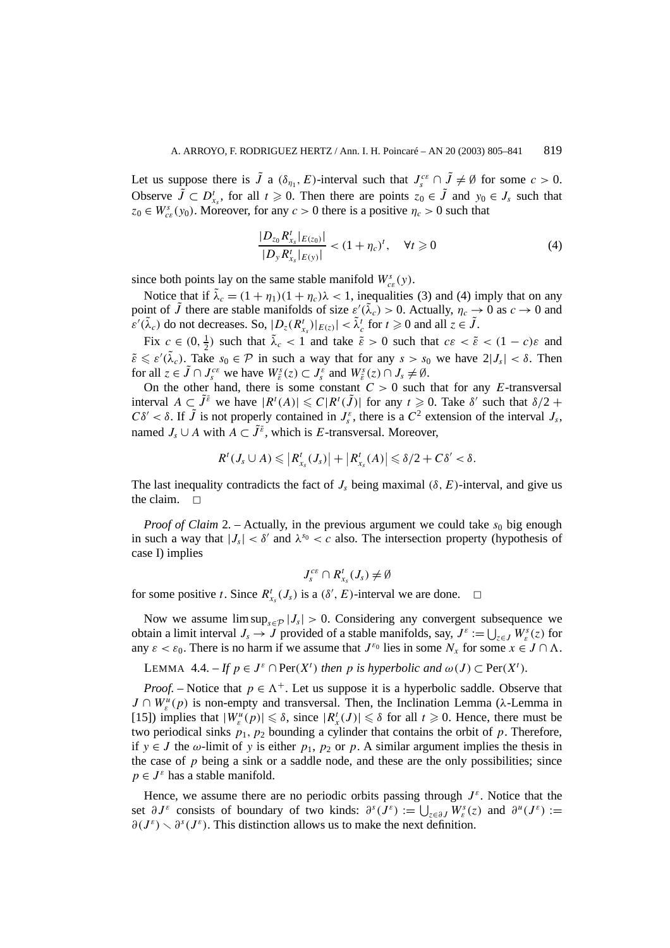Let us suppose there is  $\tilde{J}$  a  $(\delta_{\eta_1}, E)$ -interval such that  $J_s^{ce} \cap \tilde{J} \neq \emptyset$  for some  $c > 0$ . Observe  $\tilde{J} \subset D_{x_s}^t$ , for all  $t \ge 0$ . Then there are points  $z_0 \in \tilde{J}$  and  $y_0 \in J_s$  such that  $z_0 \in W_{cs}^s(y_0)$ . Moreover, for any  $c > 0$  there is a positive  $\eta_c > 0$  such that

$$
\frac{|D_{z_0}R_{x_s}^t|_{E(z_0)}|}{|D_yR_{x_s}^t|_{E(y)}|} < (1+\eta_c)^t, \quad \forall t \geq 0 \tag{4}
$$

since both points lay on the same stable manifold  $W_{cs}^s(y)$ .

Notice that if  $\tilde{\lambda}_c = (1 + \eta_1)(1 + \eta_c)\lambda < 1$ , inequalities (3) and (4) imply that on any point of  $\tilde{J}$  there are stable manifolds of size  $\varepsilon'(\tilde{\lambda}_c) > 0$ . Actually,  $\eta_c \to 0$  as  $c \to 0$  and  $\epsilon'(\tilde{\lambda}_c)$  do not decreases. So,  $|D_z(R_{x_s}^t)|_{E(z)}| < \tilde{\lambda}_c^t$  for  $t \ge 0$  and all  $z \in \tilde{J}$ .

Fix  $c \in (0, \frac{1}{2})$  such that  $\tilde{\lambda}_c < 1$  and take  $\tilde{\varepsilon} > 0$  such that  $c\varepsilon < \tilde{\varepsilon} < (1 - c)\varepsilon$  and  $\tilde{\varepsilon} \leq \varepsilon'(\tilde{\lambda}_c)$ . Take  $s_0 \in \mathcal{P}$  in such a way that for any  $s > s_0$  we have  $2|J_s| < \delta$ . Then for all  $z \in \tilde{J} \cap J_s^{cs}$  we have  $W_{\tilde{\varepsilon}}^s(z) \subset J_s^{\varepsilon}$  and  $W_{\tilde{\varepsilon}}^s(z) \cap J_s \neq \emptyset$ .

On the other hand, there is some constant  $C > 0$  such that for any *E*-transversal interval  $A \subset \tilde{J}^{\tilde{\varepsilon}}$  we have  $|R^{t}(A)| \leq C |R^{t}(\tilde{J})|$  for any  $t \geq 0$ . Take  $\delta'$  such that  $\delta/2 +$  $C\delta' < \delta$ . If  $\tilde{J}$  is not properly contained in  $J_s^{\varepsilon}$ , there is a  $C^2$  extension of the interval  $J_s$ , named  $J_s \cup A$  with  $A \subset \tilde{J}^{\tilde{\epsilon}}$ , which is *E*-transversal. Moreover,

$$
R^t(J_s\cup A)\leqslant \left|R^t_{x_s}(J_s)\right|+\left|R^t_{x_s}(A)\right|\leqslant \delta/2+C\delta'<\delta.
$$

The last inequality contradicts the fact of  $J_s$  being maximal  $(\delta, E)$ -interval, and give us the claim.  $\square$ 

*Proof of Claim* 2. – Actually, in the previous argument we could take  $s_0$  big enough in such a way that  $|J_s| < \delta'$  and  $\lambda^{s_0} < c$  also. The intersection property (hypothesis of case I) implies

$$
J_s^{c\varepsilon} \cap R_{x_s}^t(J_s) \neq \emptyset
$$

for some positive *t*. Since  $R_{x_s}^t(J_s)$  is a  $(\delta', E)$ -interval we are done.  $\Box$ 

Now we assume  $\limsup_{\varepsilon \in \mathcal{D}} |J_{s}| > 0$ . Considering any convergent subsequence we obtain a limit interval  $J_s \to J$  provided of a stable manifolds, say,  $J^{\varepsilon} := \bigcup_{z \in J} W^s_{\varepsilon}(z)$  for any  $\varepsilon < \varepsilon_0$ . There is no harm if we assume that  $J^{\varepsilon_0}$  lies in some  $N_x$  for some  $x \in J \cap \Lambda$ .

LEMMA 4.4. – *If*  $p \in J^{\varepsilon} \cap \text{Per}(X^t)$  *then p is hyperbolic and*  $\omega(J) \subset \text{Per}(X^t)$ *.* 

*Proof.* – Notice that  $p \in \Lambda^+$ . Let us suppose it is a hyperbolic saddle. Observe that *J* ∩ *W<sub><sup><i>u*</sup></sub>(*p*) is non-empty and transversal. Then, the Inclination Lemma (λ-Lemma in [15]) implies that  $|W_e^u(p)| \le \delta$ , since  $|R_x^t(J)| \le \delta$  for all  $t \ge 0$ . Hence, there must be two periodical sinks  $p_1$ ,  $p_2$  bounding a cylinder that contains the orbit of  $p$ . Therefore, if  $y \in J$  the *ω*-limit of *y* is either  $p_1$ ,  $p_2$  or *p*. A similar argument implies the thesis in the case of  $p$  being a sink or a saddle node, and these are the only possibilities; since  $p \in J^{\varepsilon}$  has a stable manifold.

Hence, we assume there are no periodic orbits passing through  $J^{\varepsilon}$ . Notice that the set  $\partial J^{\varepsilon}$  consists of boundary of two kinds:  $\partial^{s}(J^{\varepsilon}) := \bigcup_{z \in \partial J} W_{\varepsilon}^{s}(z)$  and  $\partial^{u}(J^{\varepsilon}) :=$  $\partial (J^{\varepsilon}) \setminus \partial^s (J^{\varepsilon})$ . This distinction allows us to make the next definition.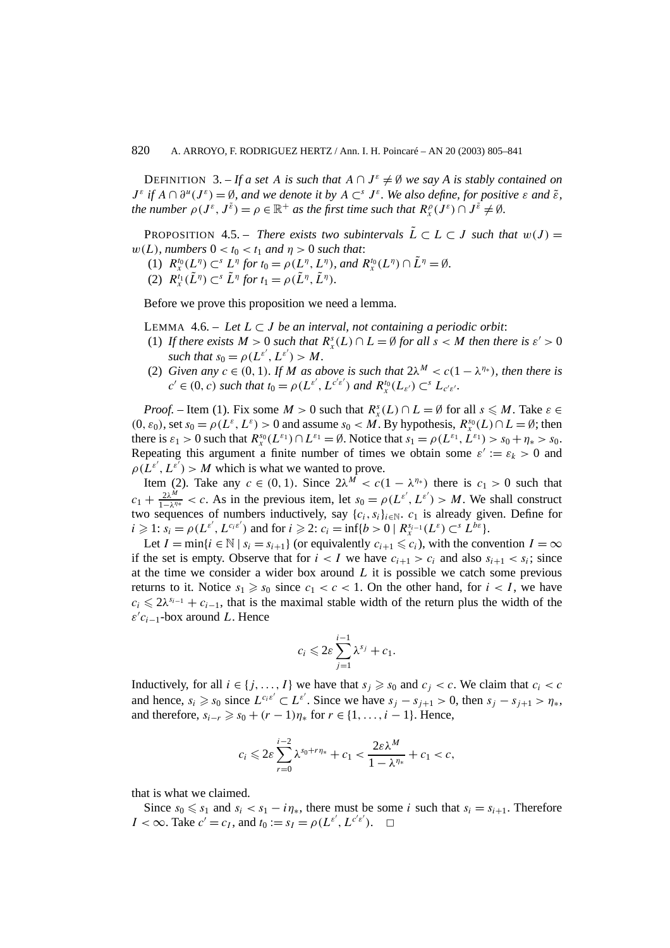DEFINITION 3. – If a set A is such that  $A \cap J^{\varepsilon} \neq \emptyset$  we say A is stably contained on  $J^{\varepsilon}$  *if*  $A \cap \partial^{\mu}(J^{\varepsilon}) = \emptyset$ *, and we denote it by*  $A \subset^{s} J^{\varepsilon}$ *. We also define, for positive*  $\varepsilon$  *and*  $\tilde{\varepsilon}$ *, the number*  $\rho(J^{\varepsilon}, J^{\tilde{\varepsilon}}) = \rho \in \mathbb{R}^+$  *as the first time such that*  $R^{\rho}_x(J^{\varepsilon}) \cap J^{\tilde{\varepsilon}} \neq \emptyset$ *.* 

**PROPOSITION** 4.5. – *There exists two subintervals*  $\tilde{L} \subset L \subset J$  *such that*  $w(J) =$  $w(L)$ *, numbers*  $0 < t_0 < t_1$  *and*  $\eta > 0$  *such that*:

- (1)  $R_x^{t_0}(L^\eta) \subset^s L^\eta$  for  $t_0 = \rho(L^\eta, L^\eta)$ *, and*  $R_x^{t_0}(L^\eta) \cap \tilde{L}^\eta = \emptyset$ *.*
- (2)  $R_x^{t_1}(\tilde{L}^\eta) \subset^s \tilde{L}^\eta \text{ for } t_1 = \rho(\tilde{L}^\eta, \tilde{L}^\eta).$

Before we prove this proposition we need a lemma.

LEMMA 4.6. – Let  $L \subset J$  be an interval, not containing a periodic orbit:

- (1) If there exists  $M > 0$  such that  $R_x^s(L) \cap L = \emptyset$  for all  $s < M$  then there is  $\varepsilon' > 0$ *such that*  $s_0 = \rho(L^{\varepsilon'}, L^{\varepsilon'}) > M$ .
- (2) *Given any*  $c \in (0, 1)$ *. If M as above is such that*  $2\lambda^M < c(1 \lambda^{\eta_*})$ *, then there is*  $c' \in (0, c)$  *such that*  $t_0 = \rho(L^{\varepsilon'}, L^{\varepsilon' \varepsilon'})$  *and*  $R_x^{t_0}(L_{\varepsilon'}) \subset^s L_{\varepsilon' \varepsilon'}.$

*Proof.* – Item (1). Fix some  $M > 0$  such that  $R_x^s(L) \cap L = \emptyset$  for all  $s \le M$ . Take  $\varepsilon \in$  $(0, \varepsilon_0)$ , set  $s_0 = \rho(L^{\varepsilon}, L^{\varepsilon}) > 0$  and assume  $s_0 < M$ . By hypothesis,  $R_x^{s_0}(L) \cap L = \emptyset$ ; then there is  $\varepsilon_1 > 0$  such that  $R_x^{s_0}(L^{\varepsilon_1}) \cap L^{\varepsilon_1} = \emptyset$ . Notice that  $s_1 = \rho(L^{\varepsilon_1}, L^{\varepsilon_1}) > s_0 + \eta_* > s_0$ . Repeating this argument a finite number of times we obtain some  $\varepsilon' := \varepsilon_k > 0$  and  $\rho(L^{\varepsilon}, L^{\varepsilon'}) > M$  which is what we wanted to prove.

Item (2). Take any  $c \in (0, 1)$ . Since  $2\lambda^M < c(1 - \lambda^{\eta_*})$  there is  $c_1 > 0$  such that  $c_1 + \frac{2\lambda^M}{1-\lambda^{\eta*}} < c$ . As in the previous item, let  $s_0 = \rho(L^{\varepsilon'}, L^{\varepsilon'}) > M$ . We shall construct two sequences of numbers inductively, say  $\{c_i, s_i\}_{i \in \mathbb{N}}$ .  $c_1$  is already given. Define for  $i \geq 1$ :  $s_i = \rho(L^{\varepsilon'}, L^{c_i \varepsilon'})$  and for  $i \geq 2$ :  $c_i = \inf\{b > 0 \mid R^{s_{i-1}}_x(L^{\varepsilon}) \subset^s L^{b\varepsilon}\}.$ 

Let  $I = \min\{i \in \mathbb{N} \mid s_i = s_{i+1}\}$  (or equivalently  $c_{i+1} \leq c_i$ ), with the convention  $I = \infty$ if the set is empty. Observe that for  $i < I$  we have  $c_{i+1} > c_i$  and also  $s_{i+1} < s_i$ ; since at the time we consider a wider box around *L* it is possible we catch some previous returns to it. Notice  $s_1 \geq s_0$  since  $c_1 < c < 1$ . On the other hand, for  $i < I$ , we have  $c_i \leq 2\lambda^{s_{i-1}} + c_{i-1}$ , that is the maximal stable width of the return plus the width of the *ε ci*−1-box around *L*. Hence

$$
c_i \leqslant 2\varepsilon \sum_{j=1}^{i-1} \lambda^{s_j} + c_1.
$$

Inductively, for all  $i \in \{j, ..., I\}$  we have that  $s_j \geq s_0$  and  $c_j < c$ . We claim that  $c_i < c$ and hence,  $s_i \geq s_0$  since  $L^{c_i e'} \subset L^{e'}$ . Since we have  $s_j - s_{j+1} > 0$ , then  $s_j - s_{j+1} > \eta_*$ , and therefore,  $s_{i-r} \geq s_0 + (r-1)\eta_*$  for  $r \in \{1, ..., i-1\}$ . Hence,

$$
c_i \leqslant 2\varepsilon \sum_{r=0}^{i-2} \lambda^{s_0+r\eta_*} + c_1 < \frac{2\varepsilon \lambda^M}{1-\lambda^{\eta_*}} + c_1 < c,
$$

that is what we claimed.

Since  $s_0 \le s_1$  and  $s_i < s_1 - i\eta_*$ , there must be some *i* such that  $s_i = s_{i+1}$ . Therefore *I* <  $\infty$ . Take  $c' = c_I$ , and  $t_0 := s_I = \rho(L^{\varepsilon'}, L^{\varepsilon' \varepsilon'})$ .  $\Box$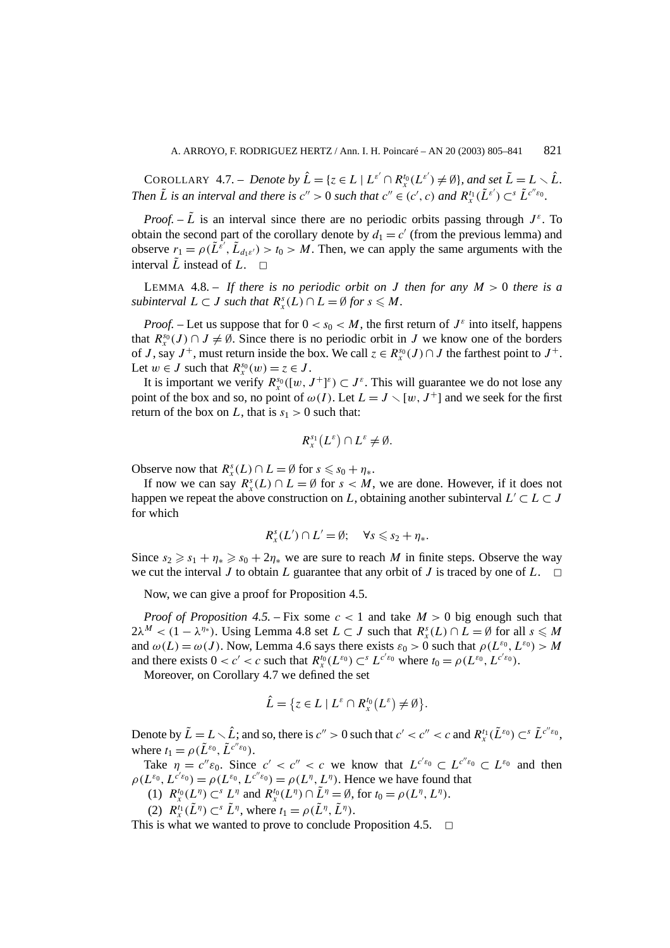$\text{COROLLARY 4.7.} - \text{Denote by } \hat{L} = \{z \in L \mid L^{\varepsilon'} \cap R_x^{t_0}(L^{\varepsilon'}) \neq \emptyset\}$ , and set  $\tilde{L} = L \setminus \hat{L}$ . Then  $\tilde{L}$  is an interval and there is  $c'' > 0$  such that  $c'' \in (c', c)$  and  $R_x^{t_1}(\tilde{L}^{\varepsilon'}) \subset^s \tilde{L}^{c'' \varepsilon_0}$ .

*Proof.* –  $\hat{L}$  is an interval since there are no periodic orbits passing through  $J^{\varepsilon}$ . To obtain the second part of the corollary denote by  $d_1 = c'$  (from the previous lemma) and observe  $r_1 = \rho(\tilde{L}^{\tilde{\varepsilon}'}, \tilde{L}_{d_1\varepsilon'}) > t_0 > M$ . Then, we can apply the same arguments with the interval  $\tilde{L}$  instead of  $L$ .  $\Box$ 

**LEMMA** 4.8. – If there is no periodic orbit on *J* then for any  $M > 0$  there is a *subinterval*  $L \subset J$  *such that*  $R_x^s(L) \cap L = \emptyset$  *for*  $s \leq M$ *.* 

*Proof.* – Let us suppose that for  $0 < s_0 < M$ , the first return of  $J^{\varepsilon}$  into itself, happens that  $R_{x}^{s_0}(J) \cap J \neq \emptyset$ . Since there is no periodic orbit in *J* we know one of the borders of *J*, say  $J^+$ , must return inside the box. We call  $z \in R_x^{s_0}(J) \cap J$  the farthest point to  $J^+$ . Let  $w \in J$  such that  $R_x^{s_0}(w) = z \in J$ .

It is important we verify  $R_x^{s_0}([w, J^+]^s) \subset J^{\varepsilon}$ . This will guarantee we do not lose any point of the box and so, no point of  $\omega(I)$ . Let  $L = J \setminus [w, J^+]$  and we seek for the first return of the box on *L*, that is  $s_1 > 0$  such that:

$$
R_x^{s_1}(L^{\varepsilon})\cap L^{\varepsilon}\neq\emptyset.
$$

Observe now that  $R_x^s(L) \cap L = \emptyset$  for  $s \le s_0 + \eta_*$ .

If now we can say  $R_x^s(L) \cap L = \emptyset$  for  $s < M$ , we are done. However, if it does not happen we repeat the above construction on *L*, obtaining another subinterval  $L' \subset L \subset J$ for which

$$
R_x^s(L') \cap L' = \emptyset; \quad \forall s \leqslant s_2 + \eta_*
$$

Since  $s_2 \ge s_1 + \eta_* \ge s_0 + 2\eta_*$  we are sure to reach *M* in finite steps. Observe the way we cut the interval *J* to obtain *L* guarantee that any orbit of *J* is traced by one of *L*.  $\Box$ 

Now, we can give a proof for Proposition 4.5.

*Proof of Proposition 4.5.* – Fix some  $c < 1$  and take  $M > 0$  big enough such that  $2\lambda^M < (1 - \lambda^{\eta_*})$ . Using Lemma 4.8 set  $L \subset J$  such that  $R_x^s(L) \cap L = \emptyset$  for all  $s \leq M$ and  $\omega(L) = \omega(J)$ . Now, Lemma 4.6 says there exists  $\varepsilon_0 > 0$  such that  $\rho(L^{\varepsilon_0}, L^{\varepsilon_0}) > M$ and there exists  $0 < c' < c$  such that  $R_x^{t_0}(L^{\varepsilon_0}) \subset^s L^{c' \varepsilon_0}$  where  $t_0 = \rho(L^{\varepsilon_0}, L^{c' \varepsilon_0})$ .

Moreover, on Corollary 4.7 we defined the set

$$
\hat{L} = \{ z \in L \mid L^{\varepsilon} \cap R_x^{t_0}(L^{\varepsilon}) \neq \emptyset \}.
$$

Denote by  $\tilde{L} = L \setminus \hat{L}$ ; and so, there is  $c'' > 0$  such that  $c' < c'' < c$  and  $R_x^{t_1}(\tilde{L}^{s_0}) \subset^s \tilde{L}^{c''s_0}$ , where  $t_1 = \rho(\tilde{L}^{\varepsilon_0}, \tilde{L}^{c''\varepsilon_0}).$ 

Take  $\eta = c''\epsilon_0$ . Since  $c' < c'' < c$  we know that  $L^{c'\epsilon_0} \subset L^{c''\epsilon_0} \subset L^{\epsilon_0}$  and then  $\rho(L^{\varepsilon_0}, L^{\varepsilon' \varepsilon_0}) = \rho(L^{\varepsilon_0}, L^{\varepsilon'' \varepsilon_0}) = \rho(L^{\eta}, L^{\eta})$ . Hence we have found that

- (1)  $R_x^{t_0}(L^\eta) \subset^s L^\eta$  and  $R_x^{t_0}(L^\eta) \cap \tilde{L}^\eta = \emptyset$ , for  $t_0 = \rho(L^\eta, L^\eta)$ .
- (2)  $R_X^{t_1}(\tilde{L}^\eta) \subset^s \tilde{L}^\eta$ , where  $t_1 = \rho(\tilde{L}^\eta, \tilde{L}^\eta)$ .

This is what we wanted to prove to conclude Proposition 4.5.  $\Box$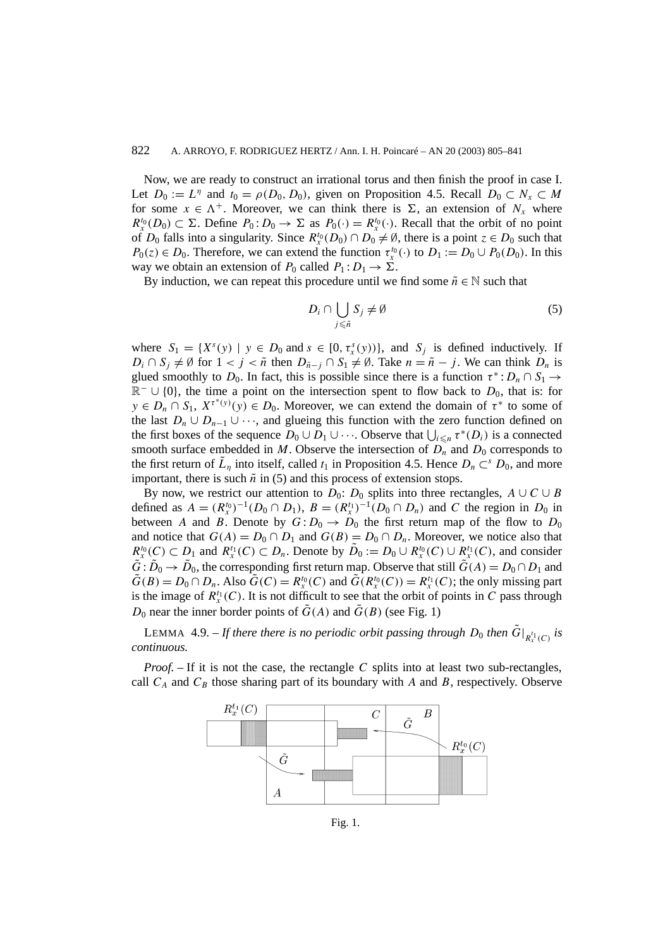## 822 A. ARROYO, F. RODRIGUEZ HERTZ / Ann. I. H. Poincaré – AN 20 (2003) 805–841

Now, we are ready to construct an irrational torus and then finish the proof in case I. Let  $D_0 := L^{\eta}$  and  $t_0 = \rho(D_0, D_0)$ , given on Proposition 4.5. Recall  $D_0 \subset N_x \subset M$ for some  $x \in \Lambda^+$ . Moreover, we can think there is  $\Sigma$ , an extension of  $N_x$  where  $R_x^{t_0}(D_0) \subset \Sigma$ . Define  $P_0: D_0 \to \Sigma$  as  $P_0(\cdot) = R_x^{t_0}(\cdot)$ . Recall that the orbit of no point of *D*<sub>0</sub> falls into a singularity. Since  $R_x^{t_0}(D_0) \cap D_0 \neq \emptyset$ , there is a point  $z \in D_0$  such that *P*<sub>0</sub>(*z*)  $\in$  *D*<sub>0</sub>. Therefore, we can extend the function  $\tau_x^{t_0}(\cdot)$  to  $D_1 := D_0 \cup P_0(D_0)$ . In this way we obtain an extension of  $P_0$  called  $P_1: D_1 \to \Sigma$ .

By induction, we can repeat this procedure until we find some  $\tilde{n} \in \mathbb{N}$  such that

$$
D_i \cap \bigcup_{j \leq \tilde{n}} S_j \neq \emptyset \tag{5}
$$

where  $S_1 = \{X^s(y) \mid y \in D_0 \text{ and } s \in [0, \tau_x^s(y))\}$ , and  $S_j$  is defined inductively. If *D<sub>i</sub>* ∩ *S<sub>j</sub>*  $\neq$  Ø for 1 < *j* <  $\tilde{n}$  then *D*<sub> $\tilde{n}-j$  ∩ *S*<sub>1</sub>  $\neq$  Ø. Take  $n = \tilde{n} - j$ . We can think *D<sub>n</sub>* is</sub> glued smoothly to  $D_0$ . In fact, this is possible since there is a function  $\tau^*$ :  $D_n \cap S_1 \to$ R<sup>−</sup> ∪ {0}, the time a point on the intersection spent to flow back to *D*0, that is: for  $y \in D_n \cap S_1$ ,  $X^{\tau^*(y)}(y) \in D_0$ . Moreover, we can extend the domain of  $\tau^*$  to some of the last  $D_n \cup D_{n-1} \cup \cdots$ , and glueing this function with the zero function defined on the first boxes of the sequence  $D_0 \cup D_1 \cup \cdots$ . Observe that  $\bigcup_{i \leq n} \tau^*(D_i)$  is a connected smooth surface embedded in *M*. Observe the intersection of  $D_n$  and  $D_0$  corresponds to the first return of  $\tilde{L}_n$  into itself, called  $t_1$  in Proposition 4.5. Hence  $D_n \subset^{s} D_0$ , and more important, there is such  $\tilde{n}$  in (5) and this process of extension stops.

By now, we restrict our attention to  $D_0$ :  $D_0$  splits into three rectangles,  $A \cup C \cup B$ defined as  $A = (R_x^{t_0})^{-1} (D_0 \cap D_1)$ ,  $B = (R_x^{t_1})^{-1} (D_0 \cap D_n)$  and *C* the region in  $D_0$  in between *A* and *B*. Denote by  $G: D_0 \to D_0$  the first return map of the flow to  $D_0$ and notice that  $G(A) = D_0 \cap D_1$  and  $G(B) = D_0 \cap D_n$ . Moreover, we notice also that  $R_{x}^{t_0}(C) \subset D_1$  and  $R_{x}^{t_1}(C) \subset D_n$ . Denote by  $\tilde{D}_0 := D_0 \cup R_{x}^{t_0}(C) \cup R_{x}^{t_1}(C)$ , and consider  $\tilde{G}$  :  $\tilde{D}_0 \rightarrow \tilde{D}_0$ , the corresponding first return map. Observe that still  $\tilde{G}(A) = D_0 \cap D_1$  and  $\tilde{G}(B) = D_0 \cap D_n$ . Also  $\tilde{G}(C) = R^{t_0}_x(C)$  and  $\tilde{G}(R^{t_0}_x(C)) = R^{t_1}_x(C)$ ; the only missing part is the image of  $R_X^{t_1}(C)$ . It is not difficult to see that the orbit of points in *C* pass through  $D_0$  near the inner border points of  $\tilde{G}(A)$  and  $\tilde{G}(B)$  (see Fig. 1)

LEMMA 4.9. – *If there there is no periodic orbit passing through*  $D_0$  *then*  $\tilde{G}|_{R_x^{t_1}(C)}$  *is continuous.*

*Proof. –* If it is not the case, the rectangle *C* splits into at least two sub-rectangles, call  $C_A$  and  $C_B$  those sharing part of its boundary with *A* and *B*, respectively. Observe

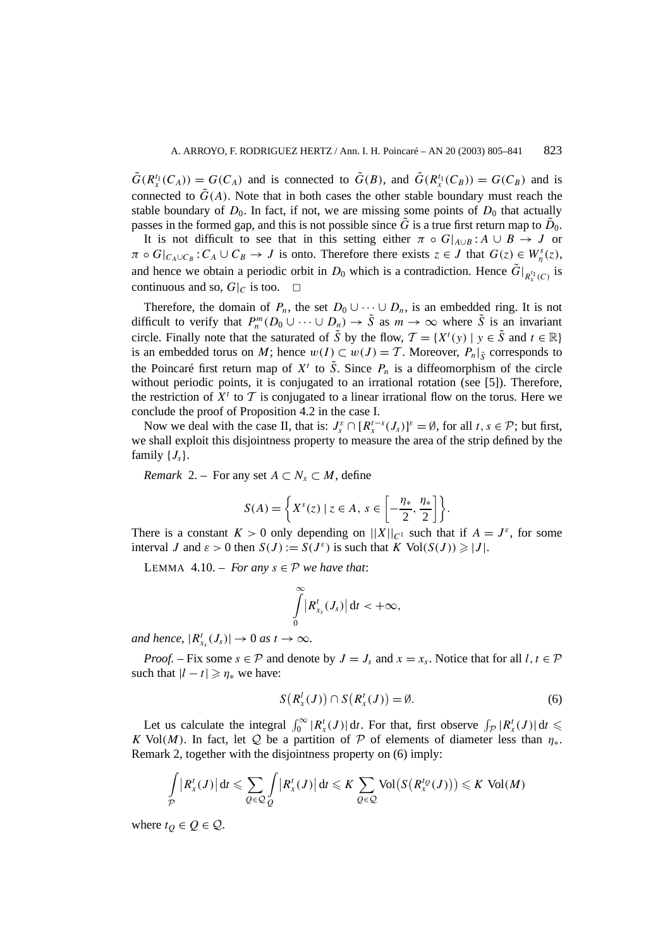$\tilde{G}(R_x^{t_1}(C_A)) = G(C_A)$  and is connected to  $\tilde{G}(B)$ , and  $\tilde{G}(R_x^{t_1}(C_B)) = G(C_B)$  and is connected to  $\tilde{G}(A)$ . Note that in both cases the other stable boundary must reach the stable boundary of  $D_0$ . In fact, if not, we are missing some points of  $D_0$  that actually passes in the formed gap, and this is not possible since  $\tilde{G}$  is a true first return map to  $\tilde{D}_0$ .

It is not difficult to see that in this setting either  $\pi \circ G|_{A\cup B}: A \cup B \to J$  or  $\pi \circ G|_{C_A \cup C_B}: C_A \cup C_B \to J$  is onto. Therefore there exists  $z \in J$  that  $G(z) \in W^s_{\eta}(z)$ , and hence we obtain a periodic orbit in  $D_0$  which is a contradiction. Hence  $\tilde{G}|_{R_x^{t_1}(C)}$  is continuous and so,  $G|_C$  is too.  $\Box$ 

Therefore, the domain of  $P_n$ , the set  $D_0 \cup \cdots \cup D_n$ , is an embedded ring. It is not difficult to verify that  $P_n^m(D_0 \cup \cdots \cup D_n) \to \tilde{S}$  as  $m \to \infty$  where  $\tilde{S}$  is an invariant circle. Finally note that the saturated of  $\tilde{S}$  by the flow,  $\mathcal{T} = \{X^t(y) \mid y \in \tilde{S} \text{ and } t \in \mathbb{R}\}\$ is an embedded torus on *M*; hence  $w(I) \subset w(J) = T$ . Moreover,  $P_n|_{\tilde{S}}$  corresponds to the Poincaré first return map of  $X^t$  to  $\tilde{S}$ . Since  $P_n$  is a diffeomorphism of the circle without periodic points, it is conjugated to an irrational rotation (see [5]). Therefore, the restriction of  $X^t$  to  $\mathcal T$  is conjugated to a linear irrational flow on the torus. Here we conclude the proof of Proposition 4.2 in the case I.

Now we deal with the case II, that is:  $J_s^{\varepsilon} \cap [R_x^{t-s}(J_s)]^{\varepsilon} = \emptyset$ , for all  $t, s \in \mathcal{P}$ ; but first, we shall exploit this disjointness property to measure the area of the strip defined by the family  $\{J_s\}$ .

*Remark* 2. – For any set  $A \subset N_x \subset M$ , define

$$
S(A) = \left\{ X^s(z) \mid z \in A, \ s \in \left[ -\frac{\eta_*}{2}, \frac{\eta_*}{2} \right] \right\}.
$$

There is a constant  $K > 0$  only depending on  $||X||_{C^1}$  such that if  $A = J^{\varepsilon}$ , for some interval *J* and  $\varepsilon > 0$  then  $S(J) := S(J^{\varepsilon})$  is such that *K* Vol $(S(J)) \ge |J|$ .

LEMMA 4.10. – *For any*  $s \in \mathcal{P}$  *we have that*:

$$
\int\limits_{0}^{\infty}\left|R_{x_{s}}^{t}(J_{s})\right|dt<+\infty,
$$

*and hence,*  $|R_{x_s}^t(J_s)| \to 0$  *as*  $t \to \infty$ *.* 

*Proof.* – Fix some  $s \in \mathcal{P}$  and denote by  $J = J_s$  and  $x = x_s$ . Notice that for all  $l, t \in \mathcal{P}$ such that  $|l - t| \geq \eta_*$  we have:

$$
S(R_x^l(J)) \cap S(R_x^t(J)) = \emptyset.
$$
\n<sup>(6)</sup>

Let us calculate the integral  $\int_0^\infty |R_x^t(J)| dt$ . For that, first observe  $\int_{\mathcal{P}} |R_x^t(J)| dt \le$ *K* Vol(*M*). In fact, let Q be a partition of P of elements of diameter less than  $\eta_*$ . Remark 2, together with the disjointness property on (6) imply:

$$
\int_{\mathcal{P}} \left| R'_x(J) \right| dt \leqslant \sum_{Q \in \mathcal{Q}} \int_{Q} \left| R'_x(J) \right| dt \leqslant K \sum_{Q \in \mathcal{Q}} \text{Vol}\big(S\big(R_x^{t_Q}(J)\big)\big) \leqslant K \text{ Vol}(M)
$$

where  $t_0 \in Q \in \mathcal{Q}$ .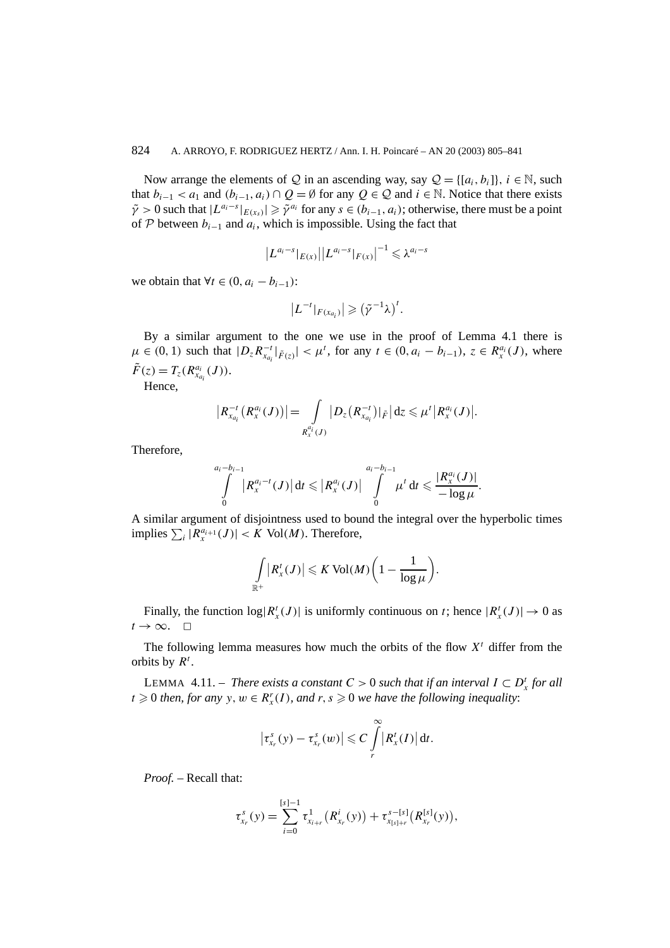Now arrange the elements of Q in an ascending way, say  $Q = \{[a_i, b_i]\}, i \in \mathbb{N}$ , such that *b*<sub>*i*−1</sub> < *a*<sub>1</sub> and  $(b_{i-1}, a_i)$  ∩  $Q = ∅$  for any  $Q ∈ Q$  and  $i ∈ ℕ$ . Notice that there exists  $\tilde{\gamma} > 0$  such that  $|L^{a_i-s}|_{E(x_s)} \geq \tilde{\gamma}^{a_i}$  for any  $s \in (b_{i-1}, a_i)$ ; otherwise, there must be a point of  $P$  between  $b_{i-1}$  and  $a_i$ , which is impossible. Using the fact that

$$
|L^{a_i-s}|_{E(x)}||L^{a_i-s}|_{F(x)}|^{-1} \leq \lambda^{a_i-s}
$$

we obtain that  $\forall t \in (0, a_i - b_{i-1})$ :

$$
|L^{-t}|_{F(x_{a_i})}| \geqslant (\tilde{\gamma}^{-1}\lambda)^t.
$$

By a similar argument to the one we use in the proof of Lemma 4.1 there is  $\mu \in (0, 1)$  such that  $|D_z R_{x_{a_i}}^{-t}|_{\tilde{F}(z)}| < \mu^t$ , for any  $t \in (0, a_i - b_{i-1}), z \in R_x^{a_i}(J)$ , where  $\tilde{F}(z) = T_z(R_{x_{a_i}}^{a_i}(J)).$ 

Hence,

$$
|R_{x_{a_i}}^{-t}(R_x^{a_i}(J))| = \int\limits_{R_x^{a_i}(J)} |D_z(R_{x_{a_i}}^{-t})|_{\tilde{F}}|dz \leq \mu^t |R_x^{a_i}(J)|.
$$

Therefore,

$$
\int_{0}^{a_{i}-b_{i-1}}\left|R_{x}^{a_{i}-t}(J)\right|dt \leqslant \left|R_{x}^{a_{i}}(J)\right| \int_{0}^{a_{i}-b_{i-1}}\mu^{t} dt \leqslant \frac{\left|R_{x}^{a_{i}}(J)\right|}{-\log \mu}.
$$

A similar argument of disjointness used to bound the integral over the hyperbolic times  $\lim \text{plies } \sum_i |R_x^{a_{i+1}}(J)| < K \text{ Vol}(M)$ . Therefore,

$$
\int_{\mathbb{R}^+} \left| R_x^t(J) \right| \leqslant K \operatorname{Vol}(M) \bigg( 1 - \frac{1}{\log \mu} \bigg).
$$

Finally, the function  $\log |R_x^t(J)|$  is uniformly continuous on *t*; hence  $|R_x^t(J)| \to 0$  as  $t \rightarrow \infty$ .  $\Box$ 

The following lemma measures how much the orbits of the flow  $X<sup>t</sup>$  differ from the orbits by *R<sup>t</sup>* .

LEMMA 4.11. – *There exists a constant*  $C > 0$  *such that if an interval*  $I \subset D_x^t$  *for all t* ≥ 0 *then, for any y,*  $w \in R_x^r(I)$ *, and*  $r, s ≥ 0$  *we have the following inequality:* 

$$
\left|\tau_{x_r}^s(y)-\tau_{x_r}^s(w)\right|\leqslant C\int\limits_r^\infty \left|R_x^t(I)\right|\mathrm{d}t.
$$

*Proof. –* Recall that:

$$
\tau_{x_r}^s(y) = \sum_{i=0}^{[s]-1} \tau_{x_{i+r}}^1(R_{x_r}^i(y)) + \tau_{x_{[s]+r}}^{s-[s]}(R_{x_r}^{[s]}(y)),
$$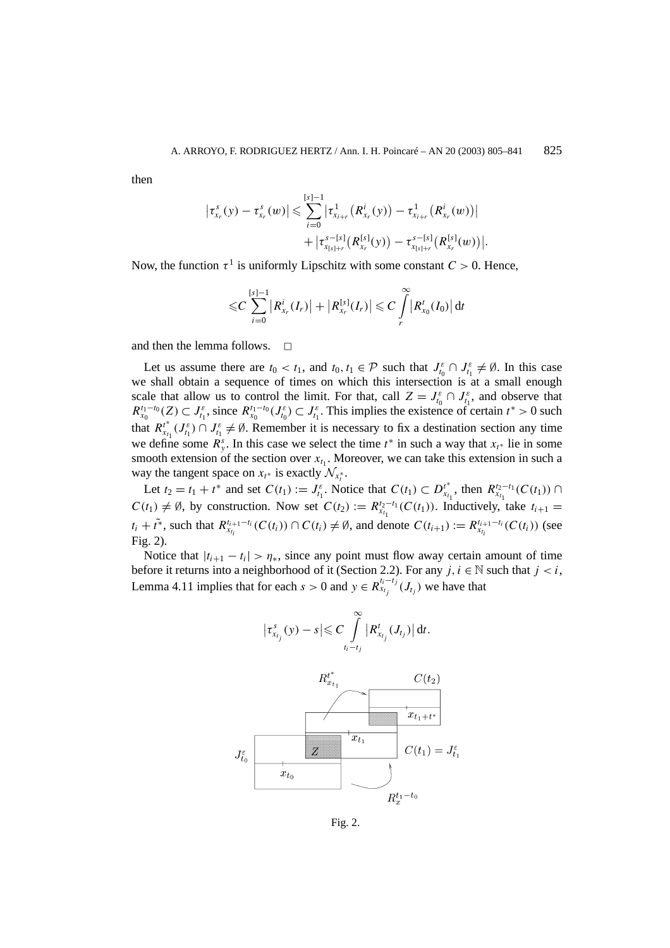then

$$
\left|\tau_{x_r}^s(y)-\tau_{x_r}^s(w)\right|\leqslant \sum_{i=0}^{[s]-1}\left|\tau_{x_{i+r}}^1\left(R_{x_r}^i(y)\right)-\tau_{x_{i+r}}^1\left(R_{x_r}^i(w)\right)\right|\\+\left|\tau_{x_{[s]+r}}^{s-[s]}(R_{x_r}^{[s]}(y))- \tau_{x_{[s]+r}}^{s-[s]}(R_{x_r}^{[s]}(w))\right|.
$$

Now, the function  $\tau^1$  is uniformly Lipschitz with some constant  $C > 0$ . Hence,

$$
\leqslant C \sum_{i=0}^{[s]-1} \left| R_{x_r}^i(I_r) \right| + \left| R_{x_r}^{[s]}(I_r) \right| \leqslant C \int\limits_r^{\infty} \left| R_{x_0}^t(I_0) \right| dt
$$

and then the lemma follows.  $\Box$ 

Let us assume there are  $t_0 < t_1$ , and  $t_0, t_1 \in \mathcal{P}$  such that  $J_{t_0}^{\varepsilon} \cap J_{t_1}^{\varepsilon} \neq \emptyset$ . In this case we shall obtain a sequence of times on which this intersection is at a small enough scale that allow us to control the limit. For that, call  $Z = J_{t_0}^{\varepsilon} \cap J_{t_1}^{\varepsilon}$ , and observe that  $R_{x_0}^{t_1-t_0}(Z) \subset J_{t_1}^{\varepsilon}$ , since  $R_{x_0}^{t_1-t_0}(J_{t_0}^{\varepsilon}) \subset J_{t_1}^{\varepsilon}$ . This implies the existence of certain  $t^* > 0$  such that  $R_{x_{t_1}}^{t^*}(J_{t_1}^{\varepsilon}) \cap J_{t_1}^{\varepsilon} \neq \emptyset$ . Remember it is necessary to fix a destination section any time we define some  $R^s$ . In this case we select the time  $t^*$  in such a way that  $x_{t^*}$  lie in some smooth extension of the section over  $x_{t_1}$ . Moreover, we can take this extension in such a way the tangent space on  $x_t^*$  is exactly  $\mathcal{N}_{x_t^*}$ .

Let  $t_2 = t_1 + t^*$  and set  $C(t_1) := J_{t_1}^{\varepsilon}$ . Notice that  $C(t_1) \subset D_{x_{t_1}}^{t^*}$ , then  $R_{x_{t_1}}^{t_2 - t_1}(C(t_1)) \cap$  $C(t_1) \neq \emptyset$ , by construction. Now set  $C(t_2) := R_{x_{t_1}}^{t_2-t_1}(C(t_1))$ . Inductively, take  $t_{i+1} =$ *t<sub>i</sub>* +  $\tilde{t}^*$ , such that  $R^{t_{i+1}-t_i}_{x_{t_i}}(C(t_i)) \cap C(t_i) \neq \emptyset$ , and denote  $C(t_{i+1}) := R^{t_{i+1}-t_i}_{x_{t_i}}(C(t_i))$  (see Fig. 2).

Notice that  $|t_{i+1} - t_i| > \eta_*$ , since any point must flow away certain amount of time before it returns into a neighborhood of it (Section 2.2). For any  $j, i \in \mathbb{N}$  such that  $j < i$ , Lemma 4.11 implies that for each  $s > 0$  and  $y \in R_{x_{t_j}}^{t_i-t_j}(J_{t_j})$  we have that





Fig. 2.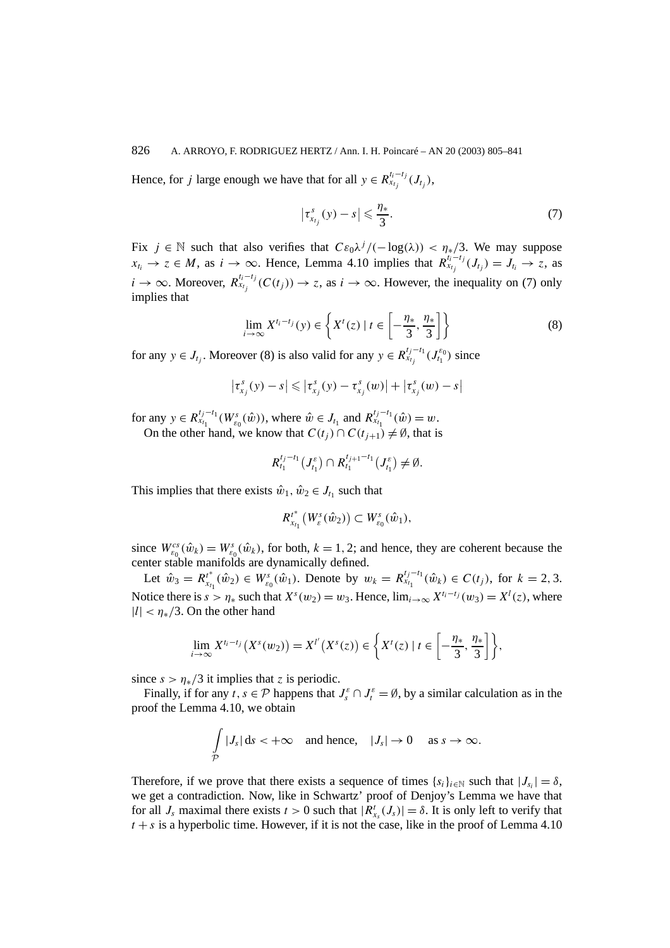# 826 A. ARROYO, F. RODRIGUEZ HERTZ / Ann. I. H. Poincaré – AN 20 (2003) 805–841

Hence, for *j* large enough we have that for all  $y \in R_{x_{t_j}}^{t_i-t_j}(J_{t_j})$ ,

$$
\left|\tau_{x_{t_j}}^s(y)-s\right|\leqslant \frac{\eta_*}{3}.\tag{7}
$$

Fix  $j \in \mathbb{N}$  such that also verifies that  $C\varepsilon_0\lambda^j/(-\log(\lambda)) < \eta_*/3$ . We may suppose *x*<sub>ti</sub> → *z* ∈ *M*, as *i* → ∞. Hence, Lemma 4.10 implies that  $R_{x_{t_j}}^{t_i-t_j}(J_{t_j}) = J_{t_i} \rightarrow z$ , as *i* → ∞. Moreover,  $R_{x_{t_j}}^{t_i-t_j}(C(t_j))$  → *z*, as *i* → ∞. However, the inequality on (7) only implies that

$$
\lim_{i \to \infty} X^{t_i - t_j}(y) \in \left\{ X^t(z) \mid t \in \left[ -\frac{\eta_*}{3}, \frac{\eta_*}{3} \right] \right\}
$$
 (8)

for any  $y \in J_{t_j}$ . Moreover (8) is also valid for any  $y \in R_{x_{t_j}}^{t_j-t_1}(J_{t_1}^{\varepsilon_0})$  since

$$
\left|\tau_{x_j}^s(y)-s\right|\leqslant \left|\tau_{x_j}^s(y)-\tau_{x_j}^s(w)\right|+\left|\tau_{x_j}^s(w)-s\right|
$$

for any  $y \in R_{x_{t_1}}^{t_j-t_1}(W_{\varepsilon_0}^s(\hat{w}))$ , where  $\hat{w} \in J_{t_1}$  and  $R_{x_{t_1}}^{t_j-t_1}(\hat{w}) = w$ . On the other hand, we know that  $C(t_i) \cap C(t_{i+1}) \neq \emptyset$ , that is

$$
R_{t_1}^{t_j-t_1}(J_{t_1}^{\varepsilon})\cap R_{t_1}^{t_{j+1}-t_1}(J_{t_1}^{\varepsilon})\neq\emptyset.
$$

This implies that there exists  $\hat{w}_1, \hat{w}_2 \in J_{t_1}$  such that

$$
R_{x_{t_1}}^{t^*}(W^s_{\varepsilon}(\hat{w}_2)) \subset W^s_{\varepsilon_0}(\hat{w}_1),
$$

since  $W_{\varepsilon_0}^{cs}(\hat{w}_k) = W_{\varepsilon_0}^{s}(\hat{w}_k)$ , for both,  $k = 1, 2$ ; and hence, they are coherent because the center stable manifolds are dynamically defined.

Let  $\hat{w}_3 = R_{x_{i_1}}^{t^*}(\hat{w}_2) \in W_{\varepsilon_0}^s(\hat{w}_1)$ . Denote by  $w_k = R_{x_{i_1}}^{t_j - t_1}(\hat{w}_k) \in C(t_j)$ , for  $k = 2, 3$ . Notice there is  $s > \eta_*$  such that  $X^s(w_2) = w_3$ . Hence,  $\lim_{i \to \infty} X^{t_i - t_j}(w_3) = X^l(z)$ , where  $|l| < \eta_*/3$ . On the other hand

$$
\lim_{i\to\infty}X^{t_i-t_j}\big(X^s(w_2)\big)=X^{l'}\big(X^s(z)\big)\in\bigg\{X^t(z)\mid t\in\left[-\frac{\eta_*}{3},\frac{\eta_*}{3}\right]\bigg\},\,
$$

since  $s > \eta_*/3$  it implies that *z* is periodic.

Finally, if for any  $t, s \in \mathcal{P}$  happens that  $J_s^{\varepsilon} \cap J_t^{\varepsilon} = \emptyset$ , by a similar calculation as in the proof the Lemma 4.10, we obtain

$$
\int_{\mathcal{P}} |J_s| \, ds < +\infty \quad \text{and hence,} \quad |J_s| \to 0 \quad \text{as } s \to \infty.
$$

Therefore, if we prove that there exists a sequence of times  $\{s_i\}_{i\in\mathbb{N}}$  such that  $|J_{s_i}| = \delta$ , we get a contradiction. Now, like in Schwartz' proof of Denjoy's Lemma we have that for all  $J_s$  maximal there exists  $t > 0$  such that  $|R_{x_s}^t(J_s)| = \delta$ . It is only left to verify that  $t + s$  is a hyperbolic time. However, if it is not the case, like in the proof of Lemma 4.10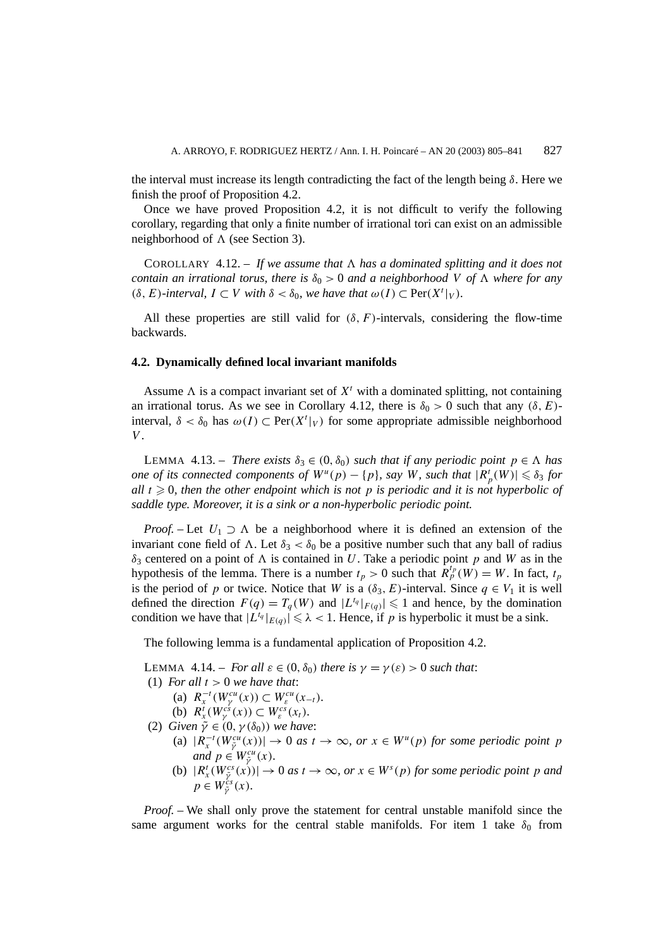the interval must increase its length contradicting the fact of the length being *δ*. Here we finish the proof of Proposition 4.2.

Once we have proved Proposition 4.2, it is not difficult to verify the following corollary, regarding that only a finite number of irrational tori can exist on an admissible neighborhood of  $\Lambda$  (see Section 3).

COROLLARY 4.12. – If we assume that  $\Lambda$  has a dominated splitting and it does not *contain an irrational torus, there is*  $\delta_0 > 0$  *and a neighborhood V of*  $\Lambda$  *where for any (δ, E)-interval,*  $I \subset V$  *with*  $\delta < \delta_0$ *, we have that*  $\omega(I) \subset Per(X^t|_V)$ *.* 

All these properties are still valid for  $(\delta, F)$ -intervals, considering the flow-time backwards.

#### **4.2. Dynamically defined local invariant manifolds**

Assume  $\Lambda$  is a compact invariant set of  $X<sup>t</sup>$  with a dominated splitting, not containing an irrational torus. As we see in Corollary 4.12, there is  $\delta_0 > 0$  such that any  $(\delta, E)$ interval,  $\delta < \delta_0$  has  $\omega(I) \subset \text{Per}(X^t|_V)$  for some appropriate admissible neighborhood *V* .

LEMMA 4.13. – *There exists*  $\delta_3 \in (0, \delta_0)$  *such that if any periodic point*  $p \in \Lambda$  *has one of its connected components of*  $W^u(p) - \{p\}$ *, say W, such that*  $|R_p^t(W)| \leq \delta_3$  *for all*  $t \geq 0$ , then the other endpoint which is not p is periodic and it is not hyperbolic of *saddle type. Moreover, it is a sink or a non-hyperbolic periodic point.*

*Proof.* – Let  $U_1 \supset \Lambda$  be a neighborhood where it is defined an extension of the invariant cone field of  $\Lambda$ . Let  $\delta_3 < \delta_0$  be a positive number such that any ball of radius  $\delta_3$  centered on a point of  $\Lambda$  is contained in *U*. Take a periodic point *p* and *W* as in the hypothesis of the lemma. There is a number  $t_p > 0$  such that  $R_p^{t_p}(W) = W$ . In fact,  $t_p$ is the period of *p* or twice. Notice that *W* is a  $(\delta_3, E)$ -interval. Since  $q \in V_1$  it is well defined the direction  $F(q) = T_q(W)$  and  $|L^{t_q}|_{F(q)} \leq 1$  and hence, by the domination condition we have that  $|L^{t_q}|_{E(q)} \leq \lambda < 1$ . Hence, if *p* is hyperbolic it must be a sink.

The following lemma is a fundamental application of Proposition 4.2.

LEMMA 4.14. – *For all*  $\varepsilon \in (0, \delta_0)$  *there is*  $\gamma = \gamma(\varepsilon) > 0$  *such that:* (1) *For all*  $t > 0$  *we have that*: (a)  $R_x^{-t}(W_y^{cu}(x)) \subset W_e^{cu}(x_{-t}).$ (b)  $R_x^t(W_\gamma^{cs}(x)) \subset W_\varepsilon^{cs}(x_t)$ *.* (2) *Given*  $\tilde{\gamma} \in (0, \gamma(\delta_0))$  *we have*: (a)  $|R_x^{-t}(W_{\tilde{y}}^{cu}(x))| \to 0$  *as*  $t \to \infty$ *, or*  $x \in W^u(p)$  *for some periodic point p and*  $p \in W_{\tilde{\gamma}}^{cu}(x)$ *.* (b)  $|R_x^t(W_{\tilde{y}}^{cs}(x))| \to 0$  *as*  $t \to \infty$ *, or*  $x \in W^s(p)$  *for some periodic point p and*  $p \in W_{\tilde{\gamma}}^{\text{cs}}(x)$ *.* 

*Proof. –* We shall only prove the statement for central unstable manifold since the same argument works for the central stable manifolds. For item 1 take  $\delta_0$  from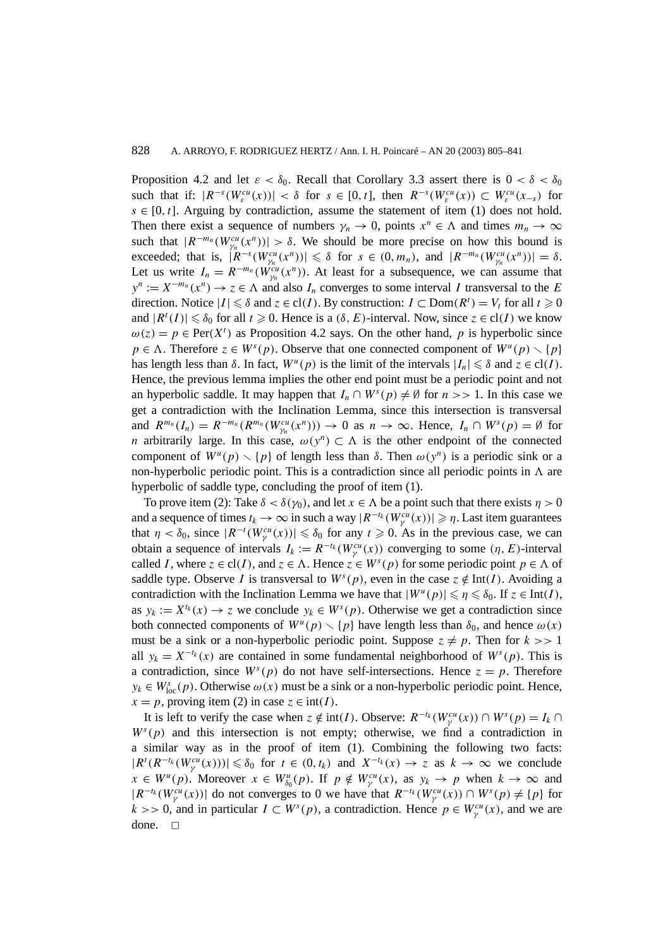Proposition 4.2 and let  $\varepsilon < \delta_0$ . Recall that Corollary 3.3 assert there is  $0 < \delta < \delta_0$ such that if:  $|R^{-s}(W_{\varepsilon}^{cu}(x))| < \delta$  for  $s \in [0, t]$ , then  $R^{-s}(W_{\varepsilon}^{cu}(x)) \subset W_{\varepsilon}^{cu}(x_{-s})$  for  $s \in [0, t]$ . Arguing by contradiction, assume the statement of item (1) does not hold. Then there exist a sequence of numbers  $\gamma_n \to 0$ , points  $x^n \in \Lambda$  and times  $m_n \to \infty$ such that  $|R^{-m_n}(W_{\gamma_n}^{cu}(x^n))| > \delta$ . We should be more precise on how this bound is exceeded; that is,  $|\mathbf{R}^{-s}(W_{\gamma_n}^{cu}(x^n))| \leq \delta$  for  $s \in (0, m_n)$ , and  $|\mathbf{R}^{-m_n}(W_{\gamma_n}^{cu}(x^n))| = \delta$ . Let us write  $I_n = R^{-m_n}(\dot{W}_{\gamma_n}^{cu}(x^n))$ . At least for a subsequence, we can assume that  $y^n := X^{-m_n}(x^n) \to z \in \Lambda$  and also *I<sub>n</sub>* converges to some interval *I* transversal to the *E* direction. Notice  $|I| \le \delta$  and  $z \in \text{cl}(I)$ . By construction:  $I \subset \text{Dom}(R^t) = V_t$  for all  $t \ge 0$ and  $|R^{t}(I)| \leq \delta_0$  for all  $t \geq 0$ . Hence is a  $(\delta, E)$ -interval. Now, since  $z \in \text{cl}(I)$  we know  $\omega(z) = p \in Per(X^t)$  as Proposition 4.2 says. On the other hand, *p* is hyperbolic since  $p \in \Lambda$ . Therefore  $z \in W^s(p)$ . Observe that one connected component of  $W^u(p) \setminus \{p\}$ has length less than  $\delta$ . In fact,  $W^u(p)$  is the limit of the intervals  $|I_n| \leq \delta$  and  $z \in \text{cl}(I)$ . Hence, the previous lemma implies the other end point must be a periodic point and not an hyperbolic saddle. It may happen that  $I_n \cap W^s(p) \neq \emptyset$  for  $n >> 1$ . In this case we get a contradiction with the Inclination Lemma, since this intersection is transversal and  $R^{m_n}(I_n) = R^{-m_n}(R^{m_n}(W_{\gamma_n}^{cu}(x^n))) \to 0$  as  $n \to \infty$ . Hence,  $I_n \cap W^s(p) = \emptyset$  for *n* arbitrarily large. In this case,  $\omega(y^n) \subset \Lambda$  is the other endpoint of the connected component of  $W^u(p) \setminus \{p\}$  of length less than  $\delta$ . Then  $\omega(y^n)$  is a periodic sink or a non-hyperbolic periodic point. This is a contradiction since all periodic points in  $\Lambda$  are hyperbolic of saddle type, concluding the proof of item (1).

To prove item (2): Take  $\delta < \delta(\gamma_0)$ , and let  $x \in \Lambda$  be a point such that there exists  $\eta > 0$ and a sequence of times  $t_k \to \infty$  in such a way  $|R^{-t_k}(W^{cu}_{\gamma}(x))| \geqslant \eta$ . Last item guarantees that  $\eta < \delta_0$ , since  $|R^{-t}(W^{cu}_{\gamma}(x))| \leq \delta_0$  for any  $t \geq 0$ . As in the previous case, we can obtain a sequence of intervals  $I_k := R^{-t_k}(W^{cu}_{\gamma}(x))$  converging to some  $(\eta, E)$ -interval called *I*, where  $z \in \text{cl}(I)$ , and  $z \in \Lambda$ . Hence  $z \in W^s(p)$  for some periodic point  $p \in \Lambda$  of saddle type. Observe *I* is transversal to  $W<sup>s</sup>(p)$ , even in the case  $z \notin Int(I)$ . Avoiding a contradiction with the Inclination Lemma we have that  $|W^u(p)| \leq \eta \leq \delta_0$ . If  $z \in Int(I)$ , as  $y_k := X^{t_k}(x) \to z$  we conclude  $y_k \in W^s(p)$ . Otherwise we get a contradiction since both connected components of  $W^u(p) \setminus \{p\}$  have length less than  $\delta_0$ , and hence  $\omega(x)$ must be a sink or a non-hyperbolic periodic point. Suppose  $z \neq p$ . Then for  $k >> 1$ all  $y_k = X^{-t_k}(x)$  are contained in some fundamental neighborhood of  $W^s(p)$ . This is a contradiction, since  $W^s(p)$  do not have self-intersections. Hence  $z = p$ . Therefore  $y_k \in W^s_{loc}(p)$ . Otherwise  $\omega(x)$  must be a sink or a non-hyperbolic periodic point. Hence,  $x = p$ , proving item (2) in case  $z \in \text{int}(I)$ .

It is left to verify the case when  $z \notin \text{int}(I)$ . Observe:  $R^{-t_k}(W_\gamma^{cu}(x)) \cap W^s(p) = I_k \cap I$  $W<sup>s</sup>(p)$  and this intersection is not empty; otherwise, we find a contradiction in a similar way as in the proof of item (1). Combining the following two facts:  $|R^{t}(R^{-t_{k}}(W^{cu}_{\gamma}(x)))| \leq \delta_0$  for  $t \in (0, t_k)$  and  $X^{-t_{k}}(x) \to z$  as  $k \to \infty$  we conclude  $x \in W^u(p)$ . Moreover  $x \in W^u_{\delta_0}(p)$ . If  $p \notin W^{cu}_{\gamma}(x)$ , as  $y_k \to p$  when  $k \to \infty$  and  $|R^{-t_k}(W_\gamma^{cu}(x))|$  do not converges to 0 we have that  $R^{-t_k}(W_\gamma^{cu}(x))$  ∩  $W^s(p) \neq \{p\}$  for  $k >> 0$ , and in particular  $I \subset W<sup>s</sup>(p)$ , a contradiction. Hence  $p \in W<sub>\gamma</sub><sup>cu</sup>(x)$ , and we are done.  $\Box$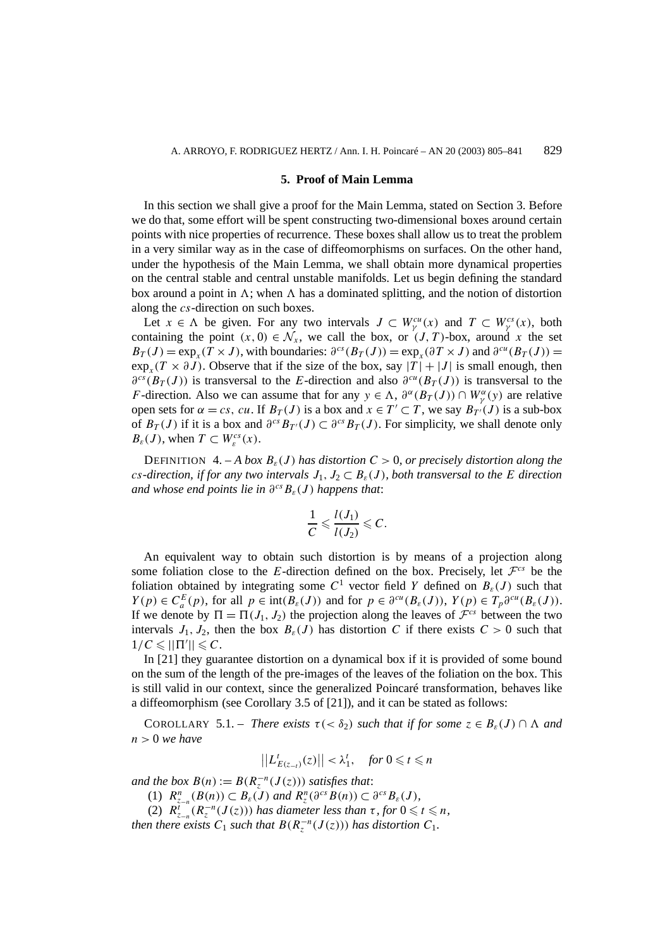#### **5. Proof of Main Lemma**

In this section we shall give a proof for the Main Lemma, stated on Section 3. Before we do that, some effort will be spent constructing two-dimensional boxes around certain points with nice properties of recurrence. These boxes shall allow us to treat the problem in a very similar way as in the case of diffeomorphisms on surfaces. On the other hand, under the hypothesis of the Main Lemma, we shall obtain more dynamical properties on the central stable and central unstable manifolds. Let us begin defining the standard box around a point in  $\Lambda$ ; when  $\Lambda$  has a dominated splitting, and the notion of distortion along the *cs*-direction on such boxes.

Let  $x \in \Lambda$  be given. For any two intervals  $J \subset W^{cu}_{\gamma}(x)$  and  $T \subset W^{cs}_{\gamma}(x)$ , both containing the point  $(x, 0) \in \mathcal{N}_x$ , we call the box, or  $(J, T)$ -box, around x the set  $B_T(J) = \exp_r(T \times J)$ , with boundaries:  $\partial^{cs}(B_T(J)) = \exp_r(\partial T \times J)$  and  $\partial^{cu}(B_T(J)) =$  $\exp_x(T \times \partial J)$ . Observe that if the size of the box, say  $|T| + |J|$  is small enough, then  $\partial^{cs}(B_T(J))$  is transversal to the *E*-direction and also  $\partial^{cu}(B_T(J))$  is transversal to the *F*-direction. Also we can assume that for any  $y \in \Lambda$ ,  $\partial^{\alpha}(B_T(J)) \cap W^{\alpha}_{\gamma}(y)$  are relative open sets for  $\alpha = cs$ , *cu*. If  $B_T(J)$  is a box and  $x \in T' \subset T$ , we say  $B_T(J)$  is a sub-box of  $B_T(J)$  if it is a box and  $\partial^{cs}B_{T}(J) \subset \partial^{cs}B_T(J)$ . For simplicity, we shall denote only *B*<sub>*ε*</sub>(*J*), when  $T \subset W_c^{cs}(x)$ .

DEFINITION  $4. - A$  *box*  $B_{\varepsilon}(J)$  *has distortion*  $C > 0$ *, or precisely distortion along the cs*-direction, if for any two intervals  $J_1, J_2 \subset B_{\varepsilon}(J)$ , both transversal to the *E* direction *and whose end points lie in*  $\partial^{cs}B_{\varepsilon}(J)$  *happens that*:

$$
\frac{1}{C} \leqslant \frac{l(J_1)}{l(J_2)} \leqslant C.
$$

An equivalent way to obtain such distortion is by means of a projection along some foliation close to the *E*-direction defined on the box. Precisely, let  $\mathcal{F}^{cs}$  be the foliation obtained by integrating some  $C^1$  vector field *Y* defined on  $B_{\varepsilon}(J)$  such that *Y*(*p*) ∈ *C*<sup>*E*</sup><sub>*a*</sub>(*p*), for all *p* ∈ int(*B<sub>ε</sub>*(*J*)) and for *p* ∈  $\partial^{cu}(B_{\varepsilon}(J))$ , *Y*(*p*) ∈ *T<sub>p</sub>* $\partial^{cu}(B_{\varepsilon}(J))$ . If we denote by  $\Pi = \Pi(J_1, J_2)$  the projection along the leaves of  $\mathcal{F}^{cs}$  between the two intervals  $J_1, J_2$ , then the box  $B_\varepsilon(J)$  has distortion *C* if there exists  $C > 0$  such that  $1/C \leq ||\Pi'|| \leq C$ .

In [21] they guarantee distortion on a dynamical box if it is provided of some bound on the sum of the length of the pre-images of the leaves of the foliation on the box. This is still valid in our context, since the generalized Poincaré transformation, behaves like a diffeomorphism (see Corollary 3.5 of [21]), and it can be stated as follows:

COROLLARY 5.1. – *There exists*  $\tau$ (<  $\delta_2$ ) *such that if for some*  $z \in B_{\varepsilon}(J) \cap \Lambda$  *and n >* 0 *we have*

 $||L_{E(z-t)}^{t}(z)|| < \lambda_{1}^{t}, \text{ for } 0 \leq t \leq n$ 

*and the box*  $B(n) := B(R_z^{-n}(J(z)))$  *satisfies that:* 

(1)  $R_{z-n}^n(B(n)) \subset B_{\varepsilon}(J)$  and  $R_z^n(\partial^{cs}B(n)) \subset \partial^{cs}B_{\varepsilon}(J)$ ,

(2)  $R_{z-n}^{i-n}(R_{z}^{-n}(J(z)))$  has diameter less than  $\tau$ , for  $0 \leq t \leq n$ , *then there exists*  $C_1$  *such that*  $B(R_z^{-n}(J(z)))$  *has distortion*  $C_1$ *.*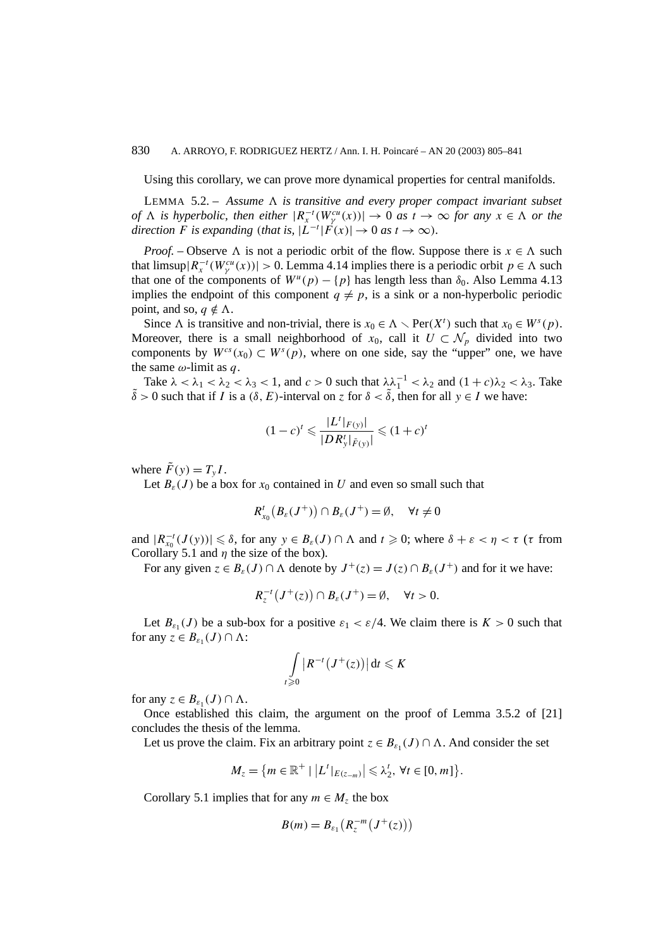Using this corollary, we can prove more dynamical properties for central manifolds.

LEMMA 5.2. – Assume  $\Lambda$  is transitive and every proper compact invariant subset *of*  $\Lambda$  *is hyperbolic, then either*  $|R_x^{-t}(W_\gamma^{cu}(x))| \to 0$  *as*  $t \to \infty$  *for any*  $x \in \Lambda$  *or the direction F is expanding* (*that is,*  $|\overline{L}^{-t}|\overline{F}(x)| \to 0$  *as*  $t \to \infty$ ).

*Proof.* – Observe  $\Lambda$  is not a periodic orbit of the flow. Suppose there is  $x \in \Lambda$  such that  $\limsup |R_{x}^{-t}(W_{\gamma}^{cu}(x))| > 0$ . Lemma 4.14 implies there is a periodic orbit  $p \in \Lambda$  such that one of the components of  $W^u(p) - \{p\}$  has length less than  $\delta_0$ . Also Lemma 4.13 implies the endpoint of this component  $q \neq p$ , is a sink or a non-hyperbolic periodic point, and so,  $q \notin \Lambda$ .

Since  $\Lambda$  is transitive and non-trivial, there is  $x_0 \in \Lambda \setminus \text{Per}(X^t)$  such that  $x_0 \in W^s(p)$ . Moreover, there is a small neighborhood of  $x_0$ , call it  $U \subset \mathcal{N}_p$  divided into two components by  $W^{cs}(x_0) \subset W^s(p)$ , where on one side, say the "upper" one, we have the same *ω*-limit as *q*.

Take  $\lambda < \lambda_1 < \lambda_2 < \lambda_3 < 1$ , and  $c > 0$  such that  $\lambda \lambda_1^{-1} < \lambda_2$  and  $(1 + c)\lambda_2 < \lambda_3$ . Take  $\tilde{\delta} > 0$  such that if *I* is a  $(\delta, E)$ -interval on *z* for  $\delta < \tilde{\delta}$ , then for all  $y \in I$  we have:

$$
(1-c)^{t} \leqslant \frac{|L^{t}|_{F(y)}|}{|DR_{y}^{t}|_{\tilde{F}(y)}|} \leqslant (1+c)^{t}
$$

where  $\tilde{F}(y) = T_y I$ .

Let  $B_{\varepsilon}(J)$  be a box for  $x_0$  contained in *U* and even so small such that

$$
R_{x_0}^t(B_{\varepsilon}(J^+)) \cap B_{\varepsilon}(J^+) = \emptyset, \quad \forall t \neq 0
$$

and  $|R_{x_0}^{-t}(J(y))| \le \delta$ , for any  $y \in B_{\varepsilon}(J) \cap \Lambda$  and  $t \ge 0$ ; where  $\delta + \varepsilon < \eta < \tau$  ( $\tau$  from Corollary 5.1 and  $\eta$  the size of the box).

For any given  $z \in B_{\varepsilon}(J) \cap \Lambda$  denote by  $J^+(z) = J(z) \cap B_{\varepsilon}(J^+)$  and for it we have:

$$
R_z^{-t}(J^+(z)) \cap B_\varepsilon(J^+) = \emptyset, \quad \forall t > 0.
$$

Let  $B_{\varepsilon_1}(J)$  be a sub-box for a positive  $\varepsilon_1 < \varepsilon/4$ . We claim there is  $K > 0$  such that for any  $z \in B_{\varepsilon_1}(J) \cap \Lambda$ :

$$
\int\limits_{t\geqslant 0}\left|R^{-t}\left(J^{+}(z)\right)\right|\mathrm{d} t\leqslant K
$$

for any  $z \in B_{\varepsilon_1}(J) \cap \Lambda$ .

Once established this claim, the argument on the proof of Lemma 3.5.2 of [21] concludes the thesis of the lemma.

Let us prove the claim. Fix an arbitrary point  $z \in B_{\varepsilon_1}(J) \cap \Lambda$ . And consider the set

$$
M_z = \{m \in \mathbb{R}^+ \mid \left|L^t|_{E(z_m)}\right| \leq \lambda_2^t, \forall t \in [0, m]\}.
$$

Corollary 5.1 implies that for any  $m \in M_z$  the box

$$
B(m) = B_{\varepsilon_1}\big(R_z^{-m}\big(J^+(z)\big)\big)
$$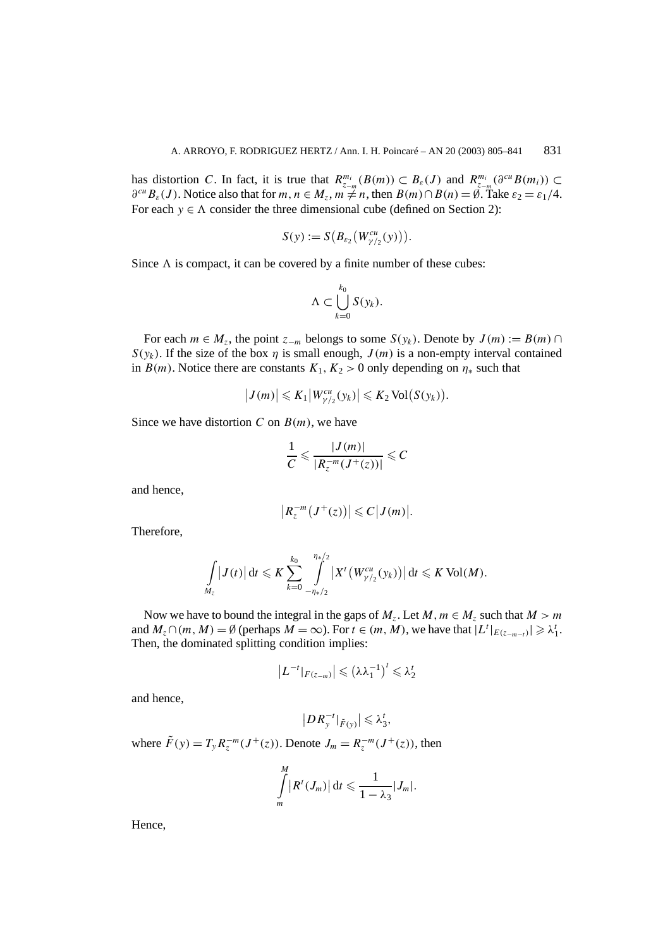has distortion *C*. In fact, it is true that  $R_{z-m}^{m_i}(B(m)) \subset B_{\varepsilon}(J)$  and  $R_{z-m}^{m_i}(\partial^{cu}B(m_i)) \subset$  $\partial^{cu}B_{\varepsilon}(J)$ . Notice also that for  $m, n \in M_z$ ,  $m \neq n$ , then  $B(m) \cap B(n) = \emptyset$ . Take  $\varepsilon_2 = \varepsilon_1/4$ . For each  $y \in \Lambda$  consider the three dimensional cube (defined on Section 2):

$$
S(y) := S\big(B_{\varepsilon_2}\big(W_{\gamma/2}^{cu}(y)\big)\big).
$$

Since  $\Lambda$  is compact, it can be covered by a finite number of these cubes:

$$
\Lambda \subset \bigcup_{k=0}^{k_0} S(y_k).
$$

For each  $m \in M_z$ , the point  $z_{-m}$  belongs to some  $S(y_k)$ . Denote by  $J(m) := B(m) \cap$  $S(y_k)$ . If the size of the box *η* is small enough,  $J(m)$  is a non-empty interval contained in *B*(*m*). Notice there are constants  $K_1, K_2 > 0$  only depending on  $\eta_*$  such that

$$
|J(m)| \leqslant K_1|W_{\gamma/2}^{cu}(y_k)| \leqslant K_2 \operatorname{Vol}(S(y_k)).
$$

Since we have distortion *C* on *B(m)*, we have

$$
\frac{1}{C} \leqslant \frac{|J(m)|}{|R_{z}^{-m}(J^{+}(z))|} \leqslant C
$$

and hence,

$$
\left|R_z^{-m}(J^+(z))\right|\leqslant C\left|J(m)\right|.
$$

Therefore,

$$
\int\limits_{M_z} \big| J(t) \big| \, {\rm d} t \leqslant K \sum_{k=0}^{k_0} \int\limits_{-\eta_{*}/2}^{\eta_{*}/2} \big| X^t \big( W^{cu}_{\gamma'/2} (y_k) \big) \big| \, {\rm d} t \leqslant K \, \text{Vol}(M).
$$

Now we have to bound the integral in the gaps of  $M_z$ . Let  $M, m \in M_z$  such that  $M > m$ and  $M_z \cap (m, M) = \emptyset$  (perhaps  $M = \infty$ ). For  $t \in (m, M)$ , we have that  $|L^t|_{E(z_{-m-t})}| \geq \lambda_1^t$ . Then, the dominated splitting condition implies:

$$
|L^{-t}|_{F(z_{-m})}| \leqslant (\lambda \lambda_1^{-1})^t \leqslant \lambda_2^t
$$

and hence,

$$
\left|DR_{y}^{-t}|_{\tilde{F}(y)}\right|\leq \lambda_{3}^{t},
$$

where  $\tilde{F}(y) = T_y R_z^{-m}(J^+(z))$ . Denote  $J_m = R_z^{-m}(J^+(z))$ , then

$$
\int\limits_m^M \left|R^t(J_m)\right| \mathrm{d} t \leqslant \frac{1}{1-\lambda_3}|J_m|.
$$

Hence,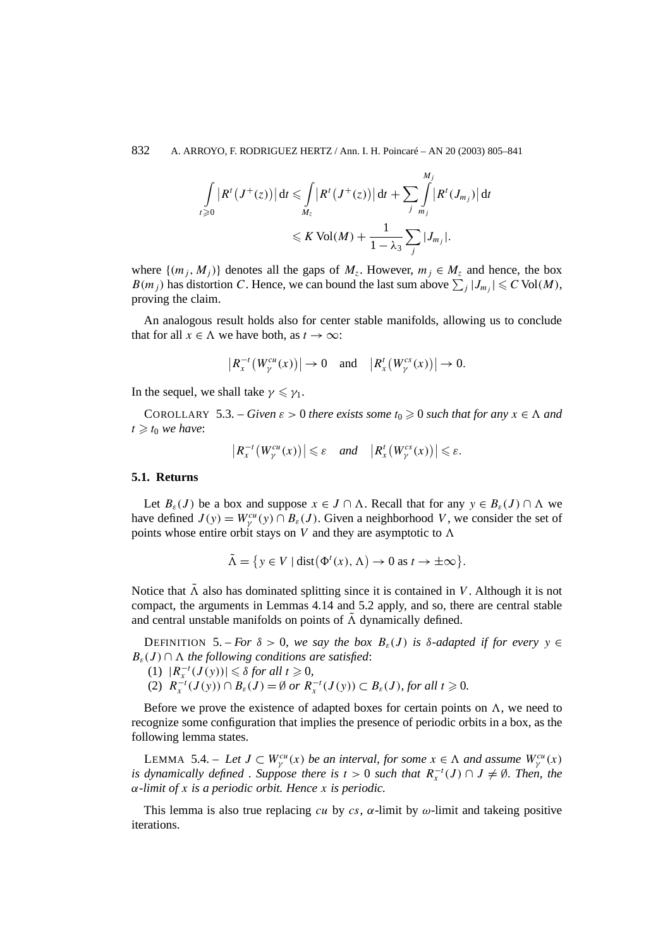$$
\int_{t \geqslant 0} \left| R^{t} \left( J^{+}(z) \right) \right| dt \leqslant \int_{M_{z}} \left| R^{t} \left( J^{+}(z) \right) \right| dt + \sum_{j} \int_{m_{j}}^{M_{j}} \left| R^{t} \left( J_{m_{j}} \right) \right| dt
$$
\n
$$
\leqslant K \operatorname{Vol}(M) + \frac{1}{1 - \lambda_{3}} \sum_{j} |J_{m_{j}}|.
$$

where  $\{(m_i, M_i)\}\)$  denotes all the gaps of  $M_z$ . However,  $m_i \in M_z$  and hence, the box  $B(m_j)$  has distortion *C*. Hence, we can bound the last sum above  $\sum_j |J_{m_j}| \leq C \text{Vol}(M)$ , proving the claim.

An analogous result holds also for center stable manifolds, allowing us to conclude that for all  $x \in \Lambda$  we have both, as  $t \to \infty$ :

$$
|R_x^{-t}(W_\gamma^{cu}(x))| \to 0
$$
 and  $|R_x^{t}(W_\gamma^{cs}(x))| \to 0$ .

In the sequel, we shall take  $\gamma \leq \gamma_1$ .

COROLLARY 5.3. – *Given*  $\varepsilon > 0$  *there exists some*  $t_0 \ge 0$  *such that for any*  $x \in \Lambda$  *and*  $t \geq t_0$  *we have*:

$$
\left|R_x^{-t}\left(W_\gamma^{cu}(x)\right)\right| \leqslant \varepsilon \quad \text{and} \quad \left|R_x^{t}\left(W_\gamma^{cs}(x)\right)\right| \leqslant \varepsilon.
$$

# **5.1. Returns**

Let  $B_{\varepsilon}(J)$  be a box and suppose  $x \in J \cap \Lambda$ . Recall that for any  $y \in B_{\varepsilon}(J) \cap \Lambda$  we have defined  $J(y) = W^{cu}_{\gamma}(y) \cap B_{\varepsilon}(J)$ . Given a neighborhood *V*, we consider the set of points whose entire orbit stays on *V* and they are asymptotic to  $\Lambda$ 

$$
\tilde{\Lambda} = \{ y \in V \mid \text{dist}(\Phi^t(x), \Lambda) \to 0 \text{ as } t \to \pm \infty \}.
$$

Notice that  $\tilde{\Lambda}$  also has dominated splitting since it is contained in *V*. Although it is not compact, the arguments in Lemmas 4.14 and 5.2 apply, and so, there are central stable and central unstable manifolds on points of  $\tilde{\Lambda}$  dynamically defined.

DEFINITION 5. – *For*  $\delta > 0$ *, we say the box B<sub>s</sub>(J) is*  $\delta$ *-adapted if for every*  $y \in$  $B_{\varepsilon}(J) \cap \Lambda$  *the following conditions are satisfied*:

 $(|1)$   $|R_{x}^{-t}(J(y))| \leq \delta$  *for all*  $t \geq 0$ ,

(2)  $R_{x}^{-t}(J(y)) \cap B_{\varepsilon}(J) = \emptyset$  or  $R_{x}^{-t}(J(y)) \subset B_{\varepsilon}(J)$ *, for all*  $t \geq 0$ *.* 

Before we prove the existence of adapted boxes for certain points on  $\Lambda$ , we need to recognize some configuration that implies the presence of periodic orbits in a box, as the following lemma states.

LEMMA 5.4. – Let  $J \subset W_\gamma^{cu}(x)$  be an interval, for some  $x \in \Lambda$  and assume  $W_\gamma^{cu}(x)$ *is dynamically defined . Suppose there is*  $t > 0$  *such that*  $R_{x}^{-t}(J) \cap J \neq \emptyset$ . Then, the *α-limit of x is a periodic orbit. Hence x is periodic.*

This lemma is also true replacing  $cu$  by  $cs$ ,  $\alpha$ -limit by  $\omega$ -limit and takeing positive iterations.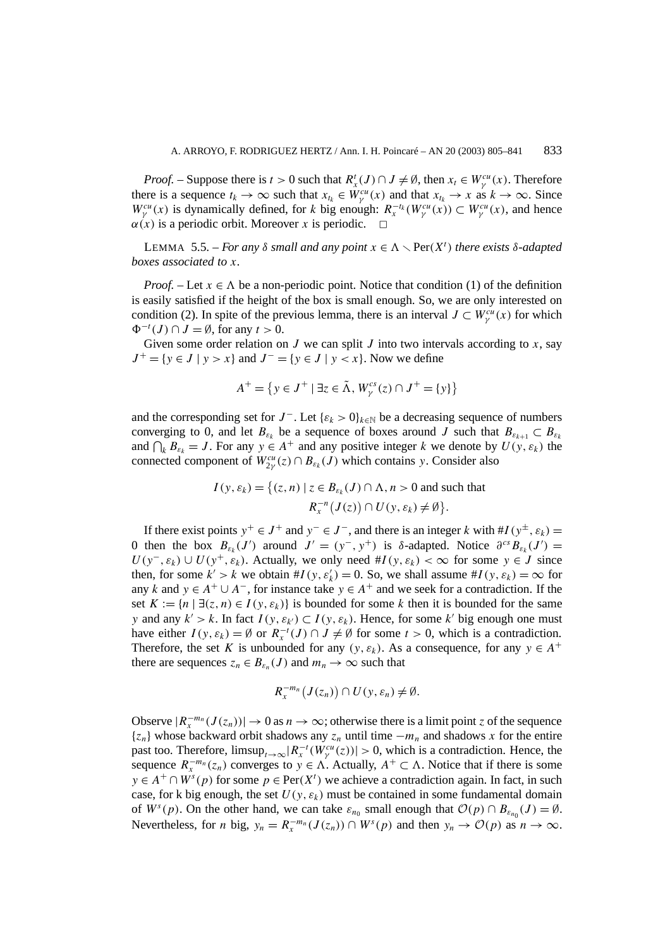*Proof.* – Suppose there is  $t > 0$  such that  $R_x^t(J) \cap J \neq \emptyset$ , then  $x_t \in W_\gamma^{cu}(x)$ . Therefore there is a sequence  $t_k \to \infty$  such that  $x_{t_k} \in W_\gamma^{cu}(x)$  and that  $x_{t_k} \to x$  as  $k \to \infty$ . Since *W*<sup>*cu*</sup></sup>(*x*) is dynamically defined, for *k* big enough:  $R_x^{-t_k}(W_\gamma^{cu}(x)) \subset W_\gamma^{cu}(x)$ , and hence  $\alpha(x)$  is a periodic orbit. Moreover *x* is periodic.

LEMMA 5.5. – *For any*  $\delta$  *small and any point*  $x \in \Lambda \setminus \text{Per}(X^t)$  *there exists*  $\delta$ -adapted *boxes associated to x.*

*Proof.* – Let  $x \in \Lambda$  be a non-periodic point. Notice that condition (1) of the definition is easily satisfied if the height of the box is small enough. So, we are only interested on condition (2). In spite of the previous lemma, there is an interval  $J \subset W^{cu}_{\gamma}(x)$  for which  $\Phi^{-t}(J)$  ∩ *J* = Ø, for any *t* > 0.

Given some order relation on *J* we can split *J* into two intervals according to *x*, say  $J^+ = \{y \in J \mid y > x\}$  and  $J^- = \{y \in J \mid y < x\}$ . Now we define

$$
A^+ = \{ y \in J^+ \mid \exists z \in \tilde{\Lambda}, W^{cs}_{\gamma}(z) \cap J^+ = \{ y \} \}
$$

and the corresponding set for  $J^-$ . Let  $\{\varepsilon_k > 0\}_{k \in \mathbb{N}}$  be a decreasing sequence of numbers converging to 0, and let  $B_{\varepsilon_k}$  be a sequence of boxes around *J* such that  $B_{\varepsilon_{k+1}} \subset B_{\varepsilon_k}$ and  $\bigcap_k B_{\varepsilon_k} = J$ . For any  $y \in A^+$  and any positive integer *k* we denote by  $U(y, \varepsilon_k)$  the connected component of  $W^{cu}_{2\gamma}(z) \cap B_{\varepsilon_k}(J)$  which contains *y*. Consider also

$$
I(y, \varepsilon_k) = \left\{ (z, n) \mid z \in B_{\varepsilon_k}(J) \cap \Lambda, n > 0 \text{ and such that } R_x^{-n}(J(z)) \cap U(y, \varepsilon_k) \neq \emptyset \right\}.
$$

If there exist points  $y^+ \in J^+$  and  $y^- \in J^-$ , and there is an integer *k* with  $#I(y^{\pm}, \varepsilon_k) =$ 0 then the box  $B_{\varepsilon_k}(J')$  around  $J' = (y^-, y^+)$  is δ-adapted. Notice  $\partial^{cs} B_{\varepsilon_k}(J') =$ *U*( $y^-$ ,  $\varepsilon_k$ ) ∪ *U*( $y^+$ ,  $\varepsilon_k$ ). Actually, we only need #*I*( $y, \varepsilon_k$ ) < ∞ for some  $y \in J$  since then, for some  $k' > k$  we obtain  $#I(y, \varepsilon'_k) = 0$ . So, we shall assume  $#I(y, \varepsilon_k) = \infty$  for any *k* and  $y \in A^+ \cup A^-$ , for instance take  $y \in A^+$  and we seek for a contradiction. If the set  $K := \{n \mid \exists (z, n) \in I(y, \varepsilon_k)\}\$ is bounded for some k then it is bounded for the same *y* and any  $k' > k$ . In fact  $I(y, \varepsilon_{k'}) \subset I(y, \varepsilon_k)$ . Hence, for some k' big enough one must have either  $I(y, \varepsilon_k) = \emptyset$  or  $R_x^{-t}(J) \cap J \neq \emptyset$  for some  $t > 0$ , which is a contradiction. Therefore, the set *K* is unbounded for any  $(y, \varepsilon_k)$ . As a consequence, for any  $y \in A^+$ there are sequences  $z_n \in B_{\varepsilon_n}(J)$  and  $m_n \to \infty$  such that

$$
R_{\scriptscriptstyle X}^{-m_n}\big(J(z_n)\big)\cap U(y,\varepsilon_n)\neq\emptyset.
$$

Observe  $|R_{x}^{-m_n}(J(z_n))| \to 0$  as  $n \to \infty$ ; otherwise there is a limit point *z* of the sequence  $\{z_n\}$  whose backward orbit shadows any  $z_n$  until time  $-m_n$  and shadows x for the entire past too. Therefore,  $\limsup_{t\to\infty} |R_\chi^{-t}(W_\chi^{cu}(z))| > 0$ , which is a contradiction. Hence, the sequence  $R_r^{-m_n}(z_n)$  converges to  $y \in \Lambda$ . Actually,  $A^+ \subset \Lambda$ . Notice that if there is some *y* ∈ *A*<sup>+</sup> ∩ *W*<sup>*s*</sup>(*p*) for some *p* ∈ Per(*X<sup>t</sup>*) we achieve a contradiction again. In fact, in such case, for k big enough, the set  $U(y, \varepsilon_k)$  must be contained in some fundamental domain of  $W^s(p)$ . On the other hand, we can take  $\varepsilon_{n_0}$  small enough that  $\mathcal{O}(p) \cap B_{\varepsilon_{n_0}}(J) = \emptyset$ . Nevertheless, for *n* big,  $y_n = R_x^{-m_n}(J(z_n)) \cap W^s(p)$  and then  $y_n \to \mathcal{O}(p)$  as  $n \to \infty$ .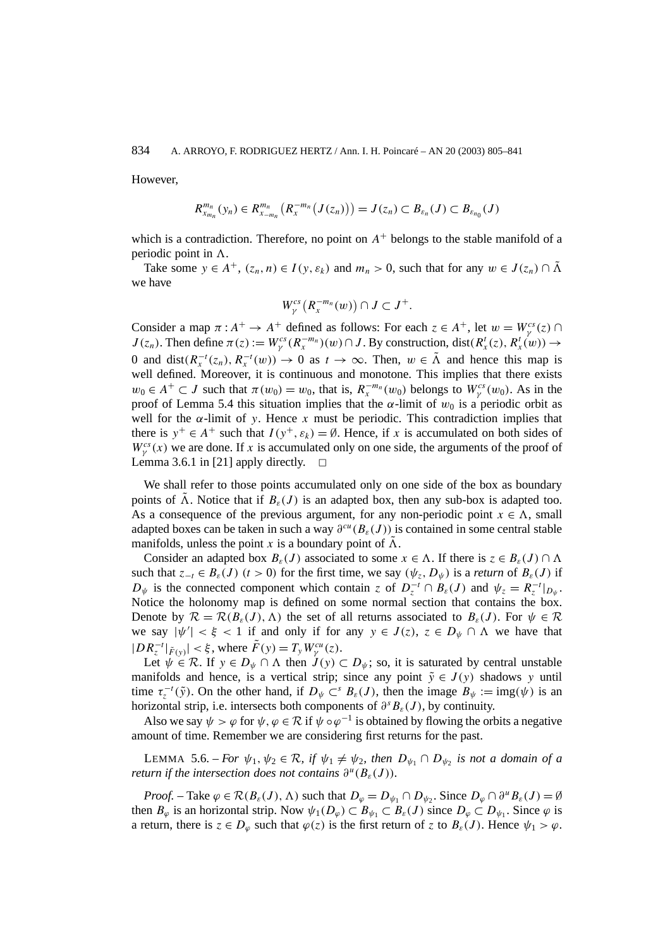However,

$$
R_{x_{m_n}}^{m_n}(y_n) \in R_{x_{-m_n}}^{m_n}\big(R_{x}^{-m_n}\big(J(z_n)\big)\big) = J(z_n) \subset B_{\varepsilon_n}(J) \subset B_{\varepsilon_{n_0}}(J)
$$

which is a contradiction. Therefore, no point on  $A^+$  belongs to the stable manifold of a periodic point in  $\Lambda$ .

Take some  $y \in A^+$ ,  $(z_n, n) \in I(y, \varepsilon_k)$  and  $m_n > 0$ , such that for any  $w \in J(z_n) \cap \tilde{\Lambda}$ we have

$$
W_{\gamma}^{cs}\big(R_{x}^{-m_{n}}(w)\big) \cap J \subset J^{+}.
$$

Consider a map  $\pi : A^+ \to A^+$  defined as follows: For each  $z \in A^+$ , let  $w = W_\gamma^{cs}(z) \cap A$  $J(z_n)$ . Then define  $\pi(z) := W_\gamma^{cs}(R_x^{-m_n})(w) \cap J$ . By construction, dist $(R_x^t(z), R_x^t(w)) \to$ 0 and dist $(R_x^{-t}(z_n), R_x^{-t}(w)) \to 0$  as  $t \to \infty$ . Then,  $w \in \tilde{\Lambda}$  and hence this map is well defined. Moreover, it is continuous and monotone. This implies that there exists  $w_0 \in A^+ \subset J$  such that  $\pi(w_0) = w_0$ , that is,  $R_x^{-m_n}(w_0)$  belongs to  $W_\gamma^{cs}(w_0)$ . As in the proof of Lemma 5.4 this situation implies that the  $\alpha$ -limit of  $w_0$  is a periodic orbit as well for the  $\alpha$ -limit of *y*. Hence *x* must be periodic. This contradiction implies that there is  $y^+ \in A^+$  such that  $I(y^+, \varepsilon_k) = \emptyset$ . Hence, if *x* is accumulated on both sides of  $W^{cs}_{\gamma}(x)$  we are done. If *x* is accumulated only on one side, the arguments of the proof of Lemma 3.6.1 in [21] apply directly.  $\Box$ 

We shall refer to those points accumulated only on one side of the box as boundary points of  $\Lambda$ . Notice that if  $B_{\varepsilon}(J)$  is an adapted box, then any sub-box is adapted too. As a consequence of the previous argument, for any non-periodic point  $x \in \Lambda$ , small adapted boxes can be taken in such a way  $\partial^{cu}(B_\varepsilon(J))$  is contained in some central stable manifolds, unless the point *x* is a boundary point of  $\Lambda$ .

Consider an adapted box  $B_{\varepsilon}(J)$  associated to some  $x \in \Lambda$ . If there is  $z \in B_{\varepsilon}(J) \cap \Lambda$ such that  $z_{-t} \in B_{\varepsilon}(J)$  ( $t > 0$ ) for the first time, we say  $(\psi_z, D_{\psi})$  is a *return* of  $B_{\varepsilon}(J)$  if *D<sub>* $\psi$ *</sub>* is the connected component which contain *z* of  $D_z^{-t} \cap B_{\varepsilon}(J)$  and  $\psi_z = R_z^{-t}|_{D_{\psi}}$ . Notice the holonomy map is defined on some normal section that contains the box. Denote by  $\mathcal{R} = \mathcal{R}(B_{\varepsilon}(J), \Lambda)$  the set of all returns associated to  $B_{\varepsilon}(J)$ . For  $\psi \in \mathcal{R}$ we say  $|\psi'| < \xi < 1$  if and only if for any  $y \in J(z)$ ,  $z \in D_{\psi} \cap \Lambda$  we have that  $|DR_z^{-t}|_{\tilde{F}(y)}| < \xi$ , where  $\tilde{F}(y) = T_y W_y^{cu}(z)$ .

Let  $\psi \in \mathcal{R}$ . If  $y \in D_{\psi} \cap \Lambda$  then  $J(y) \subset D_{\psi}$ ; so, it is saturated by central unstable manifolds and hence, is a vertical strip; since any point  $\tilde{y} \in J(y)$  shadows y until time  $\tau_z^{-t}(\tilde{y})$ . On the other hand, if  $D_{\psi} \subset^{s} B_{\varepsilon}(J)$ , then the image  $B_{\psi} := \text{img}(\psi)$  is an horizontal strip, i.e. intersects both components of *∂<sup>s</sup> Bε(J )*, by continuity.

Also we say  $\psi > \varphi$  for  $\psi, \varphi \in \mathcal{R}$  if  $\psi \circ \varphi^{-1}$  is obtained by flowing the orbits a negative amount of time. Remember we are considering first returns for the past.

LEMMA 5.6. – *For*  $\psi_1, \psi_2 \in \mathcal{R}$ , if  $\psi_1 \neq \psi_2$ , then  $D_{\psi_1} \cap D_{\psi_2}$  is not a domain of a *return if the intersection does not contains*  $\partial^u(B_\varepsilon(J))$ *.* 

*Proof.* – Take  $\varphi \in \mathcal{R}(B_{\varepsilon}(J), \Lambda)$  such that  $D_{\varphi} = D_{\psi_1} \cap D_{\psi_2}$ . Since  $D_{\varphi} \cap \partial^{\mu}B_{\varepsilon}(J) = \emptyset$ then  $B_{\varphi}$  is an horizontal strip. Now  $\psi_1(D_{\varphi}) \subset B_{\psi_1} \subset B_{\varepsilon}(J)$  since  $D_{\varphi} \subset D_{\psi_1}$ . Since  $\varphi$  is a return, there is  $z \in D_\varphi$  such that  $\varphi(z)$  is the first return of *z* to  $B_\varepsilon(J)$ . Hence  $\psi_1 > \varphi$ .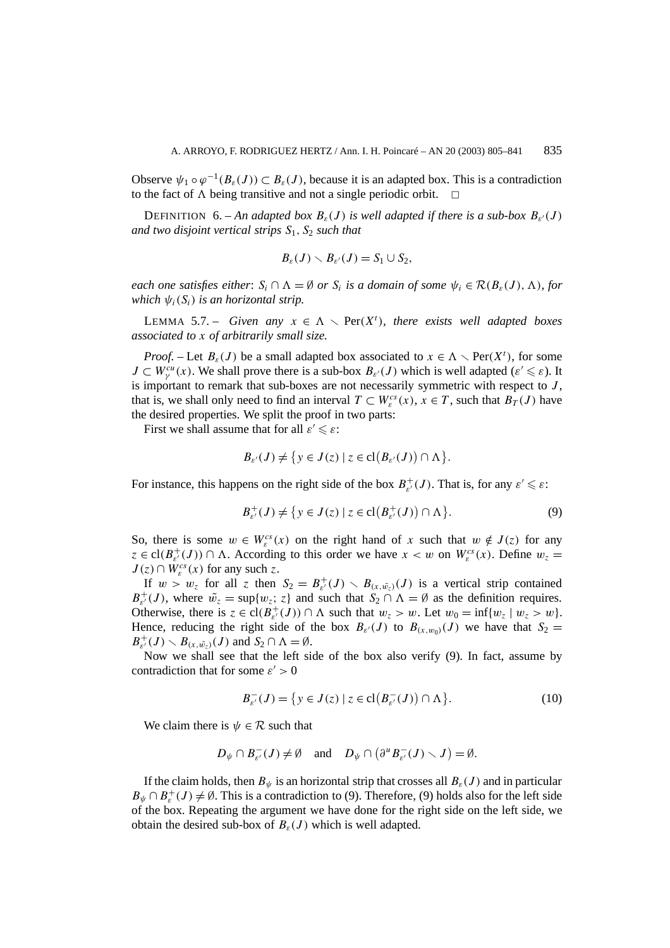Observe  $\psi_1 \circ \varphi^{-1}(B_{\varepsilon}(J)) \subset B_{\varepsilon}(J)$ , because it is an adapted box. This is a contradiction to the fact of  $\Lambda$  being transitive and not a single periodic orbit.  $\Box$ 

DEFINITION 6. – An adapted box  $B_{\varepsilon}(J)$  is well adapted if there is a sub-box  $B_{\varepsilon}(J)$ *and two disjoint vertical strips S*1*, S*<sup>2</sup> *such that*

$$
B_{\varepsilon}(J) \setminus B_{\varepsilon'}(J) = S_1 \cup S_2,
$$

*each one satisfies either:*  $S_i \cap \Lambda = \emptyset$  *or*  $S_i$  *is a domain of some*  $\psi_i \in \mathcal{R}(B_{\varepsilon}(J), \Lambda)$ *, for which*  $\psi_i(S_i)$  *is an horizontal strip.* 

LEMMA 5.7. – *Given any*  $x \in \Lambda \setminus \text{Per}(X^t)$ , there exists well adapted boxes *associated to x of arbitrarily small size.*

*Proof.* – Let  $B_{\varepsilon}(J)$  be a small adapted box associated to  $x \in \Lambda \setminus Per(X^t)$ , for some  $J \subset W^{cu}_{\gamma}(x)$ . We shall prove there is a sub-box  $B_{\varepsilon}(J)$  which is well adapted ( $\varepsilon' \leq \varepsilon$ ). It is important to remark that sub-boxes are not necessarily symmetric with respect to *J* , that is, we shall only need to find an interval  $T \subset W_c^{cs}(x)$ ,  $x \in T$ , such that  $B_T(J)$  have the desired properties. We split the proof in two parts:

First we shall assume that for all  $\varepsilon' \leq \varepsilon$ :

$$
B_{\varepsilon'}(J) \neq \{y \in J(z) \mid z \in \mathrm{cl}\big(B_{\varepsilon'}(J)\big) \cap \Lambda\}.
$$

For instance, this happens on the right side of the box  $B_{\varepsilon'}^+(J)$ . That is, for any  $\varepsilon' \leq \varepsilon$ :

$$
B_{\varepsilon'}^+(J) \neq \{ y \in J(z) \mid z \in \text{cl}(B_{\varepsilon'}^+(J)) \cap \Lambda \}.
$$
 (9)

So, there is some  $w \in W_c^{cs}(x)$  on the right hand of *x* such that  $w \notin J(z)$  for any  $z \in \text{cl}(B_{\varepsilon'}^+(J)) \cap \Lambda$ . According to this order we have  $x < w$  on  $W_{\varepsilon}^{cs}(x)$ . Define  $w_z =$  $J(z) \cap W_s^{cs}(x)$  for any such *z*.

If  $w > w_z$  for all *z* then  $S_2 = B_{\varepsilon'}^+(J) \setminus B_{(x,\tilde{w}_z)}(J)$  is a vertical strip contained  $B_{\varepsilon'}^+(J)$ , where  $\tilde{w}_z = \sup\{w_z; z\}$  and such that  $S_2 \cap \Lambda = \emptyset$  as the definition requires. Otherwise, there is  $z \in \text{cl}(B_{\varepsilon'}^+(J)) \cap \Lambda$  such that  $w_z > w$ . Let  $w_0 = \inf\{w_z \mid w_z > w\}$ . Hence, reducing the right side of the box  $B_{\varepsilon}(J)$  to  $B_{(x,w_0)}(J)$  we have that  $S_2 =$  $B_{\varepsilon'}^+(J) \setminus B_{(x,\tilde{w_z})}(J)$  and  $S_2 \cap \Lambda = \emptyset$ .

Now we shall see that the left side of the box also verify (9). In fact, assume by contradiction that for some  $\varepsilon' > 0$ 

$$
B_{\varepsilon'}^{-}(J) = \{ y \in J(z) \mid z \in \text{cl}(B_{\varepsilon'}^{-}(J)) \cap \Lambda \}.
$$
 (10)

We claim there is  $\psi \in \mathcal{R}$  such that

$$
D_{\psi} \cap B_{\varepsilon'}^-(J) \neq \emptyset
$$
 and  $D_{\psi} \cap (\partial^{\mu} B_{\varepsilon'}^-(J) \setminus J) = \emptyset$ .

If the claim holds, then  $B_{\psi}$  is an horizontal strip that crosses all  $B_{\varepsilon}(J)$  and in particular  $B_{\psi} \cap B_{\varepsilon}^{+}(J) \neq \emptyset$ . This is a contradiction to (9). Therefore, (9) holds also for the left side of the box. Repeating the argument we have done for the right side on the left side, we obtain the desired sub-box of  $B_{\varepsilon}(J)$  which is well adapted.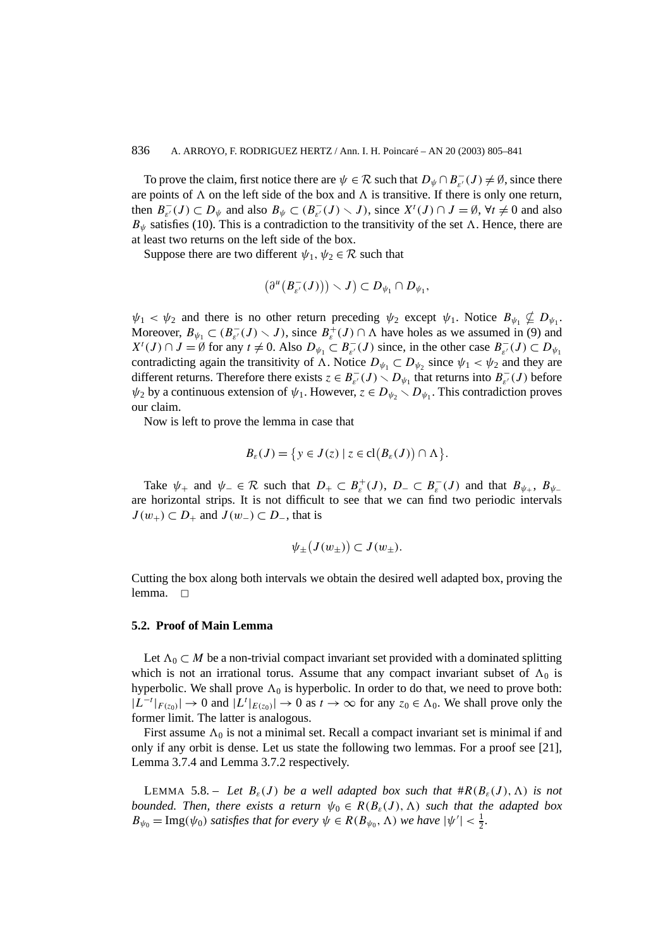### 836 A. ARROYO, F. RODRIGUEZ HERTZ / Ann. I. H. Poincaré – AN 20 (2003) 805–841

To prove the claim, first notice there are  $\psi \in \mathcal{R}$  such that  $D_{\psi} \cap B_{\varepsilon'}^-(J) \neq \emptyset$ , since there are points of  $\Lambda$  on the left side of the box and  $\Lambda$  is transitive. If there is only one return, then  $B_{\varepsilon}^{-}(J) \subset D_{\psi}$  and also  $B_{\psi} \subset (B_{\varepsilon}^{-}(J) \setminus J)$ , since  $X^{t}(J) \cap J = \emptyset$ ,  $\forall t \neq 0$  and also  $B_{\psi}$  satisfies (10). This is a contradiction to the transitivity of the set  $\Lambda$ . Hence, there are at least two returns on the left side of the box.

Suppose there are two different  $\psi_1, \psi_2 \in \mathcal{R}$  such that

$$
\big(\partial^u\big(B^-_{\varepsilon'}(J)\big)\big) \smallsetminus J\big) \subset D_{\psi_1} \cap D_{\psi_1},
$$

 $\psi_1 < \psi_2$  and there is no other return preceding  $\psi_2$  except  $\psi_1$ . Notice  $B_{\psi_1} \nsubseteq D_{\psi_1}$ . Moreover,  $B_{\psi_1} \subset (B_{\varepsilon'}^-(J) \setminus J)$ , since  $B_{\varepsilon}^+(J) \cap \Lambda$  have holes as we assumed in (9) and  $X^t(J) \cap J = \emptyset$  for any  $t \neq 0$ . Also  $D_{\psi_1} \subset B_{\varepsilon'}^-(J)$  since, in the other case  $B_{\varepsilon'}^-(J) \subset D_{\psi_1}$ contradicting again the transitivity of  $\Lambda$ . Notice  $D_{\psi_1} \subset D_{\psi_2}$  since  $\psi_1 < \psi_2$  and they are different returns. Therefore there exists  $z \in B_{\varepsilon'}^-(J) \setminus D_{\psi_1}$  that returns into  $B_{\varepsilon'}^-(J)$  before  $\psi_2$  by a continuous extension of  $\psi_1$ . However,  $z \in D_{\psi_2} \setminus D_{\psi_1}$ . This contradiction proves our claim.

Now is left to prove the lemma in case that

$$
B_{\varepsilon}(J) = \big\{ y \in J(z) \mid z \in \mathrm{cl}(B_{\varepsilon}(J)) \cap \Lambda \big\}.
$$

Take  $\psi_+$  and  $\psi_- \in \mathcal{R}$  such that  $D_+ \subset B_\varepsilon^+(J)$ ,  $D_- \subset B_\varepsilon^-(J)$  and that  $B_{\psi_+}, B_{\psi_-}$ are horizontal strips. It is not difficult to see that we can find two periodic intervals *J*( $w_+$ ) ⊂ *D*<sub>+</sub> and *J*( $w_-$ ) ⊂ *D*<sub>−</sub>, that is

$$
\psi_{\pm}(J(w_{\pm})) \subset J(w_{\pm}).
$$

Cutting the box along both intervals we obtain the desired well adapted box, proving the lemma.  $\Box$ 

#### **5.2. Proof of Main Lemma**

Let  $\Lambda_0 \subset M$  be a non-trivial compact invariant set provided with a dominated splitting which is not an irrational torus. Assume that any compact invariant subset of  $\Lambda_0$  is hyperbolic. We shall prove  $\Lambda_0$  is hyperbolic. In order to do that, we need to prove both:  $|L^{-t}|_{F(z_0)}|$  → 0 and  $|L^t|_{E(z_0)}|$  → 0 as  $t \to \infty$  for any  $z_0 \in \Lambda_0$ . We shall prove only the former limit. The latter is analogous.

First assume  $\Lambda_0$  is not a minimal set. Recall a compact invariant set is minimal if and only if any orbit is dense. Let us state the following two lemmas. For a proof see [21], Lemma 3.7.4 and Lemma 3.7.2 respectively.

LEMMA 5.8. – Let  $B_{\varepsilon}(J)$  be a well adapted box such that  $#R(B_{\varepsilon}(J), \Lambda)$  is not *bounded. Then, there exists a return*  $\psi_0 \in R(B_\varepsilon(J), \Lambda)$  *such that the adapted box*  $B_{\psi_0} = \text{Img}(\psi_0)$  *satisfies that for every*  $\psi \in R(B_{\psi_0}, \Lambda)$  *we have*  $|\psi'| < \frac{1}{2}$ *.*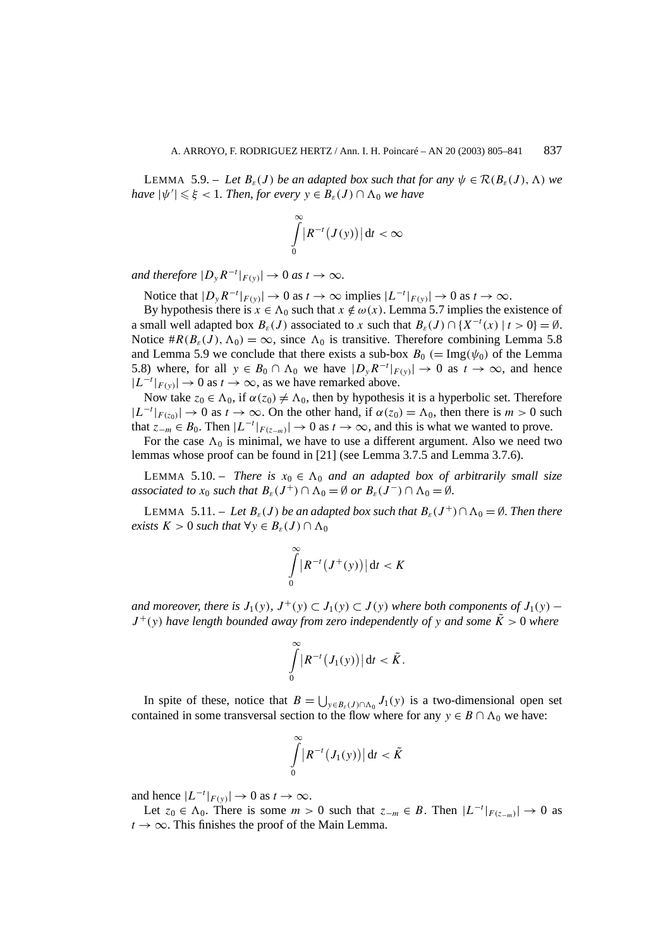LEMMA 5.9. – Let  $B_{\varepsilon}(J)$  be an adapted box such that for any  $\psi \in \mathcal{R}(B_{\varepsilon}(J), \Lambda)$  we *have*  $|\psi'| \leq \xi < 1$ *. Then, for every*  $y \in B_{\varepsilon}(J) \cap \Lambda_0$  *we have* 

$$
\int\limits_{0}^{\infty}\left|R^{-t}\big(J(y)\big)\right|\mathrm{d}t<\infty
$$

*and therefore*  $|D_y R^{-t}|_{F(y)} \to 0$  *as*  $t \to \infty$ *.* 

Notice that  $|D_y R^{-t}|_{F(y)} \to 0$  as  $t \to \infty$  implies  $|L^{-t}|_{F(y)} \to 0$  as  $t \to \infty$ .

By hypothesis there is  $x \in \Lambda_0$  such that  $x \notin \omega(x)$ . Lemma 5.7 implies the existence of a small well adapted box  $B_{\varepsilon}(J)$  associated to *x* such that  $B_{\varepsilon}(J) \cap \{X^{-t}(x) \mid t > 0\} = \emptyset$ . Notice  $#R(B_{\varepsilon}(J), \Lambda_0) = \infty$ , since  $\Lambda_0$  is transitive. Therefore combining Lemma 5.8 and Lemma 5.9 we conclude that there exists a sub-box  $B_0$  (= Img( $\psi_0$ ) of the Lemma 5.8) where, for all  $y \in B_0 \cap \Lambda_0$  we have  $|D_y R^{-t}|_{F(y)} \to 0$  as  $t \to \infty$ , and hence  $|L^{-t}|_{F(y)}| \to 0$  as  $t \to \infty$ , as we have remarked above.

Now take  $z_0 \in \Lambda_0$ , if  $\alpha(z_0) \neq \Lambda_0$ , then by hypothesis it is a hyperbolic set. Therefore  $|L^{-t}|_{F(z_0)} \to 0$  as  $t \to \infty$ . On the other hand, if  $\alpha(z_0) = \Lambda_0$ , then there is  $m > 0$  such that  $z_{-m} \in B_0$ . Then  $|L^{-t}|_{F(z_{-m})}| \to 0$  as  $t \to \infty$ , and this is what we wanted to prove.

For the case  $\Lambda_0$  is minimal, we have to use a different argument. Also we need two lemmas whose proof can be found in [21] (see Lemma 3.7.5 and Lemma 3.7.6).

LEMMA 5.10. – *There is*  $x_0 \in \Lambda_0$  *and an adapted box of arbitrarily small size associated to*  $x_0$  *such that*  $B_\varepsilon(J^+) \cap \Lambda_0 = \emptyset$  *or*  $B_\varepsilon(J^-) \cap \Lambda_0 = \emptyset$ .

**LEMMA** 5.11. – Let  $B_{\varepsilon}(J)$  be an adapted box such that  $B_{\varepsilon}(J^+) \cap \Lambda_0 = \emptyset$ . Then there *exists*  $K > 0$  *such that*  $\forall y \in B_{\varepsilon}(J) \cap \Lambda_0$ 

$$
\int\limits_{0}^{\infty} |R^{-t}(J^{+}(y))| dt < K
$$

*and moreover, there is*  $J_1(y)$ ,  $J^+(y) \subset J_1(y) \subset J(y)$  where both components of  $J_1(y)$  –  $J^+(y)$  *have length bounded away from zero independently of y and some*  $\tilde{K} > 0$  *where* 

$$
\int\limits_{0}^{\infty}\left|R^{-t}(J_1(y))\right|{\rm d}t\,<\tilde{K}.
$$

In spite of these, notice that  $B = \bigcup_{y \in B_{\varepsilon}(J) \cap \Lambda_0} J_1(y)$  is a two-dimensional open set contained in some transversal section to the flow where for any  $y \in B \cap \Lambda_0$  we have:

$$
\int\limits_{0}^{\infty} \left| R^{-t} \left( J_{1}(y) \right) \right| \mathrm{d}t < \tilde{K}
$$

and hence  $|L^{-t}|_{F(y)}| \to 0$  as  $t \to \infty$ .

Let  $z_0 \in \Lambda_0$ . There is some  $m > 0$  such that  $z_{-m} \in B$ . Then  $|L^{-t}|_{F(z_{-m})}| \to 0$  as  $t \to \infty$ . This finishes the proof of the Main Lemma.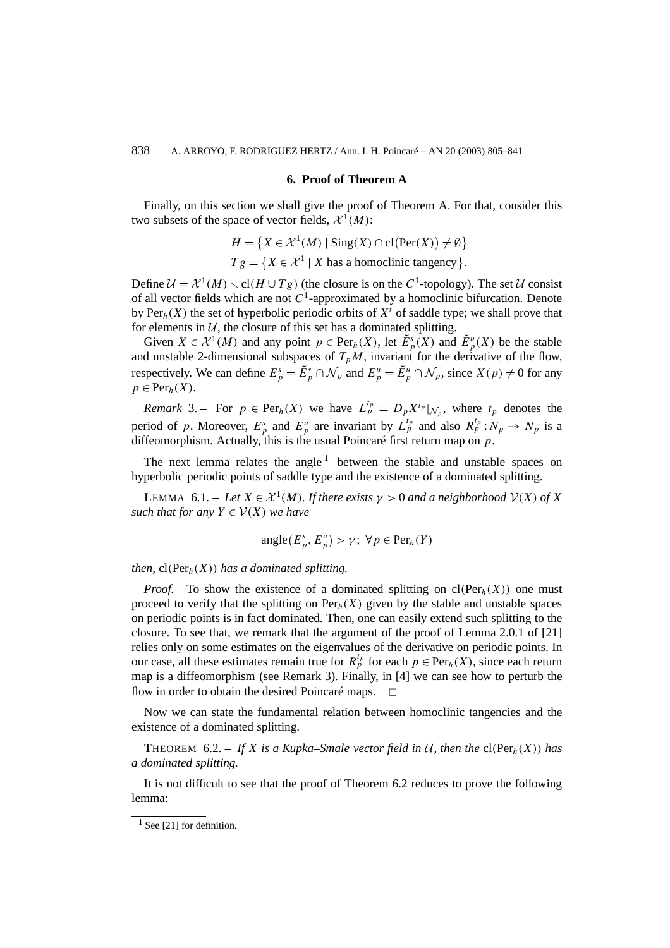#### **6. Proof of Theorem A**

Finally, on this section we shall give the proof of Theorem A. For that, consider this two subsets of the space of vector fields,  $\mathcal{X}^1(M)$ :

$$
H = \{ X \in \mathcal{X}^1(M) \mid \text{Sing}(X) \cap \text{cl}(\text{Per}(X)) \neq \emptyset \}
$$
  

$$
Tg = \{ X \in \mathcal{X}^1 \mid X \text{ has a homoclinic tangency} \}.
$$

Define  $U = \mathcal{X}^1(M) \setminus cl(H \cup Tg)$  (the closure is on the *C*<sup>1</sup>-topology). The set U consist of all vector fields which are not  $C<sup>1</sup>$ -approximated by a homoclinic bifurcation. Denote by Per<sub>h</sub> $(X)$  the set of hyperbolic periodic orbits of  $X<sup>t</sup>$  of saddle type; we shall prove that for elements in  $U$ , the closure of this set has a dominated splitting.

Given  $X \in \mathcal{X}^1(M)$  and any point  $p \in \text{Per}_h(X)$ , let  $\tilde{E}^s_p(X)$  and  $\tilde{E}^u_p(X)$  be the stable and unstable 2-dimensional subspaces of  $T_pM$ , invariant for the derivative of the flow, respectively. We can define  $E_p^s = \tilde{E}_p^s \cap \mathcal{N}_p$  and  $E_p^u = \tilde{E}_p^u \cap \mathcal{N}_p$ , since  $X(p) \neq 0$  for any  $p \in Per_h(X)$ .

*Remark* 3. – For  $p \in \text{Per}_h(X)$  we have  $L_p^{t_p} = D_p X^{t_p} |_{\mathcal{N}_p}$ , where  $t_p$  denotes the period of p. Moreover,  $E_p^s$  and  $E_p^u$  are invariant by  $L_p^{t_p}$  and also  $R_p^{t_p}$ :  $N_p \rightarrow N_p$  is a diffeomorphism. Actually, this is the usual Poincaré first return map on *p*.

The next lemma relates the angle  $1$  between the stable and unstable spaces on hyperbolic periodic points of saddle type and the existence of a dominated splitting.

LEMMA 6.1. – Let  $X \in \mathcal{X}^1(M)$ *. If there exists*  $\gamma > 0$  *and a neighborhood*  $V(X)$  *of* X *such that for any*  $Y \in V(X)$  *we have* 

$$
angle(E_p^s, E_p^u) > \gamma; \ \forall p \in Per_h(Y)
$$

*then,*  $\text{cl}(\text{Per}_h(X))$  *has a dominated splitting.* 

*Proof.* – To show the existence of a dominated splitting on  $cl(Per_h(X))$  one must proceed to verify that the splitting on  $\text{Per}_h(X)$  given by the stable and unstable spaces on periodic points is in fact dominated. Then, one can easily extend such splitting to the closure. To see that, we remark that the argument of the proof of Lemma 2.0.1 of [21] relies only on some estimates on the eigenvalues of the derivative on periodic points. In our case, all these estimates remain true for  $R_p^{t_p}$  for each  $p \in \text{Per}_h(X)$ , since each return map is a diffeomorphism (see Remark 3). Finally, in [4] we can see how to perturb the flow in order to obtain the desired Poincaré maps.  $\Box$ 

Now we can state the fundamental relation between homoclinic tangencies and the existence of a dominated splitting.

THEOREM 6.2. – If *X* is a Kupka–Smale vector field in U, then the  $\text{cl}(\text{Per}_h(X))$  has *a dominated splitting.*

It is not difficult to see that the proof of Theorem 6.2 reduces to prove the following lemma:

<sup>&</sup>lt;sup>1</sup> See [21] for definition.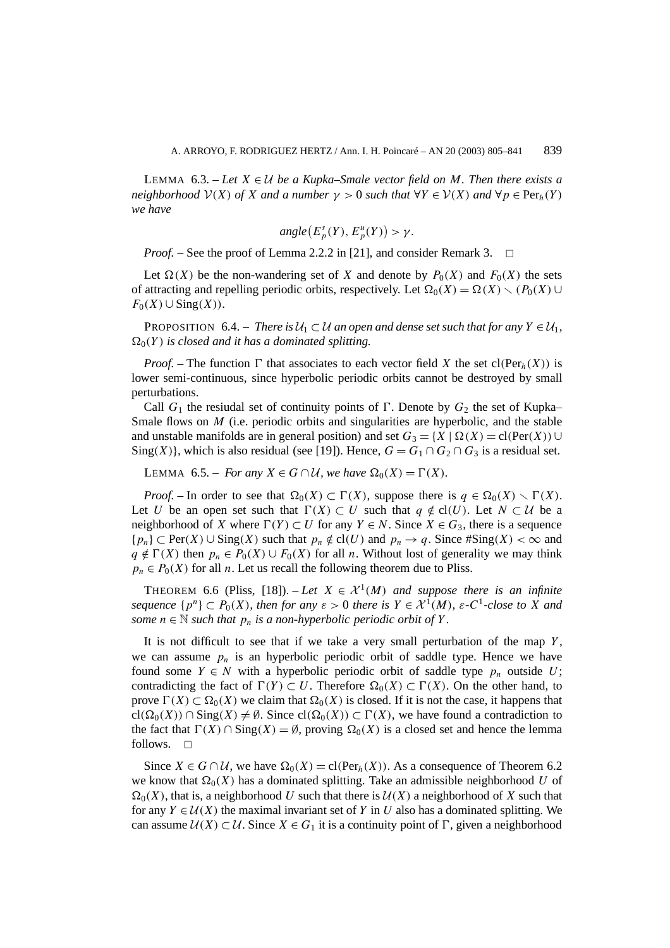LEMMA 6.3. – *Let X* ∈ U *be a Kupka–Smale vector field on M. Then there exists a neighborhood*  $V(X)$  *of X and a number*  $\gamma > 0$  *such that*  $\forall Y \in V(X)$  *and*  $\forall p \in \text{Per}_h(Y)$ *we have*

$$
angle(E_p^s(Y), E_p^u(Y)) > \gamma.
$$

*Proof.* – See the proof of Lemma 2.2.2 in [21], and consider Remark 3. □

Let  $\Omega(X)$  be the non-wandering set of *X* and denote by  $P_0(X)$  and  $F_0(X)$  the sets of attracting and repelling periodic orbits, respectively. Let  $\Omega_0(X) = \Omega(X) \setminus (P_0(X) \cup$  $F<sub>0</sub>(X) ∪$  Sing $(X)$ ).

**PROPOSITION** 6.4. – *There is*  $U_1 \subset U$  *an open and dense set such that for any*  $Y \in U_1$ ,  $\Omega_0(Y)$  *is closed and it has a dominated splitting.* 

*Proof.* – The function  $\Gamma$  that associates to each vector field *X* the set cl(Per<sub>h</sub>(X)) is lower semi-continuous, since hyperbolic periodic orbits cannot be destroyed by small perturbations.

Call  $G_1$  the resiudal set of continuity points of  $\Gamma$ . Denote by  $G_2$  the set of Kupka– Smale flows on *M* (i.e. periodic orbits and singularities are hyperbolic, and the stable and unstable manifolds are in general position) and set  $G_3 = \{X \mid \Omega(X) = \text{cl}(\text{Per}(X)) \cup \Omega(X)\}$ Sing $(X)$ }, which is also residual (see [19]). Hence,  $G = G_1 \cap G_2 \cap G_3$  is a residual set.

LEMMA 6.5. – *For any*  $X \in G \cap \mathcal{U}$ *, we have*  $\Omega_0(X) = \Gamma(X)$ *.* 

*Proof.* – In order to see that  $\Omega_0(X) \subset \Gamma(X)$ , suppose there is  $q \in \Omega_0(X) \setminus \Gamma(X)$ . Let *U* be an open set such that  $\Gamma(X) \subset U$  such that  $q \notin cl(U)$ . Let  $N \subset U$  be a neighborhood of *X* where  $\Gamma(Y) \subset U$  for any  $Y \in N$ . Since  $X \in G_3$ , there is a sequence  ${p_n}$  ⊂ Per(X) ∪ Sing(X) such that  $p_n \notin cl(U)$  and  $p_n \to q$ . Since #Sing(X) < ∞ and *q* ∉  $\Gamma(X)$  then *p<sub>n</sub>* ∈ *P*<sub>0</sub>(*X*) ∪ *F*<sub>0</sub>(*X*) for all *n*. Without lost of generality we may think  $p_n \in P_0(X)$  for all *n*. Let us recall the following theorem due to Pliss.

THEOREM 6.6 (Pliss, [18]). – Let  $X \in \mathcal{X}^1(M)$  and suppose there is an infinite *sequence*  $\{p^n\} \subset P_0(X)$ *, then for any*  $\varepsilon > 0$  *there is*  $Y \in \mathcal{X}^1(M)$ *,*  $\varepsilon$ *-C*<sup>1</sup>*-close to X and some*  $n \in \mathbb{N}$  *such that*  $p_n$  *is a non-hyperbolic periodic orbit of*  $Y$ *.* 

It is not difficult to see that if we take a very small perturbation of the map *Y* , we can assume  $p_n$  is an hyperbolic periodic orbit of saddle type. Hence we have found some  $Y \in N$  with a hyperbolic periodic orbit of saddle type  $p_n$  outside U; contradicting the fact of  $\Gamma(Y) \subset U$ . Therefore  $\Omega_0(X) \subset \Gamma(X)$ . On the other hand, to prove  $\Gamma(X) \subset \Omega_0(X)$  we claim that  $\Omega_0(X)$  is closed. If it is not the case, it happens that  $cl(\Omega_0(X))$  ∩ Sing $(X) \neq \emptyset$ . Since  $cl(\Omega_0(X)) \subset \Gamma(X)$ , we have found a contradiction to the fact that  $\Gamma(X) \cap \text{Sing}(X) = \emptyset$ , proving  $\Omega_0(X)$  is a closed set and hence the lemma follows.  $\Box$ 

Since *X* ∈ *G* ∩ *U*, we have  $\Omega_0(X) = \text{cl}(\text{Per}_h(X))$ . As a consequence of Theorem 6.2 we know that  $\Omega_0(X)$  has a dominated splitting. Take an admissible neighborhood U of  $\Omega_0(X)$ , that is, a neighborhood U such that there is  $U(X)$  a neighborhood of X such that for any  $Y \in \mathcal{U}(X)$  the maximal invariant set of *Y* in *U* also has a dominated splitting. We can assume  $U(X) \subset U$ . Since  $X \in G_1$  it is a continuity point of  $\Gamma$ , given a neighborhood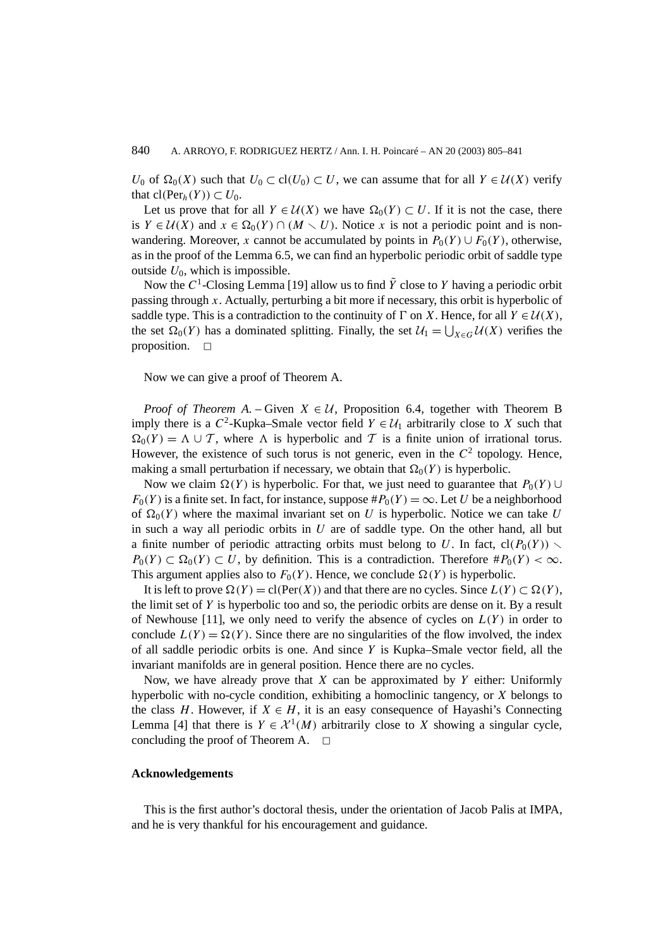*U*<sub>0</sub> of  $\Omega_0(X)$  such that  $U_0 \subset cl(U_0) \subset U$ , we can assume that for all  $Y \in U(X)$  verify that  $cl(Per_h(Y)) \subset U_0$ .

Let us prove that for all  $Y \in \mathcal{U}(X)$  we have  $\Omega_0(Y) \subset U$ . If it is not the case, there is  $Y \in \mathcal{U}(X)$  and  $x \in \Omega_0(Y) \cap (M \setminus U)$ . Notice *x* is not a periodic point and is nonwandering. Moreover, *x* cannot be accumulated by points in  $P_0(Y) \cup F_0(Y)$ , otherwise, as in the proof of the Lemma 6.5, we can find an hyperbolic periodic orbit of saddle type outside  $U_0$ , which is impossible.

Now the  $C^1$ -Closing Lemma [19] allow us to find  $\tilde{Y}$  close to *Y* having a periodic orbit passing through *x*. Actually, perturbing a bit more if necessary, this orbit is hyperbolic of saddle type. This is a contradiction to the continuity of  $\Gamma$  on *X*. Hence, for all  $Y \in \mathcal{U}(X)$ , the set  $\Omega_0(Y)$  has a dominated splitting. Finally, the set  $\mathcal{U}_1 = \bigcup_{X \in G} \mathcal{U}(X)$  verifies the proposition.  $\square$ 

Now we can give a proof of Theorem A.

*Proof of Theorem A.* – Given  $X \in \mathcal{U}$ , Proposition 6.4, together with Theorem B imply there is a  $C^2$ -Kupka–Smale vector field  $Y \in U_1$  arbitrarily close to *X* such that  $\Omega_0(Y) = \Lambda \cup \mathcal{T}$ , where  $\Lambda$  is hyperbolic and  $\mathcal{T}$  is a finite union of irrational torus. However, the existence of such torus is not generic, even in the  $C<sup>2</sup>$  topology. Hence, making a small perturbation if necessary, we obtain that  $\Omega_0(Y)$  is hyperbolic.

Now we claim  $\Omega(Y)$  is hyperbolic. For that, we just need to guarantee that  $P_0(Y)$  ∪  $F_0(Y)$  is a finite set. In fact, for instance, suppose  $\#P_0(Y) = \infty$ . Let *U* be a neighborhood of  $\Omega_0(Y)$  where the maximal invariant set on *U* is hyperbolic. Notice we can take *U* in such a way all periodic orbits in *U* are of saddle type. On the other hand, all but a finite number of periodic attracting orbits must belong to *U*. In fact,  $cl(P_0(Y)) \setminus$  $P_0(Y) \subset \Omega_0(Y) \subset U$ , by definition. This is a contradiction. Therefore  $#P_0(Y) < \infty$ . This argument applies also to  $F_0(Y)$ . Hence, we conclude  $\Omega(Y)$  is hyperbolic.

It is left to prove  $\Omega(Y) = \text{cl}(\text{Per}(X))$  and that there are no cycles. Since  $L(Y) \subset \Omega(Y)$ , the limit set of *Y* is hyperbolic too and so, the periodic orbits are dense on it. By a result of Newhouse [11], we only need to verify the absence of cycles on  $L(Y)$  in order to conclude  $L(Y) = \Omega(Y)$ . Since there are no singularities of the flow involved, the index of all saddle periodic orbits is one. And since *Y* is Kupka–Smale vector field, all the invariant manifolds are in general position. Hence there are no cycles.

Now, we have already prove that *X* can be approximated by *Y* either: Uniformly hyperbolic with no-cycle condition, exhibiting a homoclinic tangency, or *X* belongs to the class *H*. However, if  $X \in H$ , it is an easy consequence of Hayashi's Connecting Lemma [4] that there is  $Y \in \mathcal{X}^1(M)$  arbitrarily close to X showing a singular cycle, concluding the proof of Theorem A.  $\square$ 

# **Acknowledgements**

This is the first author's doctoral thesis, under the orientation of Jacob Palis at IMPA, and he is very thankful for his encouragement and guidance.